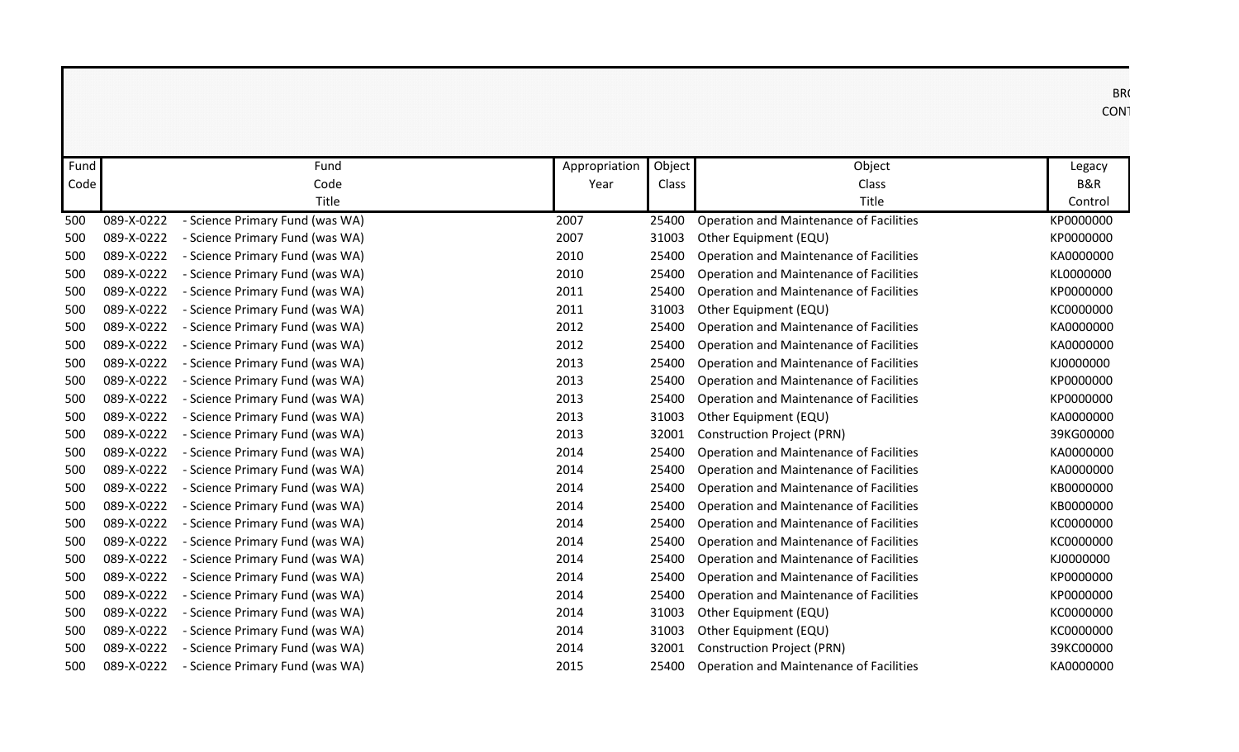| BR <sub>(</sub><br><b>CON</b> |                                                |        |               |                                 |            |      |
|-------------------------------|------------------------------------------------|--------|---------------|---------------------------------|------------|------|
| Legacy                        | Object                                         | Object | Appropriation | Fund                            |            | Fund |
| <b>B&amp;R</b>                | Class                                          | Class  | Year          | Code                            |            | Code |
| Control                       | Title                                          |        |               | Title                           |            |      |
| KP0000000                     | Operation and Maintenance of Facilities        | 25400  | 2007          | - Science Primary Fund (was WA) | 089-X-0222 | 500  |
| KP0000000                     | Other Equipment (EQU)                          | 31003  | 2007          | - Science Primary Fund (was WA) | 089-X-0222 | 500  |
| KA0000000                     | Operation and Maintenance of Facilities        | 25400  | 2010          | - Science Primary Fund (was WA) | 089-X-0222 | 500  |
| KL0000000                     | Operation and Maintenance of Facilities        | 25400  | 2010          | - Science Primary Fund (was WA) | 089-X-0222 | 500  |
| KP0000000                     | Operation and Maintenance of Facilities        | 25400  | 2011          | - Science Primary Fund (was WA) | 089-X-0222 | 500  |
| KC0000000                     | Other Equipment (EQU)                          | 31003  | 2011          | - Science Primary Fund (was WA) | 089-X-0222 | 500  |
| KA0000000                     | Operation and Maintenance of Facilities        | 25400  | 2012          | - Science Primary Fund (was WA) | 089-X-0222 | 500  |
| KA0000000                     | Operation and Maintenance of Facilities        | 25400  | 2012          | - Science Primary Fund (was WA) | 089-X-0222 | 500  |
| KJ0000000                     | Operation and Maintenance of Facilities        | 25400  | 2013          | - Science Primary Fund (was WA) | 089-X-0222 | 500  |
| KP0000000                     | Operation and Maintenance of Facilities        | 25400  | 2013          | - Science Primary Fund (was WA) | 089-X-0222 | 500  |
| KP0000000                     | <b>Operation and Maintenance of Facilities</b> | 25400  | 2013          | - Science Primary Fund (was WA) | 089-X-0222 | 500  |
| KA0000000                     | Other Equipment (EQU)                          | 31003  | 2013          | - Science Primary Fund (was WA) | 089-X-0222 | 500  |
| 39KG00000                     | <b>Construction Project (PRN)</b>              | 32001  | 2013          | - Science Primary Fund (was WA) | 089-X-0222 | 500  |
| KA0000000                     | Operation and Maintenance of Facilities        | 25400  | 2014          | - Science Primary Fund (was WA) | 089-X-0222 | 500  |
| KA0000000                     | Operation and Maintenance of Facilities        | 25400  | 2014          | - Science Primary Fund (was WA) | 089-X-0222 | 500  |
| KB0000000                     | Operation and Maintenance of Facilities        | 25400  | 2014          | - Science Primary Fund (was WA) | 089-X-0222 | 500  |
| KB0000000                     | Operation and Maintenance of Facilities        | 25400  | 2014          | - Science Primary Fund (was WA) | 089-X-0222 | 500  |
| KC0000000                     | Operation and Maintenance of Facilities        | 25400  | 2014          | - Science Primary Fund (was WA) | 089-X-0222 | 500  |
| KC0000000                     | Operation and Maintenance of Facilities        | 25400  | 2014          | - Science Primary Fund (was WA) | 089-X-0222 | 500  |
| KJ0000000                     | Operation and Maintenance of Facilities        | 25400  | 2014          | - Science Primary Fund (was WA) | 089-X-0222 | 500  |
| KP0000000                     | Operation and Maintenance of Facilities        | 25400  | 2014          | - Science Primary Fund (was WA) | 089-X-0222 | 500  |
| KP0000000                     | Operation and Maintenance of Facilities        | 25400  | 2014          | - Science Primary Fund (was WA) | 089-X-0222 | 500  |
| KC0000000                     | Other Equipment (EQU)                          | 31003  | 2014          | - Science Primary Fund (was WA) | 089-X-0222 | 500  |
| KC0000000                     | Other Equipment (EQU)                          | 31003  | 2014          | - Science Primary Fund (was WA) | 089-X-0222 | 500  |
| 39KC00000                     | <b>Construction Project (PRN)</b>              | 32001  | 2014          | - Science Primary Fund (was WA) | 089-X-0222 | 500  |
| KA0000000                     | <b>Operation and Maintenance of Facilities</b> | 25400  | 2015          | - Science Primary Fund (was WA) | 089-X-0222 | 500  |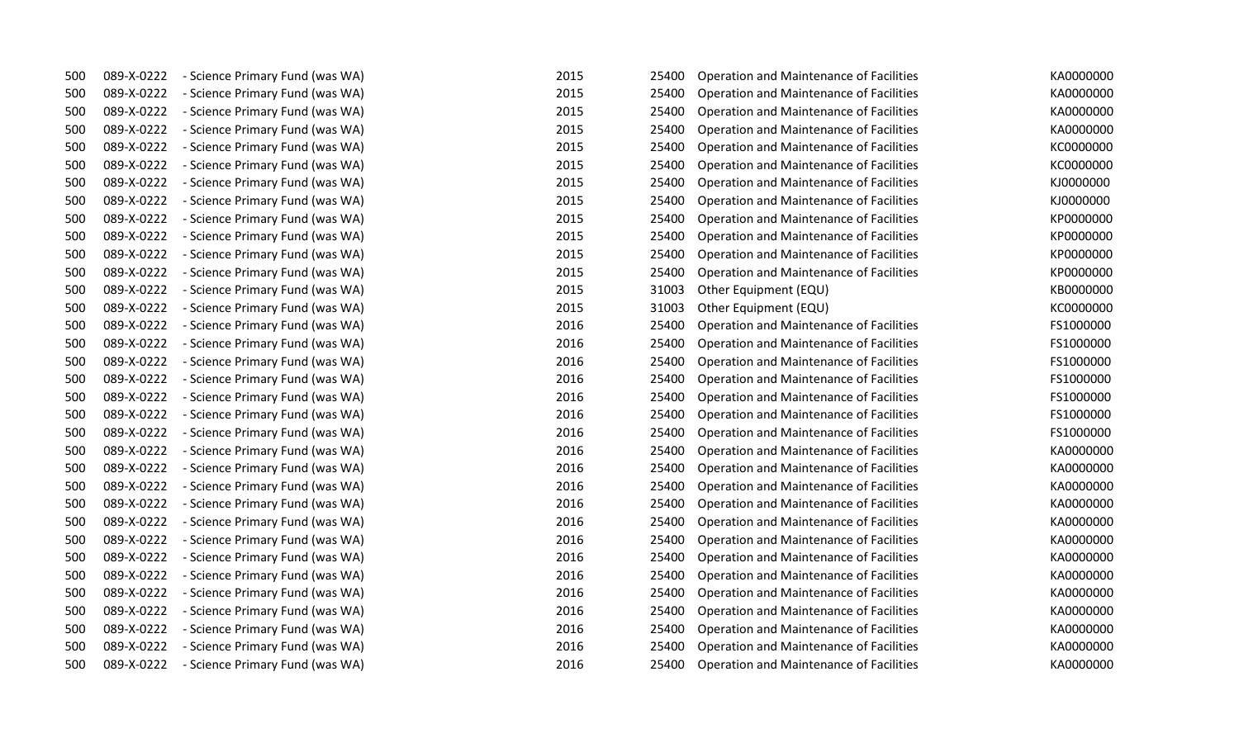| 500 | 089-X-0222 | - Science Primary Fund (was WA) | 2015 | 25400 | Operation and Maintenance of Facilities        | KA0000000 |
|-----|------------|---------------------------------|------|-------|------------------------------------------------|-----------|
| 500 | 089-X-0222 | - Science Primary Fund (was WA) | 2015 | 25400 | Operation and Maintenance of Facilities        | KA0000000 |
| 500 | 089-X-0222 | - Science Primary Fund (was WA) | 2015 | 25400 | Operation and Maintenance of Facilities        | KA0000000 |
| 500 | 089-X-0222 | - Science Primary Fund (was WA) | 2015 | 25400 | Operation and Maintenance of Facilities        | KA0000000 |
| 500 | 089-X-0222 | - Science Primary Fund (was WA) | 2015 | 25400 | Operation and Maintenance of Facilities        | KC0000000 |
| 500 | 089-X-0222 | - Science Primary Fund (was WA) | 2015 | 25400 | Operation and Maintenance of Facilities        | KC0000000 |
| 500 | 089-X-0222 | - Science Primary Fund (was WA) | 2015 | 25400 | Operation and Maintenance of Facilities        | KJ0000000 |
| 500 | 089-X-0222 | - Science Primary Fund (was WA) | 2015 | 25400 | Operation and Maintenance of Facilities        | KJ0000000 |
| 500 | 089-X-0222 | - Science Primary Fund (was WA) | 2015 | 25400 | Operation and Maintenance of Facilities        | KP0000000 |
| 500 | 089-X-0222 | - Science Primary Fund (was WA) | 2015 | 25400 | Operation and Maintenance of Facilities        | KP0000000 |
| 500 | 089-X-0222 | - Science Primary Fund (was WA) | 2015 | 25400 | Operation and Maintenance of Facilities        | KP0000000 |
| 500 | 089-X-0222 | - Science Primary Fund (was WA) | 2015 | 25400 | Operation and Maintenance of Facilities        | KP0000000 |
| 500 | 089-X-0222 | - Science Primary Fund (was WA) | 2015 | 31003 | Other Equipment (EQU)                          | KB0000000 |
| 500 | 089-X-0222 | - Science Primary Fund (was WA) | 2015 | 31003 | Other Equipment (EQU)                          | KC0000000 |
| 500 | 089-X-0222 | - Science Primary Fund (was WA) | 2016 | 25400 | Operation and Maintenance of Facilities        | FS1000000 |
| 500 | 089-X-0222 | - Science Primary Fund (was WA) | 2016 | 25400 | Operation and Maintenance of Facilities        | FS1000000 |
| 500 | 089-X-0222 | - Science Primary Fund (was WA) | 2016 | 25400 | Operation and Maintenance of Facilities        | FS1000000 |
| 500 | 089-X-0222 | - Science Primary Fund (was WA) | 2016 | 25400 | Operation and Maintenance of Facilities        | FS1000000 |
| 500 | 089-X-0222 | - Science Primary Fund (was WA) | 2016 | 25400 | Operation and Maintenance of Facilities        | FS1000000 |
| 500 | 089-X-0222 | - Science Primary Fund (was WA) | 2016 | 25400 | <b>Operation and Maintenance of Facilities</b> | FS1000000 |
| 500 | 089-X-0222 | - Science Primary Fund (was WA) | 2016 | 25400 | <b>Operation and Maintenance of Facilities</b> | FS1000000 |
| 500 | 089-X-0222 | - Science Primary Fund (was WA) | 2016 | 25400 | Operation and Maintenance of Facilities        | KA0000000 |
| 500 | 089-X-0222 | - Science Primary Fund (was WA) | 2016 | 25400 | Operation and Maintenance of Facilities        | KA0000000 |
| 500 | 089-X-0222 | - Science Primary Fund (was WA) | 2016 | 25400 | Operation and Maintenance of Facilities        | KA0000000 |
| 500 | 089-X-0222 | - Science Primary Fund (was WA) | 2016 | 25400 | Operation and Maintenance of Facilities        | KA0000000 |
| 500 | 089-X-0222 | - Science Primary Fund (was WA) | 2016 | 25400 | Operation and Maintenance of Facilities        | KA0000000 |
| 500 | 089-X-0222 | - Science Primary Fund (was WA) | 2016 | 25400 | Operation and Maintenance of Facilities        | KA0000000 |
| 500 | 089-X-0222 | - Science Primary Fund (was WA) | 2016 | 25400 | Operation and Maintenance of Facilities        | KA0000000 |
| 500 | 089-X-0222 | - Science Primary Fund (was WA) | 2016 | 25400 | Operation and Maintenance of Facilities        | KA0000000 |
| 500 | 089-X-0222 | - Science Primary Fund (was WA) | 2016 | 25400 | Operation and Maintenance of Facilities        | KA0000000 |
| 500 | 089-X-0222 | - Science Primary Fund (was WA) | 2016 | 25400 | Operation and Maintenance of Facilities        | KA0000000 |
| 500 | 089-X-0222 | - Science Primary Fund (was WA) | 2016 | 25400 | Operation and Maintenance of Facilities        | KA0000000 |
| 500 | 089-X-0222 | - Science Primary Fund (was WA) | 2016 | 25400 | Operation and Maintenance of Facilities        | KA0000000 |
| 500 | 089-X-0222 | - Science Primary Fund (was WA) | 2016 | 25400 | Operation and Maintenance of Facilities        | KA0000000 |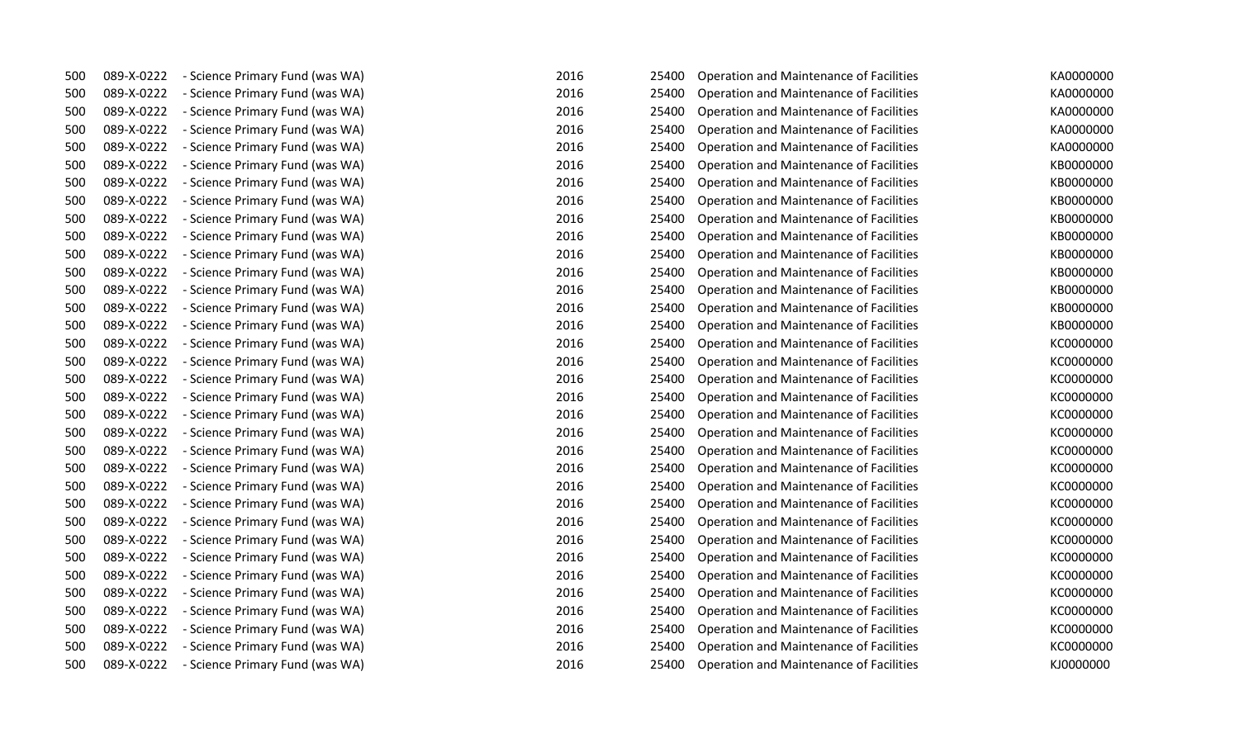| 500 | 089-X-0222 | - Science Primary Fund (was WA) | 2016<br>25400 | Operation and Maintenance of Facilities | KA0000000 |
|-----|------------|---------------------------------|---------------|-----------------------------------------|-----------|
| 500 | 089-X-0222 | - Science Primary Fund (was WA) | 2016<br>25400 | Operation and Maintenance of Facilities | KA0000000 |
| 500 | 089-X-0222 | - Science Primary Fund (was WA) | 2016<br>25400 | Operation and Maintenance of Facilities | KA0000000 |
| 500 | 089-X-0222 | - Science Primary Fund (was WA) | 2016<br>25400 | Operation and Maintenance of Facilities | KA0000000 |
| 500 | 089-X-0222 | - Science Primary Fund (was WA) | 2016<br>25400 | Operation and Maintenance of Facilities | KA0000000 |
| 500 | 089-X-0222 | - Science Primary Fund (was WA) | 2016<br>25400 | Operation and Maintenance of Facilities | KB0000000 |
| 500 | 089-X-0222 | - Science Primary Fund (was WA) | 2016<br>25400 | Operation and Maintenance of Facilities | KB0000000 |
| 500 | 089-X-0222 | - Science Primary Fund (was WA) | 2016<br>25400 | Operation and Maintenance of Facilities | KB0000000 |
| 500 | 089-X-0222 | - Science Primary Fund (was WA) | 2016<br>25400 | Operation and Maintenance of Facilities | KB0000000 |
| 500 | 089-X-0222 | - Science Primary Fund (was WA) | 2016<br>25400 | Operation and Maintenance of Facilities | KB0000000 |
| 500 | 089-X-0222 | - Science Primary Fund (was WA) | 2016<br>25400 | Operation and Maintenance of Facilities | KB0000000 |
| 500 | 089-X-0222 | - Science Primary Fund (was WA) | 2016<br>25400 | Operation and Maintenance of Facilities | KB0000000 |
| 500 | 089-X-0222 | - Science Primary Fund (was WA) | 2016<br>25400 | Operation and Maintenance of Facilities | KB0000000 |
| 500 | 089-X-0222 | - Science Primary Fund (was WA) | 2016<br>25400 | Operation and Maintenance of Facilities | KB0000000 |
| 500 | 089-X-0222 | - Science Primary Fund (was WA) | 2016<br>25400 | Operation and Maintenance of Facilities | KB0000000 |
| 500 | 089-X-0222 | - Science Primary Fund (was WA) | 2016<br>25400 | Operation and Maintenance of Facilities | KC0000000 |
| 500 | 089-X-0222 | - Science Primary Fund (was WA) | 2016<br>25400 | Operation and Maintenance of Facilities | KC0000000 |
| 500 | 089-X-0222 | - Science Primary Fund (was WA) | 2016<br>25400 | Operation and Maintenance of Facilities | KC0000000 |
| 500 | 089-X-0222 | - Science Primary Fund (was WA) | 2016<br>25400 | Operation and Maintenance of Facilities | KC0000000 |
| 500 | 089-X-0222 | - Science Primary Fund (was WA) | 2016<br>25400 | Operation and Maintenance of Facilities | KC0000000 |
| 500 | 089-X-0222 | - Science Primary Fund (was WA) | 2016<br>25400 | Operation and Maintenance of Facilities | KC0000000 |
| 500 | 089-X-0222 | - Science Primary Fund (was WA) | 2016<br>25400 | Operation and Maintenance of Facilities | KC0000000 |
| 500 | 089-X-0222 | - Science Primary Fund (was WA) | 2016<br>25400 | Operation and Maintenance of Facilities | KC0000000 |
| 500 | 089-X-0222 | - Science Primary Fund (was WA) | 2016<br>25400 | Operation and Maintenance of Facilities | KC0000000 |
| 500 | 089-X-0222 | - Science Primary Fund (was WA) | 2016<br>25400 | Operation and Maintenance of Facilities | KC0000000 |
| 500 | 089-X-0222 | - Science Primary Fund (was WA) | 2016<br>25400 | Operation and Maintenance of Facilities | KC0000000 |
| 500 | 089-X-0222 | - Science Primary Fund (was WA) | 2016<br>25400 | Operation and Maintenance of Facilities | KC0000000 |
| 500 | 089-X-0222 | - Science Primary Fund (was WA) | 2016<br>25400 | Operation and Maintenance of Facilities | KC0000000 |
| 500 | 089-X-0222 | - Science Primary Fund (was WA) | 2016<br>25400 | Operation and Maintenance of Facilities | KC0000000 |
| 500 | 089-X-0222 | - Science Primary Fund (was WA) | 2016<br>25400 | Operation and Maintenance of Facilities | KC0000000 |
| 500 | 089-X-0222 | - Science Primary Fund (was WA) | 2016<br>25400 | Operation and Maintenance of Facilities | KC0000000 |
| 500 | 089-X-0222 | - Science Primary Fund (was WA) | 2016<br>25400 | Operation and Maintenance of Facilities | KC0000000 |
| 500 | 089-X-0222 | - Science Primary Fund (was WA) | 2016<br>25400 | Operation and Maintenance of Facilities | KC0000000 |
| 500 | 089-X-0222 | - Science Primary Fund (was WA) | 2016<br>25400 | Operation and Maintenance of Facilities | KJ0000000 |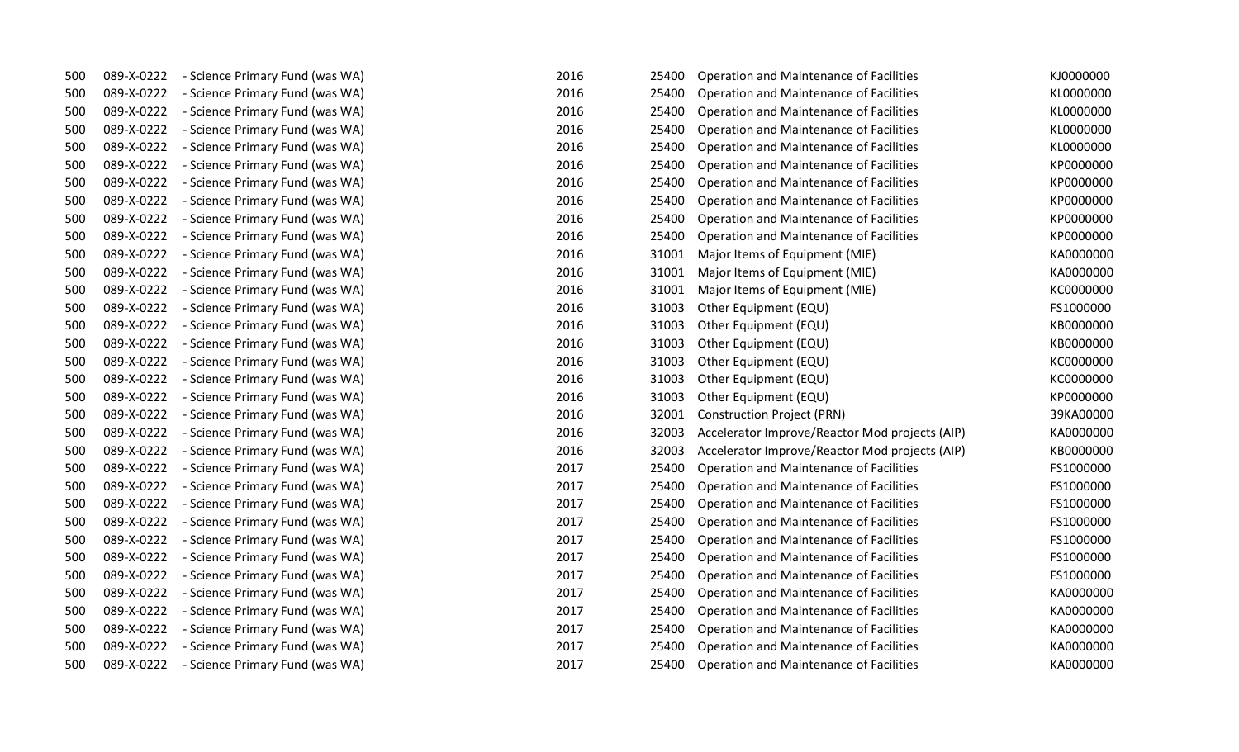| 500 | 089-X-0222 | - Science Primary Fund (was WA) | 2016<br>25400 | Operation and Maintenance of Facilities        | KJ0000000 |
|-----|------------|---------------------------------|---------------|------------------------------------------------|-----------|
| 500 | 089-X-0222 | - Science Primary Fund (was WA) | 2016<br>25400 | Operation and Maintenance of Facilities        | KL0000000 |
| 500 | 089-X-0222 | - Science Primary Fund (was WA) | 2016<br>25400 | Operation and Maintenance of Facilities        | KL0000000 |
| 500 | 089-X-0222 | - Science Primary Fund (was WA) | 2016<br>25400 | Operation and Maintenance of Facilities        | KL0000000 |
| 500 | 089-X-0222 | - Science Primary Fund (was WA) | 2016<br>25400 | Operation and Maintenance of Facilities        | KL0000000 |
| 500 | 089-X-0222 | - Science Primary Fund (was WA) | 2016<br>25400 | Operation and Maintenance of Facilities        | KP0000000 |
| 500 | 089-X-0222 | - Science Primary Fund (was WA) | 2016<br>25400 | Operation and Maintenance of Facilities        | KP0000000 |
| 500 | 089-X-0222 | - Science Primary Fund (was WA) | 2016<br>25400 | Operation and Maintenance of Facilities        | KP0000000 |
| 500 | 089-X-0222 | - Science Primary Fund (was WA) | 2016<br>25400 | Operation and Maintenance of Facilities        | KP0000000 |
| 500 | 089-X-0222 | - Science Primary Fund (was WA) | 2016<br>25400 | Operation and Maintenance of Facilities        | KP0000000 |
| 500 | 089-X-0222 | - Science Primary Fund (was WA) | 2016<br>31001 | Major Items of Equipment (MIE)                 | KA0000000 |
| 500 | 089-X-0222 | - Science Primary Fund (was WA) | 2016<br>31001 | Major Items of Equipment (MIE)                 | KA0000000 |
| 500 | 089-X-0222 | - Science Primary Fund (was WA) | 2016<br>31001 | Major Items of Equipment (MIE)                 | KC0000000 |
| 500 | 089-X-0222 | - Science Primary Fund (was WA) | 2016<br>31003 | Other Equipment (EQU)                          | FS1000000 |
| 500 | 089-X-0222 | - Science Primary Fund (was WA) | 2016<br>31003 | Other Equipment (EQU)                          | KB0000000 |
| 500 | 089-X-0222 | - Science Primary Fund (was WA) | 2016<br>31003 | Other Equipment (EQU)                          | KB0000000 |
| 500 | 089-X-0222 | - Science Primary Fund (was WA) | 2016<br>31003 | Other Equipment (EQU)                          | KC0000000 |
| 500 | 089-X-0222 | - Science Primary Fund (was WA) | 2016<br>31003 | Other Equipment (EQU)                          | KC0000000 |
| 500 | 089-X-0222 | - Science Primary Fund (was WA) | 2016<br>31003 | Other Equipment (EQU)                          | KP0000000 |
| 500 | 089-X-0222 | - Science Primary Fund (was WA) | 2016<br>32001 | <b>Construction Project (PRN)</b>              | 39KA00000 |
| 500 | 089-X-0222 | - Science Primary Fund (was WA) | 2016<br>32003 | Accelerator Improve/Reactor Mod projects (AIP) | KA0000000 |
| 500 | 089-X-0222 | - Science Primary Fund (was WA) | 2016<br>32003 | Accelerator Improve/Reactor Mod projects (AIP) | KB0000000 |
| 500 | 089-X-0222 | - Science Primary Fund (was WA) | 2017<br>25400 | Operation and Maintenance of Facilities        | FS1000000 |
| 500 | 089-X-0222 | - Science Primary Fund (was WA) | 2017<br>25400 | Operation and Maintenance of Facilities        | FS1000000 |
| 500 | 089-X-0222 | - Science Primary Fund (was WA) | 2017<br>25400 | Operation and Maintenance of Facilities        | FS1000000 |
| 500 | 089-X-0222 | - Science Primary Fund (was WA) | 2017<br>25400 | Operation and Maintenance of Facilities        | FS1000000 |
| 500 | 089-X-0222 | - Science Primary Fund (was WA) | 2017<br>25400 | Operation and Maintenance of Facilities        | FS1000000 |
| 500 | 089-X-0222 | - Science Primary Fund (was WA) | 2017<br>25400 | Operation and Maintenance of Facilities        | FS1000000 |
| 500 | 089-X-0222 | - Science Primary Fund (was WA) | 2017<br>25400 | Operation and Maintenance of Facilities        | FS1000000 |
| 500 | 089-X-0222 | - Science Primary Fund (was WA) | 2017<br>25400 | Operation and Maintenance of Facilities        | KA0000000 |
| 500 | 089-X-0222 | - Science Primary Fund (was WA) | 2017<br>25400 | Operation and Maintenance of Facilities        | KA0000000 |
| 500 | 089-X-0222 | - Science Primary Fund (was WA) | 2017<br>25400 | Operation and Maintenance of Facilities        | KA0000000 |
| 500 | 089-X-0222 | - Science Primary Fund (was WA) | 2017<br>25400 | Operation and Maintenance of Facilities        | KA0000000 |
| 500 | 089-X-0222 | - Science Primary Fund (was WA) | 2017<br>25400 | Operation and Maintenance of Facilities        | KA0000000 |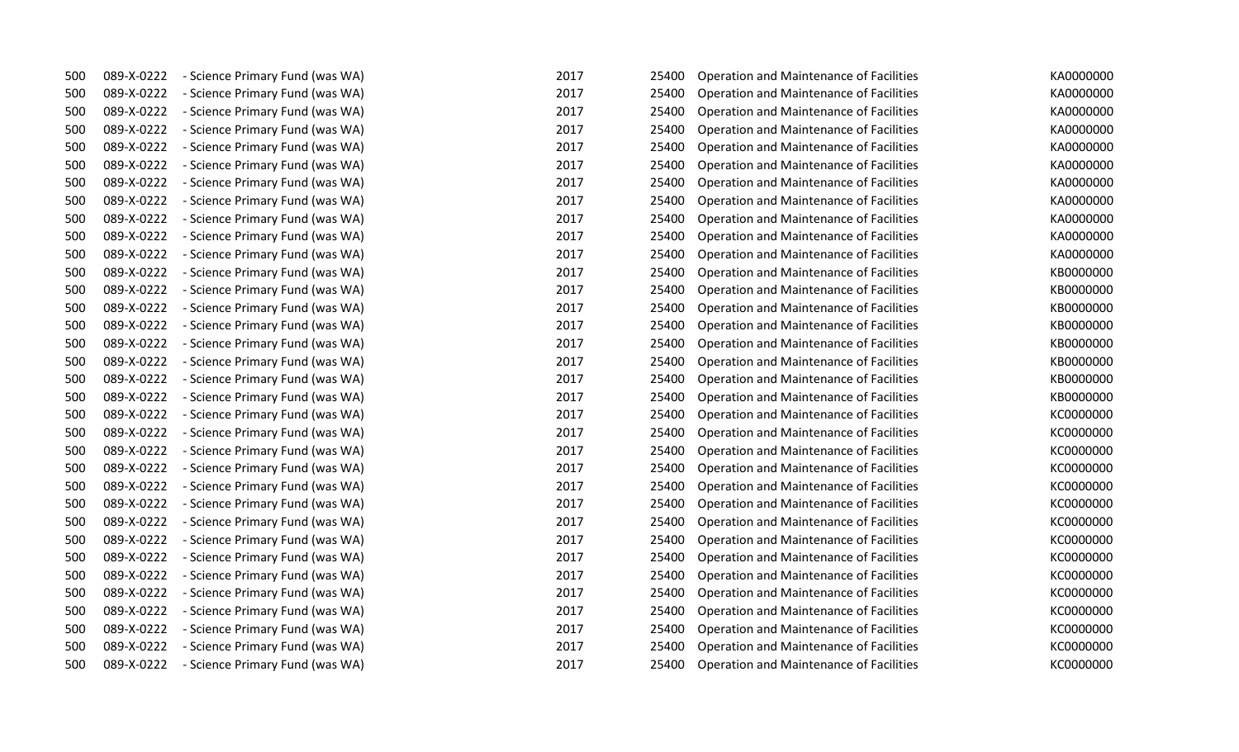| 500 | 089-X-0222 | - Science Primary Fund (was WA) | 2017 | 25400 | Operation and Maintenance of Facilities        | KA0000000 |
|-----|------------|---------------------------------|------|-------|------------------------------------------------|-----------|
| 500 | 089-X-0222 | - Science Primary Fund (was WA) | 2017 | 25400 | Operation and Maintenance of Facilities        | KA0000000 |
| 500 | 089-X-0222 | - Science Primary Fund (was WA) | 2017 | 25400 | Operation and Maintenance of Facilities        | KA0000000 |
| 500 | 089-X-0222 | - Science Primary Fund (was WA) | 2017 | 25400 | Operation and Maintenance of Facilities        | KA0000000 |
| 500 | 089-X-0222 | - Science Primary Fund (was WA) | 2017 | 25400 | Operation and Maintenance of Facilities        | KA0000000 |
| 500 | 089-X-0222 | - Science Primary Fund (was WA) | 2017 | 25400 | Operation and Maintenance of Facilities        | KA0000000 |
| 500 | 089-X-0222 | - Science Primary Fund (was WA) | 2017 | 25400 | Operation and Maintenance of Facilities        | KA0000000 |
| 500 | 089-X-0222 | - Science Primary Fund (was WA) | 2017 | 25400 | Operation and Maintenance of Facilities        | KA0000000 |
| 500 | 089-X-0222 | - Science Primary Fund (was WA) | 2017 | 25400 | Operation and Maintenance of Facilities        | KA0000000 |
| 500 | 089-X-0222 | - Science Primary Fund (was WA) | 2017 | 25400 | Operation and Maintenance of Facilities        | KA0000000 |
| 500 | 089-X-0222 | - Science Primary Fund (was WA) | 2017 | 25400 | Operation and Maintenance of Facilities        | KA0000000 |
| 500 | 089-X-0222 | - Science Primary Fund (was WA) | 2017 | 25400 | Operation and Maintenance of Facilities        | KB0000000 |
| 500 | 089-X-0222 | - Science Primary Fund (was WA) | 2017 | 25400 | Operation and Maintenance of Facilities        | KB0000000 |
| 500 | 089-X-0222 | - Science Primary Fund (was WA) | 2017 | 25400 | <b>Operation and Maintenance of Facilities</b> | KB0000000 |
| 500 | 089-X-0222 | - Science Primary Fund (was WA) | 2017 | 25400 | Operation and Maintenance of Facilities        | KB0000000 |
| 500 | 089-X-0222 | - Science Primary Fund (was WA) | 2017 | 25400 | Operation and Maintenance of Facilities        | KB0000000 |
| 500 | 089-X-0222 | - Science Primary Fund (was WA) | 2017 | 25400 | Operation and Maintenance of Facilities        | KB0000000 |
| 500 | 089-X-0222 | - Science Primary Fund (was WA) | 2017 | 25400 | Operation and Maintenance of Facilities        | KB0000000 |
| 500 | 089-X-0222 | - Science Primary Fund (was WA) | 2017 | 25400 | <b>Operation and Maintenance of Facilities</b> | KB0000000 |
| 500 | 089-X-0222 | - Science Primary Fund (was WA) | 2017 | 25400 | Operation and Maintenance of Facilities        | KC0000000 |
| 500 | 089-X-0222 | - Science Primary Fund (was WA) | 2017 | 25400 | Operation and Maintenance of Facilities        | KC0000000 |
| 500 | 089-X-0222 | - Science Primary Fund (was WA) | 2017 | 25400 | Operation and Maintenance of Facilities        | KC0000000 |
| 500 | 089-X-0222 | - Science Primary Fund (was WA) | 2017 | 25400 | Operation and Maintenance of Facilities        | KC0000000 |
| 500 | 089-X-0222 | - Science Primary Fund (was WA) | 2017 | 25400 | <b>Operation and Maintenance of Facilities</b> | KC0000000 |
| 500 | 089-X-0222 | - Science Primary Fund (was WA) | 2017 | 25400 | Operation and Maintenance of Facilities        | KC0000000 |
| 500 | 089-X-0222 | - Science Primary Fund (was WA) | 2017 | 25400 | Operation and Maintenance of Facilities        | KC0000000 |
| 500 | 089-X-0222 | - Science Primary Fund (was WA) | 2017 | 25400 | Operation and Maintenance of Facilities        | KC0000000 |
| 500 | 089-X-0222 | - Science Primary Fund (was WA) | 2017 | 25400 | Operation and Maintenance of Facilities        | KC0000000 |
| 500 | 089-X-0222 | - Science Primary Fund (was WA) | 2017 | 25400 | Operation and Maintenance of Facilities        | KC0000000 |
| 500 | 089-X-0222 | - Science Primary Fund (was WA) | 2017 | 25400 | Operation and Maintenance of Facilities        | KC0000000 |
| 500 | 089-X-0222 | - Science Primary Fund (was WA) | 2017 | 25400 | Operation and Maintenance of Facilities        | KC0000000 |
| 500 | 089-X-0222 | - Science Primary Fund (was WA) | 2017 | 25400 | Operation and Maintenance of Facilities        | KC0000000 |
| 500 | 089-X-0222 | - Science Primary Fund (was WA) | 2017 | 25400 | Operation and Maintenance of Facilities        | KC0000000 |
| 500 | 089-X-0222 | - Science Primary Fund (was WA) | 2017 | 25400 | Operation and Maintenance of Facilities        | KC0000000 |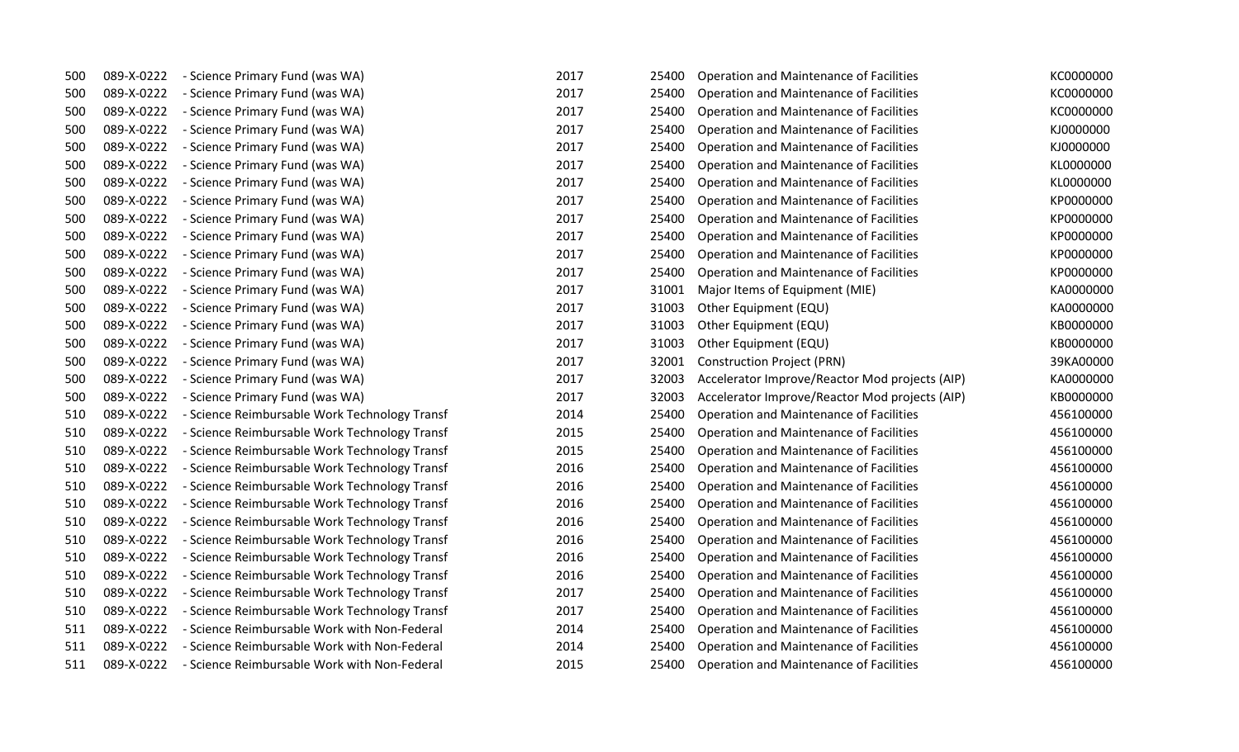| 500 | 089-X-0222 | - Science Primary Fund (was WA)               | 2017 | 25400 | Operation and Maintenance of Facilities        | KC0000000 |
|-----|------------|-----------------------------------------------|------|-------|------------------------------------------------|-----------|
| 500 | 089-X-0222 | - Science Primary Fund (was WA)               | 2017 | 25400 | Operation and Maintenance of Facilities        | KC0000000 |
| 500 | 089-X-0222 | - Science Primary Fund (was WA)               | 2017 | 25400 | Operation and Maintenance of Facilities        | KC0000000 |
| 500 | 089-X-0222 | - Science Primary Fund (was WA)               | 2017 | 25400 | Operation and Maintenance of Facilities        | KJ0000000 |
| 500 | 089-X-0222 | - Science Primary Fund (was WA)               | 2017 | 25400 | Operation and Maintenance of Facilities        | KJ0000000 |
| 500 | 089-X-0222 | - Science Primary Fund (was WA)               | 2017 | 25400 | Operation and Maintenance of Facilities        | KL0000000 |
| 500 | 089-X-0222 | - Science Primary Fund (was WA)               | 2017 | 25400 | Operation and Maintenance of Facilities        | KL0000000 |
| 500 | 089-X-0222 | - Science Primary Fund (was WA)               | 2017 | 25400 | Operation and Maintenance of Facilities        | KP0000000 |
| 500 | 089-X-0222 | - Science Primary Fund (was WA)               | 2017 | 25400 | Operation and Maintenance of Facilities        | KP0000000 |
| 500 | 089-X-0222 | - Science Primary Fund (was WA)               | 2017 | 25400 | Operation and Maintenance of Facilities        | KP0000000 |
| 500 | 089-X-0222 | - Science Primary Fund (was WA)               | 2017 | 25400 | Operation and Maintenance of Facilities        | KP0000000 |
| 500 | 089-X-0222 | - Science Primary Fund (was WA)               | 2017 | 25400 | Operation and Maintenance of Facilities        | KP0000000 |
| 500 | 089-X-0222 | - Science Primary Fund (was WA)               | 2017 | 31001 | Major Items of Equipment (MIE)                 | KA0000000 |
| 500 | 089-X-0222 | - Science Primary Fund (was WA)               | 2017 | 31003 | Other Equipment (EQU)                          | KA0000000 |
| 500 | 089-X-0222 | - Science Primary Fund (was WA)               | 2017 | 31003 | Other Equipment (EQU)                          | KB0000000 |
| 500 | 089-X-0222 | - Science Primary Fund (was WA)               | 2017 | 31003 | Other Equipment (EQU)                          | KB0000000 |
| 500 | 089-X-0222 | - Science Primary Fund (was WA)               | 2017 | 32001 | <b>Construction Project (PRN)</b>              | 39KA00000 |
| 500 | 089-X-0222 | - Science Primary Fund (was WA)               | 2017 | 32003 | Accelerator Improve/Reactor Mod projects (AIP) | KA0000000 |
| 500 | 089-X-0222 | - Science Primary Fund (was WA)               | 2017 | 32003 | Accelerator Improve/Reactor Mod projects (AIP) | KB0000000 |
| 510 | 089-X-0222 | - Science Reimbursable Work Technology Transf | 2014 | 25400 | Operation and Maintenance of Facilities        | 456100000 |
| 510 | 089-X-0222 | - Science Reimbursable Work Technology Transf | 2015 | 25400 | Operation and Maintenance of Facilities        | 456100000 |
| 510 | 089-X-0222 | - Science Reimbursable Work Technology Transf | 2015 | 25400 | <b>Operation and Maintenance of Facilities</b> | 456100000 |
| 510 | 089-X-0222 | - Science Reimbursable Work Technology Transf | 2016 | 25400 | Operation and Maintenance of Facilities        | 456100000 |
| 510 | 089-X-0222 | - Science Reimbursable Work Technology Transf | 2016 | 25400 | Operation and Maintenance of Facilities        | 456100000 |
| 510 | 089-X-0222 | - Science Reimbursable Work Technology Transf | 2016 | 25400 | Operation and Maintenance of Facilities        | 456100000 |
| 510 | 089-X-0222 | - Science Reimbursable Work Technology Transf | 2016 | 25400 | Operation and Maintenance of Facilities        | 456100000 |
| 510 | 089-X-0222 | - Science Reimbursable Work Technology Transf | 2016 | 25400 | Operation and Maintenance of Facilities        | 456100000 |
| 510 | 089-X-0222 | - Science Reimbursable Work Technology Transf | 2016 | 25400 | Operation and Maintenance of Facilities        | 456100000 |
| 510 | 089-X-0222 | - Science Reimbursable Work Technology Transf | 2016 | 25400 | Operation and Maintenance of Facilities        | 456100000 |
| 510 | 089-X-0222 | - Science Reimbursable Work Technology Transf | 2017 | 25400 | Operation and Maintenance of Facilities        | 456100000 |
| 510 | 089-X-0222 | - Science Reimbursable Work Technology Transf | 2017 | 25400 | Operation and Maintenance of Facilities        | 456100000 |
| 511 | 089-X-0222 | - Science Reimbursable Work with Non-Federal  | 2014 | 25400 | Operation and Maintenance of Facilities        | 456100000 |
| 511 | 089-X-0222 | - Science Reimbursable Work with Non-Federal  | 2014 | 25400 | Operation and Maintenance of Facilities        | 456100000 |
| 511 | 089-X-0222 | - Science Reimbursable Work with Non-Federal  | 2015 | 25400 | Operation and Maintenance of Facilities        | 456100000 |
|     |            |                                               |      |       |                                                |           |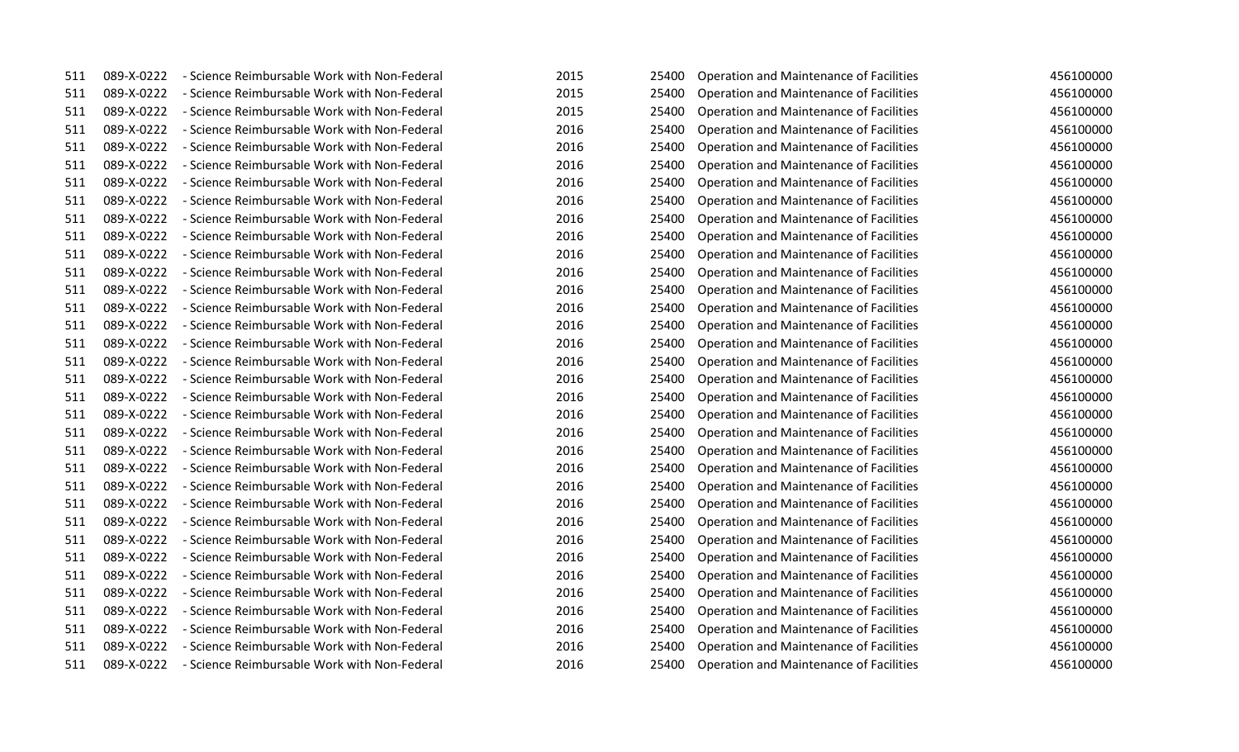| 511 | 089-X-0222 | - Science Reimbursable Work with Non-Federal | 2015 | 25400 | Operation and Maintenance of Facilities        | 456100000 |
|-----|------------|----------------------------------------------|------|-------|------------------------------------------------|-----------|
| 511 | 089-X-0222 | - Science Reimbursable Work with Non-Federal | 2015 | 25400 | Operation and Maintenance of Facilities        | 456100000 |
| 511 | 089-X-0222 | - Science Reimbursable Work with Non-Federal | 2015 | 25400 | Operation and Maintenance of Facilities        | 456100000 |
| 511 | 089-X-0222 | - Science Reimbursable Work with Non-Federal | 2016 | 25400 | Operation and Maintenance of Facilities        | 456100000 |
| 511 | 089-X-0222 | - Science Reimbursable Work with Non-Federal | 2016 | 25400 | Operation and Maintenance of Facilities        | 456100000 |
| 511 | 089-X-0222 | - Science Reimbursable Work with Non-Federal | 2016 | 25400 | Operation and Maintenance of Facilities        | 456100000 |
| 511 | 089-X-0222 | - Science Reimbursable Work with Non-Federal | 2016 | 25400 | Operation and Maintenance of Facilities        | 456100000 |
| 511 | 089-X-0222 | - Science Reimbursable Work with Non-Federal | 2016 | 25400 | Operation and Maintenance of Facilities        | 456100000 |
| 511 | 089-X-0222 | - Science Reimbursable Work with Non-Federal | 2016 | 25400 | Operation and Maintenance of Facilities        | 456100000 |
| 511 | 089-X-0222 | - Science Reimbursable Work with Non-Federal | 2016 | 25400 | Operation and Maintenance of Facilities        | 456100000 |
| 511 | 089-X-0222 | - Science Reimbursable Work with Non-Federal | 2016 | 25400 | Operation and Maintenance of Facilities        | 456100000 |
| 511 | 089-X-0222 | - Science Reimbursable Work with Non-Federal | 2016 | 25400 | Operation and Maintenance of Facilities        | 456100000 |
| 511 | 089-X-0222 | - Science Reimbursable Work with Non-Federal | 2016 | 25400 | Operation and Maintenance of Facilities        | 456100000 |
| 511 | 089-X-0222 | - Science Reimbursable Work with Non-Federal | 2016 | 25400 | Operation and Maintenance of Facilities        | 456100000 |
| 511 | 089-X-0222 | - Science Reimbursable Work with Non-Federal | 2016 | 25400 | Operation and Maintenance of Facilities        | 456100000 |
| 511 | 089-X-0222 | - Science Reimbursable Work with Non-Federal | 2016 | 25400 | Operation and Maintenance of Facilities        | 456100000 |
| 511 | 089-X-0222 | - Science Reimbursable Work with Non-Federal | 2016 | 25400 | Operation and Maintenance of Facilities        | 456100000 |
| 511 | 089-X-0222 | - Science Reimbursable Work with Non-Federal | 2016 | 25400 | Operation and Maintenance of Facilities        | 456100000 |
| 511 | 089-X-0222 | - Science Reimbursable Work with Non-Federal | 2016 | 25400 | Operation and Maintenance of Facilities        | 456100000 |
| 511 | 089-X-0222 | - Science Reimbursable Work with Non-Federal | 2016 | 25400 | Operation and Maintenance of Facilities        | 456100000 |
| 511 | 089-X-0222 | - Science Reimbursable Work with Non-Federal | 2016 | 25400 | Operation and Maintenance of Facilities        | 456100000 |
| 511 | 089-X-0222 | - Science Reimbursable Work with Non-Federal | 2016 | 25400 | Operation and Maintenance of Facilities        | 456100000 |
| 511 | 089-X-0222 | - Science Reimbursable Work with Non-Federal | 2016 | 25400 | Operation and Maintenance of Facilities        | 456100000 |
| 511 | 089-X-0222 | - Science Reimbursable Work with Non-Federal | 2016 | 25400 | Operation and Maintenance of Facilities        | 456100000 |
| 511 | 089-X-0222 | - Science Reimbursable Work with Non-Federal | 2016 | 25400 | Operation and Maintenance of Facilities        | 456100000 |
| 511 | 089-X-0222 | - Science Reimbursable Work with Non-Federal | 2016 | 25400 | Operation and Maintenance of Facilities        | 456100000 |
| 511 | 089-X-0222 | - Science Reimbursable Work with Non-Federal | 2016 | 25400 | Operation and Maintenance of Facilities        | 456100000 |
| 511 | 089-X-0222 | - Science Reimbursable Work with Non-Federal | 2016 | 25400 | Operation and Maintenance of Facilities        | 456100000 |
| 511 | 089-X-0222 | - Science Reimbursable Work with Non-Federal | 2016 | 25400 | Operation and Maintenance of Facilities        | 456100000 |
| 511 | 089-X-0222 | - Science Reimbursable Work with Non-Federal | 2016 | 25400 | Operation and Maintenance of Facilities        | 456100000 |
| 511 | 089-X-0222 | - Science Reimbursable Work with Non-Federal | 2016 | 25400 | Operation and Maintenance of Facilities        | 456100000 |
| 511 | 089-X-0222 | - Science Reimbursable Work with Non-Federal | 2016 | 25400 | Operation and Maintenance of Facilities        | 456100000 |
| 511 | 089-X-0222 | - Science Reimbursable Work with Non-Federal | 2016 | 25400 | Operation and Maintenance of Facilities        | 456100000 |
| 511 | 089-X-0222 | - Science Reimbursable Work with Non-Federal | 2016 | 25400 | <b>Operation and Maintenance of Facilities</b> | 456100000 |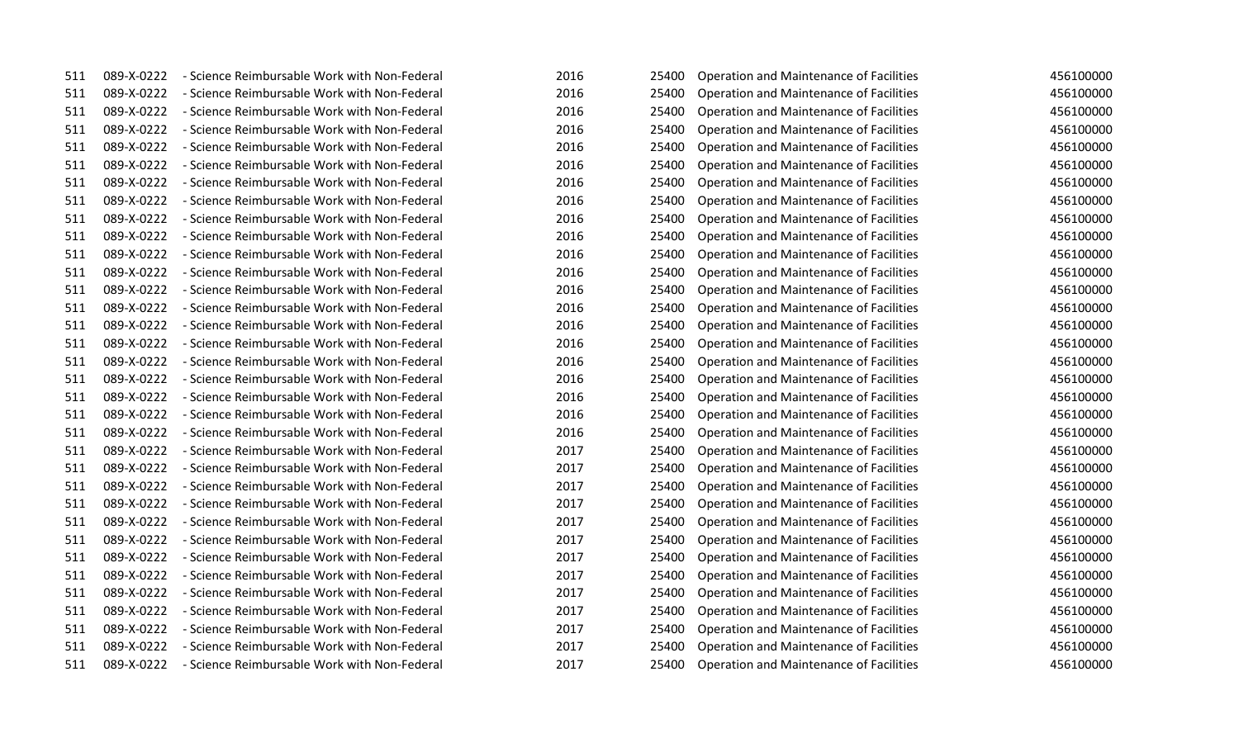| 511 | 089-X-0222 | - Science Reimbursable Work with Non-Federal | 2016 | 25400 | Operation and Maintenance of Facilities        | 456100000 |
|-----|------------|----------------------------------------------|------|-------|------------------------------------------------|-----------|
| 511 | 089-X-0222 | - Science Reimbursable Work with Non-Federal | 2016 | 25400 | Operation and Maintenance of Facilities        | 456100000 |
| 511 | 089-X-0222 | - Science Reimbursable Work with Non-Federal | 2016 | 25400 | Operation and Maintenance of Facilities        | 456100000 |
| 511 | 089-X-0222 | - Science Reimbursable Work with Non-Federal | 2016 | 25400 | Operation and Maintenance of Facilities        | 456100000 |
| 511 | 089-X-0222 | - Science Reimbursable Work with Non-Federal | 2016 | 25400 | Operation and Maintenance of Facilities        | 456100000 |
| 511 | 089-X-0222 | - Science Reimbursable Work with Non-Federal | 2016 | 25400 | Operation and Maintenance of Facilities        | 456100000 |
| 511 | 089-X-0222 | - Science Reimbursable Work with Non-Federal | 2016 | 25400 | Operation and Maintenance of Facilities        | 456100000 |
| 511 | 089-X-0222 | - Science Reimbursable Work with Non-Federal | 2016 | 25400 | Operation and Maintenance of Facilities        | 456100000 |
| 511 | 089-X-0222 | - Science Reimbursable Work with Non-Federal | 2016 | 25400 | Operation and Maintenance of Facilities        | 456100000 |
| 511 | 089-X-0222 | - Science Reimbursable Work with Non-Federal | 2016 | 25400 | Operation and Maintenance of Facilities        | 456100000 |
| 511 | 089-X-0222 | - Science Reimbursable Work with Non-Federal | 2016 | 25400 | Operation and Maintenance of Facilities        | 456100000 |
| 511 | 089-X-0222 | - Science Reimbursable Work with Non-Federal | 2016 | 25400 | Operation and Maintenance of Facilities        | 456100000 |
| 511 | 089-X-0222 | - Science Reimbursable Work with Non-Federal | 2016 | 25400 | Operation and Maintenance of Facilities        | 456100000 |
| 511 | 089-X-0222 | - Science Reimbursable Work with Non-Federal | 2016 | 25400 | Operation and Maintenance of Facilities        | 456100000 |
| 511 | 089-X-0222 | - Science Reimbursable Work with Non-Federal | 2016 | 25400 | Operation and Maintenance of Facilities        | 456100000 |
| 511 | 089-X-0222 | - Science Reimbursable Work with Non-Federal | 2016 | 25400 | <b>Operation and Maintenance of Facilities</b> | 456100000 |
| 511 | 089-X-0222 | - Science Reimbursable Work with Non-Federal | 2016 | 25400 | Operation and Maintenance of Facilities        | 456100000 |
| 511 | 089-X-0222 | - Science Reimbursable Work with Non-Federal | 2016 | 25400 | Operation and Maintenance of Facilities        | 456100000 |
| 511 | 089-X-0222 | - Science Reimbursable Work with Non-Federal | 2016 | 25400 | Operation and Maintenance of Facilities        | 456100000 |
| 511 | 089-X-0222 | - Science Reimbursable Work with Non-Federal | 2016 | 25400 | Operation and Maintenance of Facilities        | 456100000 |
| 511 | 089-X-0222 | - Science Reimbursable Work with Non-Federal | 2016 | 25400 | Operation and Maintenance of Facilities        | 456100000 |
| 511 | 089-X-0222 | - Science Reimbursable Work with Non-Federal | 2017 | 25400 | Operation and Maintenance of Facilities        | 456100000 |
| 511 | 089-X-0222 | - Science Reimbursable Work with Non-Federal | 2017 | 25400 | Operation and Maintenance of Facilities        | 456100000 |
| 511 | 089-X-0222 | - Science Reimbursable Work with Non-Federal | 2017 | 25400 | Operation and Maintenance of Facilities        | 456100000 |
| 511 | 089-X-0222 | - Science Reimbursable Work with Non-Federal | 2017 | 25400 | Operation and Maintenance of Facilities        | 456100000 |
| 511 | 089-X-0222 | - Science Reimbursable Work with Non-Federal | 2017 | 25400 | <b>Operation and Maintenance of Facilities</b> | 456100000 |
| 511 | 089-X-0222 | - Science Reimbursable Work with Non-Federal | 2017 | 25400 | Operation and Maintenance of Facilities        | 456100000 |
| 511 | 089-X-0222 | - Science Reimbursable Work with Non-Federal | 2017 | 25400 | Operation and Maintenance of Facilities        | 456100000 |
| 511 | 089-X-0222 | - Science Reimbursable Work with Non-Federal | 2017 | 25400 | Operation and Maintenance of Facilities        | 456100000 |
| 511 | 089-X-0222 | - Science Reimbursable Work with Non-Federal | 2017 | 25400 | Operation and Maintenance of Facilities        | 456100000 |
| 511 | 089-X-0222 | - Science Reimbursable Work with Non-Federal | 2017 | 25400 | Operation and Maintenance of Facilities        | 456100000 |
| 511 | 089-X-0222 | - Science Reimbursable Work with Non-Federal | 2017 | 25400 | Operation and Maintenance of Facilities        | 456100000 |
| 511 | 089-X-0222 | - Science Reimbursable Work with Non-Federal | 2017 | 25400 | Operation and Maintenance of Facilities        | 456100000 |
| 511 | 089-X-0222 | - Science Reimbursable Work with Non-Federal | 2017 | 25400 | <b>Operation and Maintenance of Facilities</b> | 456100000 |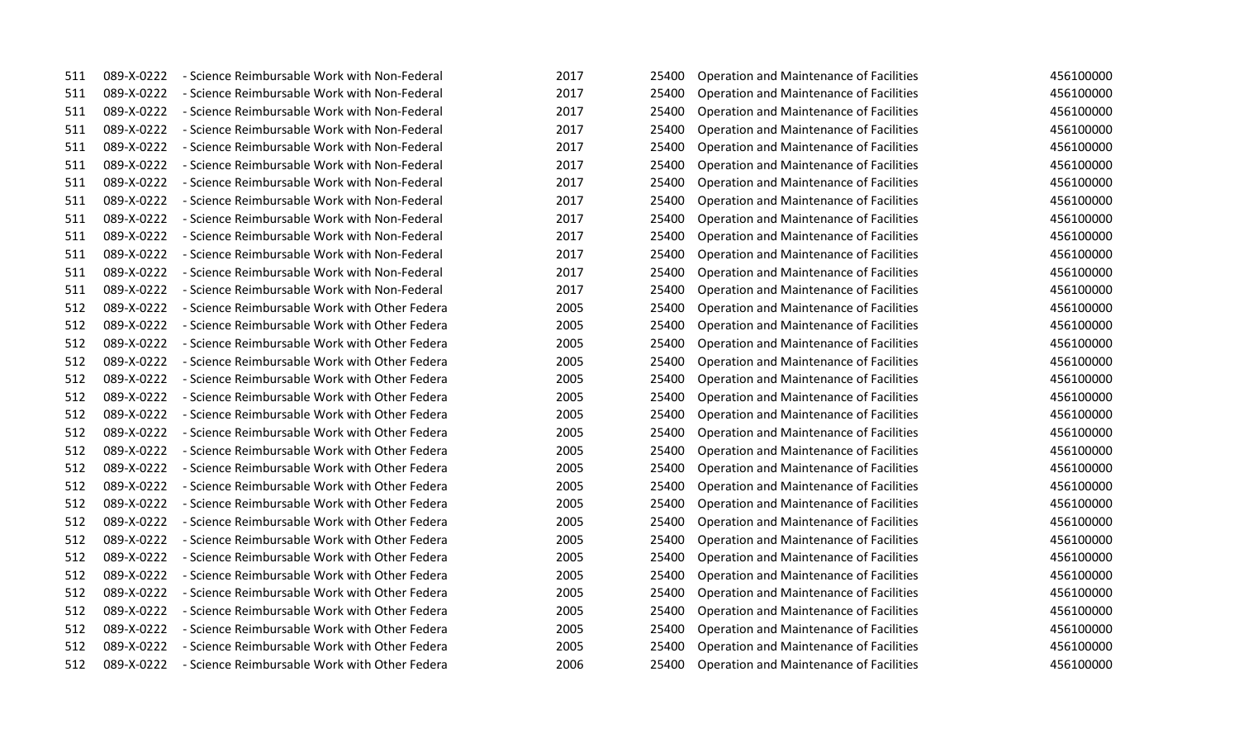| 511 | 089-X-0222 | - Science Reimbursable Work with Non-Federal  | 2017 | 25400 | Operation and Maintenance of Facilities        | 456100000 |
|-----|------------|-----------------------------------------------|------|-------|------------------------------------------------|-----------|
| 511 | 089-X-0222 | - Science Reimbursable Work with Non-Federal  | 2017 | 25400 | Operation and Maintenance of Facilities        | 456100000 |
| 511 | 089-X-0222 | - Science Reimbursable Work with Non-Federal  | 2017 | 25400 | Operation and Maintenance of Facilities        | 456100000 |
| 511 | 089-X-0222 | - Science Reimbursable Work with Non-Federal  | 2017 | 25400 | Operation and Maintenance of Facilities        | 456100000 |
| 511 | 089-X-0222 | - Science Reimbursable Work with Non-Federal  | 2017 | 25400 | Operation and Maintenance of Facilities        | 456100000 |
| 511 | 089-X-0222 | - Science Reimbursable Work with Non-Federal  | 2017 | 25400 | Operation and Maintenance of Facilities        | 456100000 |
| 511 | 089-X-0222 | - Science Reimbursable Work with Non-Federal  | 2017 | 25400 | Operation and Maintenance of Facilities        | 456100000 |
| 511 | 089-X-0222 | - Science Reimbursable Work with Non-Federal  | 2017 | 25400 | Operation and Maintenance of Facilities        | 456100000 |
| 511 | 089-X-0222 | - Science Reimbursable Work with Non-Federal  | 2017 | 25400 | Operation and Maintenance of Facilities        | 456100000 |
| 511 | 089-X-0222 | - Science Reimbursable Work with Non-Federal  | 2017 | 25400 | Operation and Maintenance of Facilities        | 456100000 |
| 511 | 089-X-0222 | - Science Reimbursable Work with Non-Federal  | 2017 | 25400 | Operation and Maintenance of Facilities        | 456100000 |
| 511 | 089-X-0222 | - Science Reimbursable Work with Non-Federal  | 2017 | 25400 | Operation and Maintenance of Facilities        | 456100000 |
| 511 | 089-X-0222 | - Science Reimbursable Work with Non-Federal  | 2017 | 25400 | Operation and Maintenance of Facilities        | 456100000 |
| 512 | 089-X-0222 | - Science Reimbursable Work with Other Federa | 2005 | 25400 | Operation and Maintenance of Facilities        | 456100000 |
| 512 | 089-X-0222 | - Science Reimbursable Work with Other Federa | 2005 | 25400 | Operation and Maintenance of Facilities        | 456100000 |
| 512 | 089-X-0222 | - Science Reimbursable Work with Other Federa | 2005 | 25400 | Operation and Maintenance of Facilities        | 456100000 |
| 512 | 089-X-0222 | - Science Reimbursable Work with Other Federa | 2005 | 25400 | Operation and Maintenance of Facilities        | 456100000 |
| 512 | 089-X-0222 | - Science Reimbursable Work with Other Federa | 2005 | 25400 | Operation and Maintenance of Facilities        | 456100000 |
| 512 | 089-X-0222 | - Science Reimbursable Work with Other Federa | 2005 | 25400 | Operation and Maintenance of Facilities        | 456100000 |
| 512 | 089-X-0222 | - Science Reimbursable Work with Other Federa | 2005 | 25400 | Operation and Maintenance of Facilities        | 456100000 |
| 512 | 089-X-0222 | - Science Reimbursable Work with Other Federa | 2005 | 25400 | Operation and Maintenance of Facilities        | 456100000 |
| 512 | 089-X-0222 | - Science Reimbursable Work with Other Federa | 2005 | 25400 | Operation and Maintenance of Facilities        | 456100000 |
| 512 | 089-X-0222 | - Science Reimbursable Work with Other Federa | 2005 | 25400 | Operation and Maintenance of Facilities        | 456100000 |
| 512 | 089-X-0222 | - Science Reimbursable Work with Other Federa | 2005 | 25400 | Operation and Maintenance of Facilities        | 456100000 |
| 512 | 089-X-0222 | - Science Reimbursable Work with Other Federa | 2005 | 25400 | Operation and Maintenance of Facilities        | 456100000 |
| 512 | 089-X-0222 | - Science Reimbursable Work with Other Federa | 2005 | 25400 | Operation and Maintenance of Facilities        | 456100000 |
| 512 | 089-X-0222 | - Science Reimbursable Work with Other Federa | 2005 | 25400 | Operation and Maintenance of Facilities        | 456100000 |
| 512 | 089-X-0222 | - Science Reimbursable Work with Other Federa | 2005 | 25400 | Operation and Maintenance of Facilities        | 456100000 |
| 512 | 089-X-0222 | - Science Reimbursable Work with Other Federa | 2005 | 25400 | Operation and Maintenance of Facilities        | 456100000 |
| 512 | 089-X-0222 | - Science Reimbursable Work with Other Federa | 2005 | 25400 | Operation and Maintenance of Facilities        | 456100000 |
| 512 | 089-X-0222 | - Science Reimbursable Work with Other Federa | 2005 | 25400 | Operation and Maintenance of Facilities        | 456100000 |
| 512 | 089-X-0222 | - Science Reimbursable Work with Other Federa | 2005 | 25400 | <b>Operation and Maintenance of Facilities</b> | 456100000 |
| 512 | 089-X-0222 | - Science Reimbursable Work with Other Federa | 2005 | 25400 | Operation and Maintenance of Facilities        | 456100000 |
| 512 | 089-X-0222 | - Science Reimbursable Work with Other Federa | 2006 | 25400 | <b>Operation and Maintenance of Facilities</b> | 456100000 |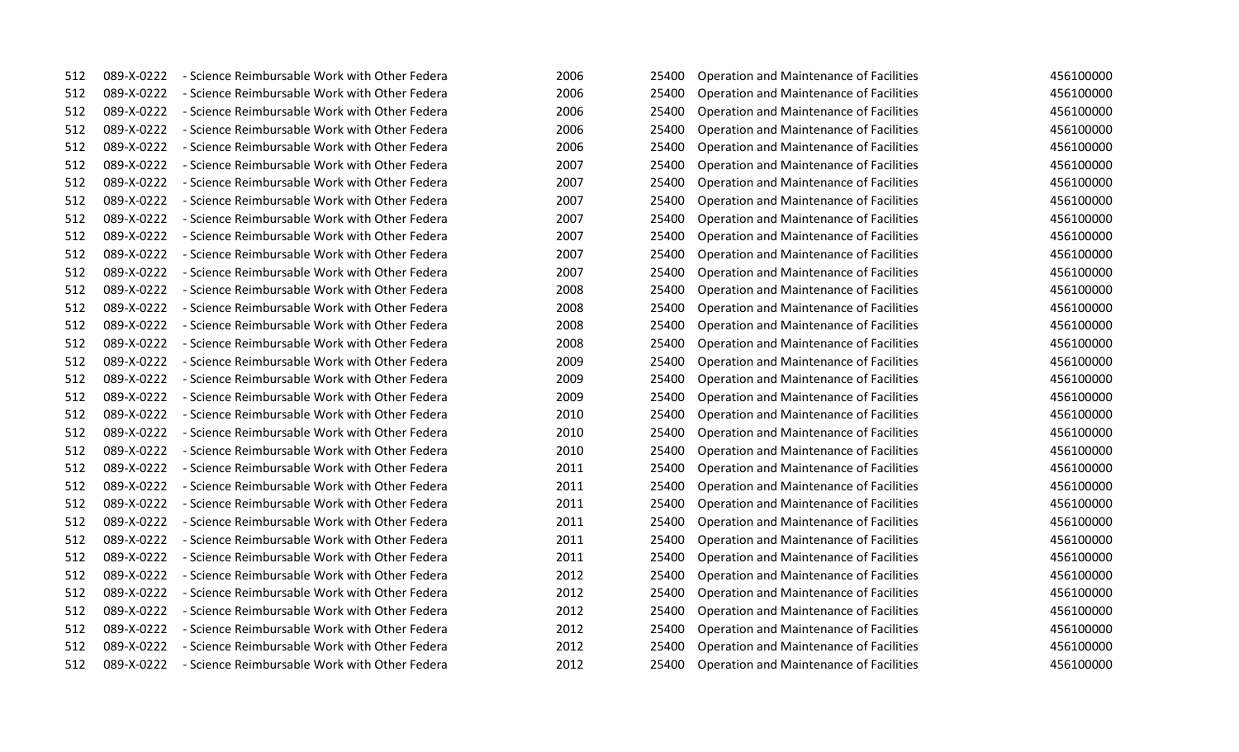| 512 | 089-X-0222 | - Science Reimbursable Work with Other Federa | 2006 | 25400 | Operation and Maintenance of Facilities        | 456100000 |
|-----|------------|-----------------------------------------------|------|-------|------------------------------------------------|-----------|
| 512 | 089-X-0222 | - Science Reimbursable Work with Other Federa | 2006 | 25400 | Operation and Maintenance of Facilities        | 456100000 |
| 512 | 089-X-0222 | - Science Reimbursable Work with Other Federa | 2006 | 25400 | Operation and Maintenance of Facilities        | 456100000 |
| 512 | 089-X-0222 | - Science Reimbursable Work with Other Federa | 2006 | 25400 | Operation and Maintenance of Facilities        | 456100000 |
| 512 | 089-X-0222 | - Science Reimbursable Work with Other Federa | 2006 | 25400 | Operation and Maintenance of Facilities        | 456100000 |
| 512 | 089-X-0222 | - Science Reimbursable Work with Other Federa | 2007 | 25400 | Operation and Maintenance of Facilities        | 456100000 |
| 512 | 089-X-0222 | - Science Reimbursable Work with Other Federa | 2007 | 25400 | Operation and Maintenance of Facilities        | 456100000 |
| 512 | 089-X-0222 | - Science Reimbursable Work with Other Federa | 2007 | 25400 | <b>Operation and Maintenance of Facilities</b> | 456100000 |
| 512 | 089-X-0222 | - Science Reimbursable Work with Other Federa | 2007 | 25400 | Operation and Maintenance of Facilities        | 456100000 |
| 512 | 089-X-0222 | - Science Reimbursable Work with Other Federa | 2007 | 25400 | Operation and Maintenance of Facilities        | 456100000 |
| 512 | 089-X-0222 | - Science Reimbursable Work with Other Federa | 2007 | 25400 | Operation and Maintenance of Facilities        | 456100000 |
| 512 | 089-X-0222 | - Science Reimbursable Work with Other Federa | 2007 | 25400 | Operation and Maintenance of Facilities        | 456100000 |
| 512 | 089-X-0222 | - Science Reimbursable Work with Other Federa | 2008 | 25400 | Operation and Maintenance of Facilities        | 456100000 |
| 512 | 089-X-0222 | - Science Reimbursable Work with Other Federa | 2008 | 25400 | Operation and Maintenance of Facilities        | 456100000 |
| 512 | 089-X-0222 | - Science Reimbursable Work with Other Federa | 2008 | 25400 | Operation and Maintenance of Facilities        | 456100000 |
| 512 | 089-X-0222 | - Science Reimbursable Work with Other Federa | 2008 | 25400 | Operation and Maintenance of Facilities        | 456100000 |
| 512 | 089-X-0222 | - Science Reimbursable Work with Other Federa | 2009 | 25400 | Operation and Maintenance of Facilities        | 456100000 |
| 512 | 089-X-0222 | - Science Reimbursable Work with Other Federa | 2009 | 25400 | <b>Operation and Maintenance of Facilities</b> | 456100000 |
| 512 | 089-X-0222 | - Science Reimbursable Work with Other Federa | 2009 | 25400 | Operation and Maintenance of Facilities        | 456100000 |
| 512 | 089-X-0222 | - Science Reimbursable Work with Other Federa | 2010 | 25400 | Operation and Maintenance of Facilities        | 456100000 |
| 512 | 089-X-0222 | - Science Reimbursable Work with Other Federa | 2010 | 25400 | Operation and Maintenance of Facilities        | 456100000 |
| 512 | 089-X-0222 | - Science Reimbursable Work with Other Federa | 2010 | 25400 | Operation and Maintenance of Facilities        | 456100000 |
| 512 | 089-X-0222 | - Science Reimbursable Work with Other Federa | 2011 | 25400 | Operation and Maintenance of Facilities        | 456100000 |
| 512 | 089-X-0222 | - Science Reimbursable Work with Other Federa | 2011 | 25400 | Operation and Maintenance of Facilities        | 456100000 |
| 512 | 089-X-0222 | - Science Reimbursable Work with Other Federa | 2011 | 25400 | Operation and Maintenance of Facilities        | 456100000 |
| 512 | 089-X-0222 | - Science Reimbursable Work with Other Federa | 2011 | 25400 | Operation and Maintenance of Facilities        | 456100000 |
| 512 | 089-X-0222 | - Science Reimbursable Work with Other Federa | 2011 | 25400 | Operation and Maintenance of Facilities        | 456100000 |
| 512 | 089-X-0222 | - Science Reimbursable Work with Other Federa | 2011 | 25400 | Operation and Maintenance of Facilities        | 456100000 |
| 512 | 089-X-0222 | - Science Reimbursable Work with Other Federa | 2012 | 25400 | Operation and Maintenance of Facilities        | 456100000 |
| 512 | 089-X-0222 | - Science Reimbursable Work with Other Federa | 2012 | 25400 | Operation and Maintenance of Facilities        | 456100000 |
| 512 | 089-X-0222 | - Science Reimbursable Work with Other Federa | 2012 | 25400 | Operation and Maintenance of Facilities        | 456100000 |
| 512 | 089-X-0222 | - Science Reimbursable Work with Other Federa | 2012 | 25400 | Operation and Maintenance of Facilities        | 456100000 |
| 512 | 089-X-0222 | - Science Reimbursable Work with Other Federa | 2012 | 25400 | Operation and Maintenance of Facilities        | 456100000 |
| 512 | 089-X-0222 | - Science Reimbursable Work with Other Federa | 2012 | 25400 | <b>Operation and Maintenance of Facilities</b> | 456100000 |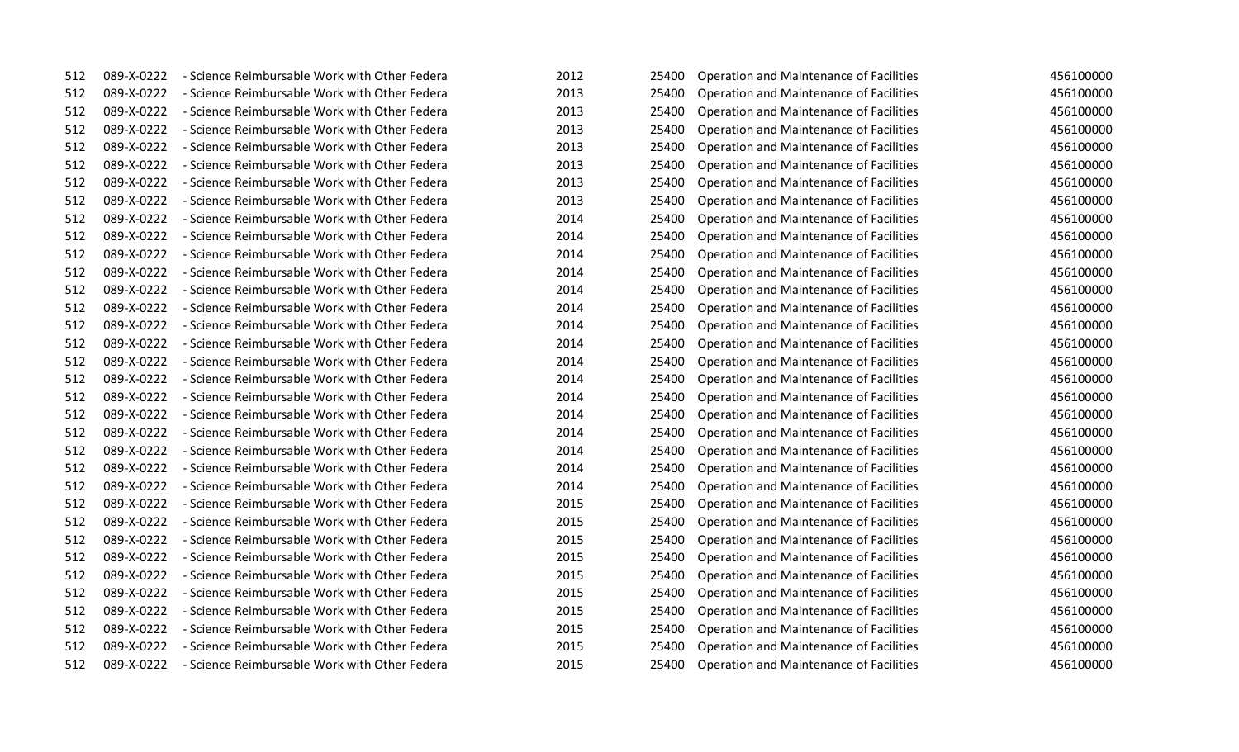| 512 | 089-X-0222 | - Science Reimbursable Work with Other Federa            | 2012 | 25400 | Operation and Maintenance of Facilities | 456100000 |
|-----|------------|----------------------------------------------------------|------|-------|-----------------------------------------|-----------|
| 512 | 089-X-0222 | - Science Reimbursable Work with Other Federa            | 2013 | 25400 | Operation and Maintenance of Facilities | 456100000 |
| 512 | 089-X-0222 | - Science Reimbursable Work with Other Federa            | 2013 | 25400 | Operation and Maintenance of Facilities | 456100000 |
| 512 | 089-X-0222 | - Science Reimbursable Work with Other Federa            | 2013 | 25400 | Operation and Maintenance of Facilities | 456100000 |
| 512 | 089-X-0222 | - Science Reimbursable Work with Other Federa            | 2013 | 25400 | Operation and Maintenance of Facilities | 456100000 |
| 512 | 089-X-0222 | - Science Reimbursable Work with Other Federa            | 2013 | 25400 | Operation and Maintenance of Facilities | 456100000 |
| 512 | 089-X-0222 | - Science Reimbursable Work with Other Federa            | 2013 | 25400 | Operation and Maintenance of Facilities | 456100000 |
| 512 | 089-X-0222 | - Science Reimbursable Work with Other Federa            | 2013 | 25400 | Operation and Maintenance of Facilities | 456100000 |
| 512 | 089-X-0222 | - Science Reimbursable Work with Other Federa            | 2014 | 25400 | Operation and Maintenance of Facilities | 456100000 |
| 512 | 089-X-0222 | - Science Reimbursable Work with Other Federa            | 2014 | 25400 | Operation and Maintenance of Facilities | 456100000 |
| 512 | 089-X-0222 | - Science Reimbursable Work with Other Federa            | 2014 | 25400 | Operation and Maintenance of Facilities | 456100000 |
| 512 | 089-X-0222 | - Science Reimbursable Work with Other Federa            | 2014 | 25400 | Operation and Maintenance of Facilities | 456100000 |
| 512 | 089-X-0222 | - Science Reimbursable Work with Other Federa            | 2014 | 25400 | Operation and Maintenance of Facilities | 456100000 |
| 512 | 089-X-0222 | - Science Reimbursable Work with Other Federa            | 2014 | 25400 | Operation and Maintenance of Facilities | 456100000 |
| 512 | 089-X-0222 | - Science Reimbursable Work with Other Federa            | 2014 | 25400 | Operation and Maintenance of Facilities | 456100000 |
| 512 | 089-X-0222 | - Science Reimbursable Work with Other Federa            | 2014 | 25400 | Operation and Maintenance of Facilities | 456100000 |
| 512 | 089-X-0222 | - Science Reimbursable Work with Other Federa            | 2014 | 25400 | Operation and Maintenance of Facilities | 456100000 |
| 512 | 089-X-0222 | - Science Reimbursable Work with Other Federa            | 2014 | 25400 | Operation and Maintenance of Facilities | 456100000 |
| 512 | 089-X-0222 | - Science Reimbursable Work with Other Federa            | 2014 | 25400 | Operation and Maintenance of Facilities | 456100000 |
| 512 | 089-X-0222 | - Science Reimbursable Work with Other Federa            | 2014 | 25400 | Operation and Maintenance of Facilities | 456100000 |
| 512 | 089-X-0222 | - Science Reimbursable Work with Other Federa            | 2014 | 25400 | Operation and Maintenance of Facilities | 456100000 |
| 512 | 089-X-0222 | - Science Reimbursable Work with Other Federa            | 2014 | 25400 | Operation and Maintenance of Facilities | 456100000 |
| 512 | 089-X-0222 | - Science Reimbursable Work with Other Federa            | 2014 | 25400 | Operation and Maintenance of Facilities | 456100000 |
| 512 | 089-X-0222 | - Science Reimbursable Work with Other Federa            | 2014 | 25400 | Operation and Maintenance of Facilities | 456100000 |
| 512 | 089-X-0222 | - Science Reimbursable Work with Other Federa            | 2015 | 25400 | Operation and Maintenance of Facilities | 456100000 |
| 512 | 089-X-0222 | - Science Reimbursable Work with Other Federa            | 2015 | 25400 | Operation and Maintenance of Facilities | 456100000 |
| 512 | 089-X-0222 | - Science Reimbursable Work with Other Federa            | 2015 | 25400 | Operation and Maintenance of Facilities | 456100000 |
| 512 | 089-X-0222 | - Science Reimbursable Work with Other Federa            | 2015 | 25400 | Operation and Maintenance of Facilities | 456100000 |
| 512 | 089-X-0222 | - Science Reimbursable Work with Other Federa            | 2015 | 25400 | Operation and Maintenance of Facilities | 456100000 |
| 512 | 089-X-0222 | - Science Reimbursable Work with Other Federa            | 2015 | 25400 | Operation and Maintenance of Facilities | 456100000 |
| 512 | 089-X-0222 | - Science Reimbursable Work with Other Federa            | 2015 | 25400 | Operation and Maintenance of Facilities | 456100000 |
| 512 | 089-X-0222 | - Science Reimbursable Work with Other Federa            | 2015 | 25400 | Operation and Maintenance of Facilities | 456100000 |
| 512 | 089-X-0222 | - Science Reimbursable Work with Other Federa            | 2015 | 25400 | Operation and Maintenance of Facilities | 456100000 |
| 512 |            | 089-X-0222 - Science Reimbursable Work with Other Federa | 2015 | 25400 | Operation and Maintenance of Facilities | 456100000 |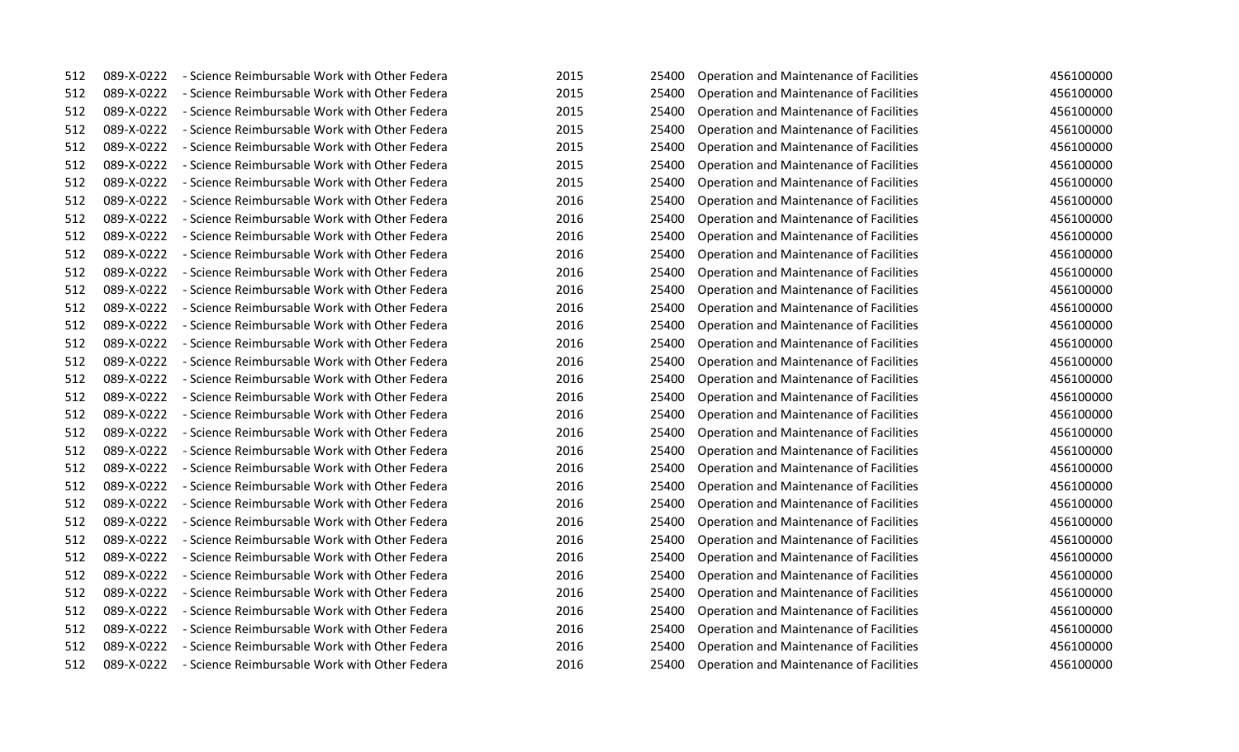| 512 | 089-X-0222 | - Science Reimbursable Work with Other Federa            | 2015 | 25400 | Operation and Maintenance of Facilities | 456100000 |
|-----|------------|----------------------------------------------------------|------|-------|-----------------------------------------|-----------|
| 512 | 089-X-0222 | - Science Reimbursable Work with Other Federa            | 2015 | 25400 | Operation and Maintenance of Facilities | 456100000 |
| 512 | 089-X-0222 | - Science Reimbursable Work with Other Federa            | 2015 | 25400 | Operation and Maintenance of Facilities | 456100000 |
| 512 | 089-X-0222 | - Science Reimbursable Work with Other Federa            | 2015 | 25400 | Operation and Maintenance of Facilities | 456100000 |
| 512 | 089-X-0222 | - Science Reimbursable Work with Other Federa            | 2015 | 25400 | Operation and Maintenance of Facilities | 456100000 |
| 512 | 089-X-0222 | - Science Reimbursable Work with Other Federa            | 2015 | 25400 | Operation and Maintenance of Facilities | 456100000 |
| 512 | 089-X-0222 | - Science Reimbursable Work with Other Federa            | 2015 | 25400 | Operation and Maintenance of Facilities | 456100000 |
| 512 | 089-X-0222 | - Science Reimbursable Work with Other Federa            | 2016 | 25400 | Operation and Maintenance of Facilities | 456100000 |
| 512 | 089-X-0222 | - Science Reimbursable Work with Other Federa            | 2016 | 25400 | Operation and Maintenance of Facilities | 456100000 |
| 512 | 089-X-0222 | - Science Reimbursable Work with Other Federa            | 2016 | 25400 | Operation and Maintenance of Facilities | 456100000 |
| 512 | 089-X-0222 | - Science Reimbursable Work with Other Federa            | 2016 | 25400 | Operation and Maintenance of Facilities | 456100000 |
| 512 | 089-X-0222 | - Science Reimbursable Work with Other Federa            | 2016 | 25400 | Operation and Maintenance of Facilities | 456100000 |
| 512 | 089-X-0222 | - Science Reimbursable Work with Other Federa            | 2016 | 25400 | Operation and Maintenance of Facilities | 456100000 |
| 512 | 089-X-0222 | - Science Reimbursable Work with Other Federa            | 2016 | 25400 | Operation and Maintenance of Facilities | 456100000 |
| 512 | 089-X-0222 | - Science Reimbursable Work with Other Federa            | 2016 | 25400 | Operation and Maintenance of Facilities | 456100000 |
| 512 | 089-X-0222 | - Science Reimbursable Work with Other Federa            | 2016 | 25400 | Operation and Maintenance of Facilities | 456100000 |
| 512 | 089-X-0222 | - Science Reimbursable Work with Other Federa            | 2016 | 25400 | Operation and Maintenance of Facilities | 456100000 |
| 512 | 089-X-0222 | - Science Reimbursable Work with Other Federa            | 2016 | 25400 | Operation and Maintenance of Facilities | 456100000 |
| 512 | 089-X-0222 | - Science Reimbursable Work with Other Federa            | 2016 | 25400 | Operation and Maintenance of Facilities | 456100000 |
| 512 | 089-X-0222 | - Science Reimbursable Work with Other Federa            | 2016 | 25400 | Operation and Maintenance of Facilities | 456100000 |
| 512 | 089-X-0222 | - Science Reimbursable Work with Other Federa            | 2016 | 25400 | Operation and Maintenance of Facilities | 456100000 |
| 512 | 089-X-0222 | - Science Reimbursable Work with Other Federa            | 2016 | 25400 | Operation and Maintenance of Facilities | 456100000 |
| 512 | 089-X-0222 | - Science Reimbursable Work with Other Federa            | 2016 | 25400 | Operation and Maintenance of Facilities | 456100000 |
| 512 | 089-X-0222 | - Science Reimbursable Work with Other Federa            | 2016 | 25400 | Operation and Maintenance of Facilities | 456100000 |
| 512 | 089-X-0222 | - Science Reimbursable Work with Other Federa            | 2016 | 25400 | Operation and Maintenance of Facilities | 456100000 |
| 512 | 089-X-0222 | - Science Reimbursable Work with Other Federa            | 2016 | 25400 | Operation and Maintenance of Facilities | 456100000 |
| 512 | 089-X-0222 | - Science Reimbursable Work with Other Federa            | 2016 | 25400 | Operation and Maintenance of Facilities | 456100000 |
| 512 | 089-X-0222 | - Science Reimbursable Work with Other Federa            | 2016 | 25400 | Operation and Maintenance of Facilities | 456100000 |
| 512 | 089-X-0222 | - Science Reimbursable Work with Other Federa            | 2016 | 25400 | Operation and Maintenance of Facilities | 456100000 |
| 512 | 089-X-0222 | - Science Reimbursable Work with Other Federa            | 2016 | 25400 | Operation and Maintenance of Facilities | 456100000 |
| 512 | 089-X-0222 | - Science Reimbursable Work with Other Federa            | 2016 | 25400 | Operation and Maintenance of Facilities | 456100000 |
| 512 | 089-X-0222 | - Science Reimbursable Work with Other Federa            | 2016 | 25400 | Operation and Maintenance of Facilities | 456100000 |
| 512 | 089-X-0222 | - Science Reimbursable Work with Other Federa            | 2016 | 25400 | Operation and Maintenance of Facilities | 456100000 |
| 512 |            | 089-X-0222 - Science Reimbursable Work with Other Federa | 2016 | 25400 | Operation and Maintenance of Facilities | 456100000 |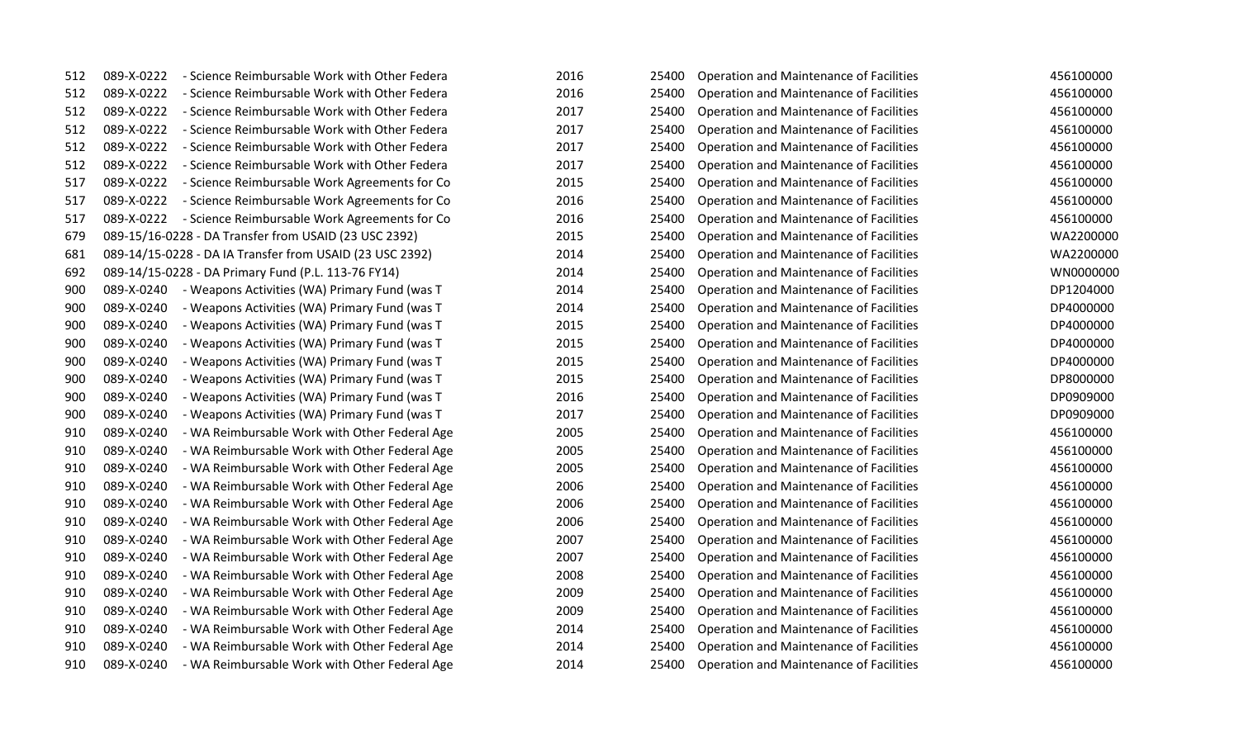| 512 | 089-X-0222 | - Science Reimbursable Work with Other Federa            | 2016 | 25400 | Operation and Maintenance of Facilities        | 456100000 |
|-----|------------|----------------------------------------------------------|------|-------|------------------------------------------------|-----------|
| 512 | 089-X-0222 | - Science Reimbursable Work with Other Federa            | 2016 | 25400 | Operation and Maintenance of Facilities        | 456100000 |
| 512 | 089-X-0222 | - Science Reimbursable Work with Other Federa            | 2017 | 25400 | Operation and Maintenance of Facilities        | 456100000 |
| 512 | 089-X-0222 | - Science Reimbursable Work with Other Federa            | 2017 | 25400 | Operation and Maintenance of Facilities        | 456100000 |
| 512 | 089-X-0222 | - Science Reimbursable Work with Other Federa            | 2017 | 25400 | Operation and Maintenance of Facilities        | 456100000 |
| 512 | 089-X-0222 | - Science Reimbursable Work with Other Federa            | 2017 | 25400 | Operation and Maintenance of Facilities        | 456100000 |
| 517 | 089-X-0222 | - Science Reimbursable Work Agreements for Co            | 2015 | 25400 | Operation and Maintenance of Facilities        | 456100000 |
| 517 | 089-X-0222 | - Science Reimbursable Work Agreements for Co            | 2016 | 25400 | Operation and Maintenance of Facilities        | 456100000 |
| 517 |            | 089-X-0222 - Science Reimbursable Work Agreements for Co | 2016 | 25400 | Operation and Maintenance of Facilities        | 456100000 |
| 679 |            | 089-15/16-0228 - DA Transfer from USAID (23 USC 2392)    | 2015 | 25400 | Operation and Maintenance of Facilities        | WA2200000 |
| 681 |            | 089-14/15-0228 - DA IA Transfer from USAID (23 USC 2392) | 2014 | 25400 | Operation and Maintenance of Facilities        | WA2200000 |
| 692 |            | 089-14/15-0228 - DA Primary Fund (P.L. 113-76 FY14)      | 2014 | 25400 | Operation and Maintenance of Facilities        | WN0000000 |
| 900 | 089-X-0240 | - Weapons Activities (WA) Primary Fund (was T            | 2014 | 25400 | Operation and Maintenance of Facilities        | DP1204000 |
| 900 | 089-X-0240 | - Weapons Activities (WA) Primary Fund (was T            | 2014 | 25400 | Operation and Maintenance of Facilities        | DP4000000 |
| 900 | 089-X-0240 | - Weapons Activities (WA) Primary Fund (was T            | 2015 | 25400 | Operation and Maintenance of Facilities        | DP4000000 |
| 900 | 089-X-0240 | - Weapons Activities (WA) Primary Fund (was T            | 2015 | 25400 | Operation and Maintenance of Facilities        | DP4000000 |
| 900 | 089-X-0240 | - Weapons Activities (WA) Primary Fund (was T            | 2015 | 25400 | Operation and Maintenance of Facilities        | DP4000000 |
| 900 | 089-X-0240 | - Weapons Activities (WA) Primary Fund (was T            | 2015 | 25400 | Operation and Maintenance of Facilities        | DP8000000 |
| 900 | 089-X-0240 | - Weapons Activities (WA) Primary Fund (was T            | 2016 | 25400 | Operation and Maintenance of Facilities        | DP0909000 |
| 900 | 089-X-0240 | - Weapons Activities (WA) Primary Fund (was T            | 2017 | 25400 | Operation and Maintenance of Facilities        | DP0909000 |
| 910 | 089-X-0240 | - WA Reimbursable Work with Other Federal Age            | 2005 | 25400 | Operation and Maintenance of Facilities        | 456100000 |
| 910 | 089-X-0240 | - WA Reimbursable Work with Other Federal Age            | 2005 | 25400 | Operation and Maintenance of Facilities        | 456100000 |
| 910 | 089-X-0240 | - WA Reimbursable Work with Other Federal Age            | 2005 | 25400 | Operation and Maintenance of Facilities        | 456100000 |
| 910 | 089-X-0240 | - WA Reimbursable Work with Other Federal Age            | 2006 | 25400 | <b>Operation and Maintenance of Facilities</b> | 456100000 |
| 910 | 089-X-0240 | - WA Reimbursable Work with Other Federal Age            | 2006 | 25400 | Operation and Maintenance of Facilities        | 456100000 |
| 910 | 089-X-0240 | - WA Reimbursable Work with Other Federal Age            | 2006 | 25400 | Operation and Maintenance of Facilities        | 456100000 |
| 910 | 089-X-0240 | - WA Reimbursable Work with Other Federal Age            | 2007 | 25400 | Operation and Maintenance of Facilities        | 456100000 |
| 910 | 089-X-0240 | - WA Reimbursable Work with Other Federal Age            | 2007 | 25400 | Operation and Maintenance of Facilities        | 456100000 |
| 910 | 089-X-0240 | - WA Reimbursable Work with Other Federal Age            | 2008 | 25400 | Operation and Maintenance of Facilities        | 456100000 |
| 910 | 089-X-0240 | - WA Reimbursable Work with Other Federal Age            | 2009 | 25400 | Operation and Maintenance of Facilities        | 456100000 |
| 910 | 089-X-0240 | - WA Reimbursable Work with Other Federal Age            | 2009 | 25400 | Operation and Maintenance of Facilities        | 456100000 |
| 910 | 089-X-0240 | - WA Reimbursable Work with Other Federal Age            | 2014 | 25400 | Operation and Maintenance of Facilities        | 456100000 |
| 910 | 089-X-0240 | - WA Reimbursable Work with Other Federal Age            | 2014 | 25400 | Operation and Maintenance of Facilities        | 456100000 |
| 910 | 089-X-0240 | - WA Reimbursable Work with Other Federal Age            | 2014 | 25400 | Operation and Maintenance of Facilities        | 456100000 |
|     |            |                                                          |      |       |                                                |           |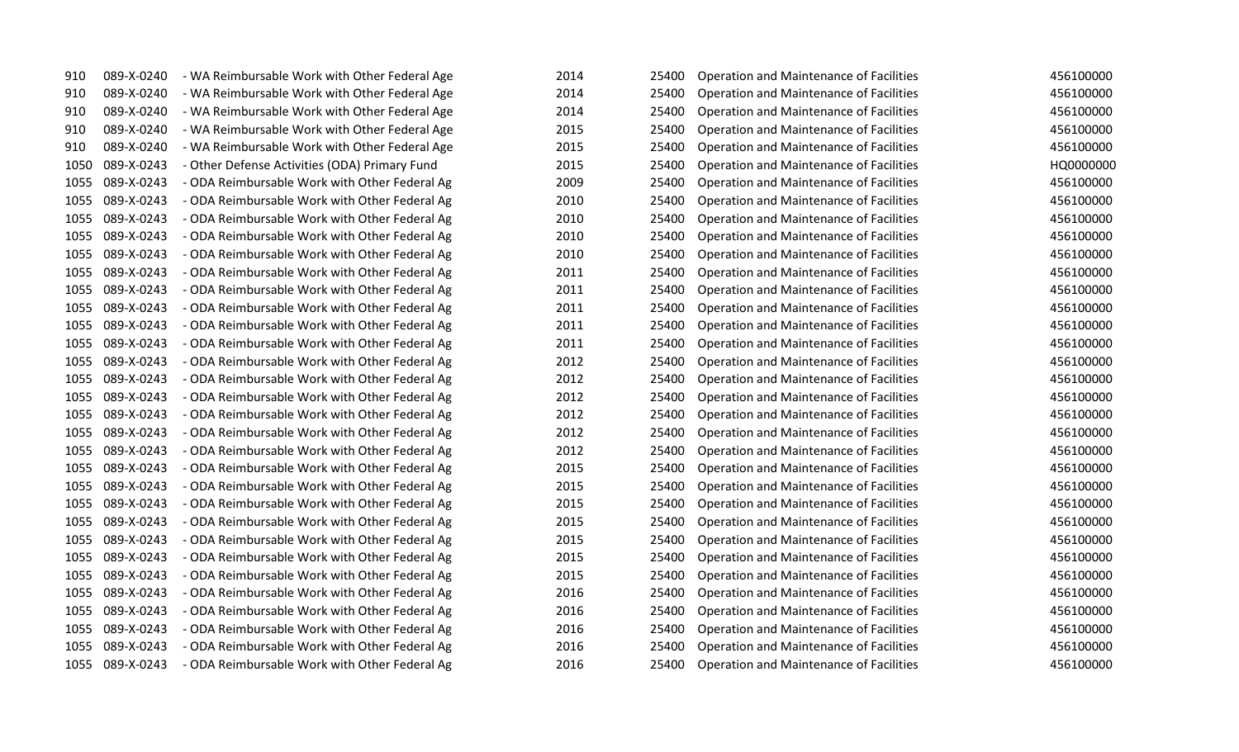| 910  | 089-X-0240      | - WA Reimbursable Work with Other Federal Age | 2014<br>25400 | Operation and Maintenance of Facilities        | 456100000 |
|------|-----------------|-----------------------------------------------|---------------|------------------------------------------------|-----------|
| 910  | 089-X-0240      | - WA Reimbursable Work with Other Federal Age | 2014<br>25400 | <b>Operation and Maintenance of Facilities</b> | 456100000 |
| 910  | 089-X-0240      | - WA Reimbursable Work with Other Federal Age | 2014<br>25400 | Operation and Maintenance of Facilities        | 456100000 |
| 910  | 089-X-0240      | - WA Reimbursable Work with Other Federal Age | 2015<br>25400 | <b>Operation and Maintenance of Facilities</b> | 456100000 |
| 910  | 089-X-0240      | - WA Reimbursable Work with Other Federal Age | 2015<br>25400 | Operation and Maintenance of Facilities        | 456100000 |
| 1050 | 089-X-0243      | - Other Defense Activities (ODA) Primary Fund | 2015<br>25400 | Operation and Maintenance of Facilities        | HQ0000000 |
| 1055 | 089-X-0243      | - ODA Reimbursable Work with Other Federal Ag | 2009<br>25400 | Operation and Maintenance of Facilities        | 456100000 |
| 1055 | 089-X-0243      | - ODA Reimbursable Work with Other Federal Ag | 2010<br>25400 | Operation and Maintenance of Facilities        | 456100000 |
| 1055 | 089-X-0243      | - ODA Reimbursable Work with Other Federal Ag | 2010<br>25400 | Operation and Maintenance of Facilities        | 456100000 |
| 1055 | 089-X-0243      | - ODA Reimbursable Work with Other Federal Ag | 2010<br>25400 | Operation and Maintenance of Facilities        | 456100000 |
| 1055 | 089-X-0243      | - ODA Reimbursable Work with Other Federal Ag | 2010<br>25400 | Operation and Maintenance of Facilities        | 456100000 |
| 1055 | 089-X-0243      | - ODA Reimbursable Work with Other Federal Ag | 2011<br>25400 | <b>Operation and Maintenance of Facilities</b> | 456100000 |
| 1055 | 089-X-0243      | - ODA Reimbursable Work with Other Federal Ag | 2011<br>25400 | Operation and Maintenance of Facilities        | 456100000 |
| 1055 | 089-X-0243      | - ODA Reimbursable Work with Other Federal Ag | 2011<br>25400 | Operation and Maintenance of Facilities        | 456100000 |
| 1055 | 089-X-0243      | - ODA Reimbursable Work with Other Federal Ag | 2011<br>25400 | Operation and Maintenance of Facilities        | 456100000 |
| 1055 | 089-X-0243      | - ODA Reimbursable Work with Other Federal Ag | 2011<br>25400 | Operation and Maintenance of Facilities        | 456100000 |
| 1055 | 089-X-0243      | - ODA Reimbursable Work with Other Federal Ag | 2012<br>25400 | Operation and Maintenance of Facilities        | 456100000 |
| 1055 | 089-X-0243      | - ODA Reimbursable Work with Other Federal Ag | 2012<br>25400 | Operation and Maintenance of Facilities        | 456100000 |
| 1055 | 089-X-0243      | - ODA Reimbursable Work with Other Federal Ag | 2012<br>25400 | Operation and Maintenance of Facilities        | 456100000 |
| 1055 | 089-X-0243      | - ODA Reimbursable Work with Other Federal Ag | 2012<br>25400 | Operation and Maintenance of Facilities        | 456100000 |
| 1055 | 089-X-0243      | - ODA Reimbursable Work with Other Federal Ag | 2012<br>25400 | Operation and Maintenance of Facilities        | 456100000 |
| 1055 | 089-X-0243      | - ODA Reimbursable Work with Other Federal Ag | 2012<br>25400 | <b>Operation and Maintenance of Facilities</b> | 456100000 |
| 1055 | 089-X-0243      | - ODA Reimbursable Work with Other Federal Ag | 2015<br>25400 | Operation and Maintenance of Facilities        | 456100000 |
| 1055 | 089-X-0243      | - ODA Reimbursable Work with Other Federal Ag | 2015<br>25400 | Operation and Maintenance of Facilities        | 456100000 |
| 1055 | 089-X-0243      | - ODA Reimbursable Work with Other Federal Ag | 2015<br>25400 | Operation and Maintenance of Facilities        | 456100000 |
| 1055 | 089-X-0243      | - ODA Reimbursable Work with Other Federal Ag | 2015<br>25400 | Operation and Maintenance of Facilities        | 456100000 |
| 1055 | 089-X-0243      | - ODA Reimbursable Work with Other Federal Ag | 2015<br>25400 | Operation and Maintenance of Facilities        | 456100000 |
| 1055 | 089-X-0243      | - ODA Reimbursable Work with Other Federal Ag | 2015<br>25400 | Operation and Maintenance of Facilities        | 456100000 |
| 1055 | 089-X-0243      | - ODA Reimbursable Work with Other Federal Ag | 2015<br>25400 | Operation and Maintenance of Facilities        | 456100000 |
| 1055 | 089-X-0243      | - ODA Reimbursable Work with Other Federal Ag | 2016<br>25400 | Operation and Maintenance of Facilities        | 456100000 |
| 1055 | 089-X-0243      | - ODA Reimbursable Work with Other Federal Ag | 2016<br>25400 | Operation and Maintenance of Facilities        | 456100000 |
| 1055 | 089-X-0243      | - ODA Reimbursable Work with Other Federal Ag | 2016<br>25400 | Operation and Maintenance of Facilities        | 456100000 |
| 1055 | 089-X-0243      | - ODA Reimbursable Work with Other Federal Ag | 2016<br>25400 | Operation and Maintenance of Facilities        | 456100000 |
|      | 1055 089-X-0243 | - ODA Reimbursable Work with Other Federal Ag | 2016<br>25400 | Operation and Maintenance of Facilities        | 456100000 |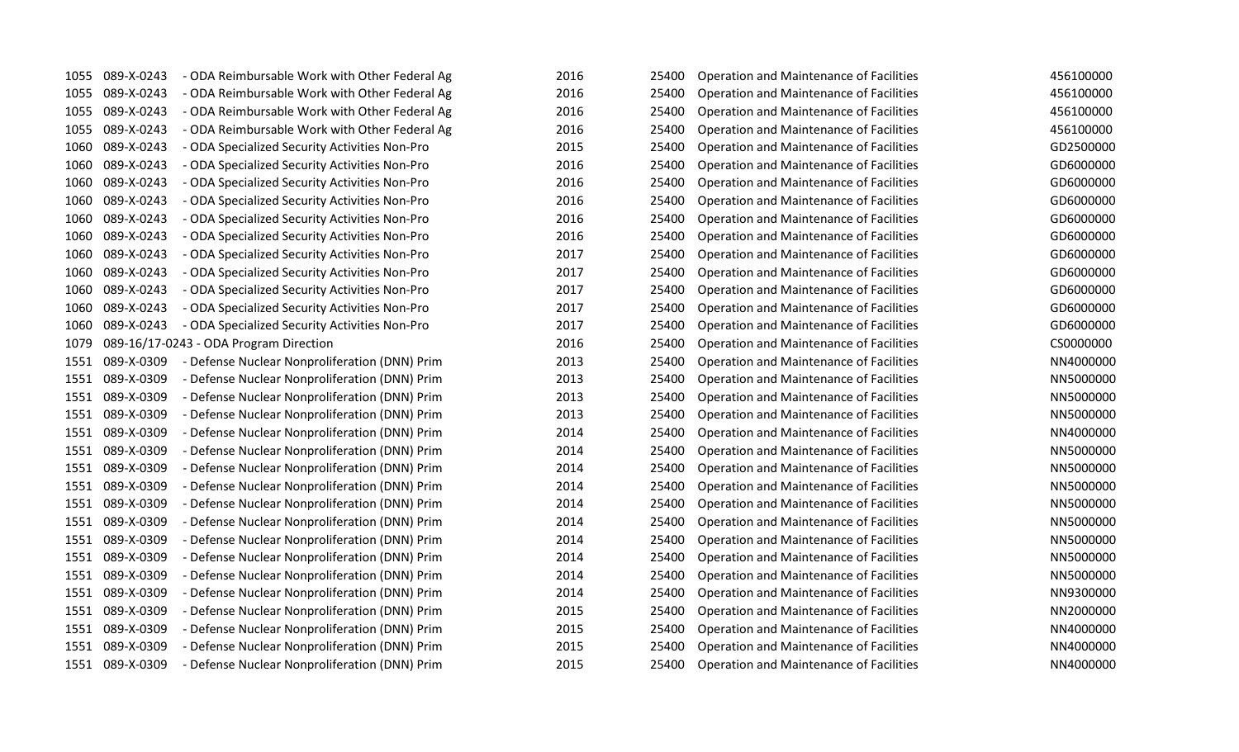| 1055 | 089-X-0243      | - ODA Reimbursable Work with Other Federal Ag | 2016 | 25400 | <b>Operation and Maintenance of Facilities</b> | 456100000 |
|------|-----------------|-----------------------------------------------|------|-------|------------------------------------------------|-----------|
| 1055 | 089-X-0243      | - ODA Reimbursable Work with Other Federal Ag | 2016 | 25400 | Operation and Maintenance of Facilities        | 456100000 |
| 1055 | 089-X-0243      | - ODA Reimbursable Work with Other Federal Ag | 2016 | 25400 | Operation and Maintenance of Facilities        | 456100000 |
| 1055 | 089-X-0243      | - ODA Reimbursable Work with Other Federal Ag | 2016 | 25400 | Operation and Maintenance of Facilities        | 456100000 |
| 1060 | 089-X-0243      | - ODA Specialized Security Activities Non-Pro | 2015 | 25400 | Operation and Maintenance of Facilities        | GD2500000 |
| 1060 | 089-X-0243      | - ODA Specialized Security Activities Non-Pro | 2016 | 25400 | <b>Operation and Maintenance of Facilities</b> | GD6000000 |
| 1060 | 089-X-0243      | - ODA Specialized Security Activities Non-Pro | 2016 | 25400 | Operation and Maintenance of Facilities        | GD6000000 |
| 1060 | 089-X-0243      | - ODA Specialized Security Activities Non-Pro | 2016 | 25400 | Operation and Maintenance of Facilities        | GD6000000 |
| 1060 | 089-X-0243      | - ODA Specialized Security Activities Non-Pro | 2016 | 25400 | Operation and Maintenance of Facilities        | GD6000000 |
| 1060 | 089-X-0243      | - ODA Specialized Security Activities Non-Pro | 2016 | 25400 | <b>Operation and Maintenance of Facilities</b> | GD6000000 |
| 1060 | 089-X-0243      | - ODA Specialized Security Activities Non-Pro | 2017 | 25400 | Operation and Maintenance of Facilities        | GD6000000 |
| 1060 | 089-X-0243      | - ODA Specialized Security Activities Non-Pro | 2017 | 25400 | Operation and Maintenance of Facilities        | GD6000000 |
| 1060 | 089-X-0243      | - ODA Specialized Security Activities Non-Pro | 2017 | 25400 | Operation and Maintenance of Facilities        | GD6000000 |
| 1060 | 089-X-0243      | - ODA Specialized Security Activities Non-Pro | 2017 | 25400 | <b>Operation and Maintenance of Facilities</b> | GD6000000 |
| 1060 | 089-X-0243      | - ODA Specialized Security Activities Non-Pro | 2017 | 25400 | Operation and Maintenance of Facilities        | GD6000000 |
| 1079 |                 | 089-16/17-0243 - ODA Program Direction        | 2016 | 25400 | <b>Operation and Maintenance of Facilities</b> | CS0000000 |
| 1551 | 089-X-0309      | - Defense Nuclear Nonproliferation (DNN) Prim | 2013 | 25400 | Operation and Maintenance of Facilities        | NN4000000 |
| 1551 | 089-X-0309      | - Defense Nuclear Nonproliferation (DNN) Prim | 2013 | 25400 | <b>Operation and Maintenance of Facilities</b> | NN5000000 |
| 1551 | 089-X-0309      | - Defense Nuclear Nonproliferation (DNN) Prim | 2013 | 25400 | <b>Operation and Maintenance of Facilities</b> | NN5000000 |
| 1551 | 089-X-0309      | - Defense Nuclear Nonproliferation (DNN) Prim | 2013 | 25400 | Operation and Maintenance of Facilities        | NN5000000 |
| 1551 | 089-X-0309      | - Defense Nuclear Nonproliferation (DNN) Prim | 2014 | 25400 | Operation and Maintenance of Facilities        | NN4000000 |
| 1551 | 089-X-0309      | - Defense Nuclear Nonproliferation (DNN) Prim | 2014 | 25400 | Operation and Maintenance of Facilities        | NN5000000 |
| 1551 | 089-X-0309      | - Defense Nuclear Nonproliferation (DNN) Prim | 2014 | 25400 | Operation and Maintenance of Facilities        | NN5000000 |
| 1551 | 089-X-0309      | - Defense Nuclear Nonproliferation (DNN) Prim | 2014 | 25400 | <b>Operation and Maintenance of Facilities</b> | NN5000000 |
| 1551 | 089-X-0309      | - Defense Nuclear Nonproliferation (DNN) Prim | 2014 | 25400 | Operation and Maintenance of Facilities        | NN5000000 |
| 1551 | 089-X-0309      | - Defense Nuclear Nonproliferation (DNN) Prim | 2014 | 25400 | Operation and Maintenance of Facilities        | NN5000000 |
| 1551 | 089-X-0309      | - Defense Nuclear Nonproliferation (DNN) Prim | 2014 | 25400 | Operation and Maintenance of Facilities        | NN5000000 |
| 1551 | 089-X-0309      | - Defense Nuclear Nonproliferation (DNN) Prim | 2014 | 25400 | <b>Operation and Maintenance of Facilities</b> | NN5000000 |
| 1551 | 089-X-0309      | - Defense Nuclear Nonproliferation (DNN) Prim | 2014 | 25400 | <b>Operation and Maintenance of Facilities</b> | NN5000000 |
| 1551 | 089-X-0309      | - Defense Nuclear Nonproliferation (DNN) Prim | 2014 | 25400 | Operation and Maintenance of Facilities        | NN9300000 |
| 1551 | 089-X-0309      | - Defense Nuclear Nonproliferation (DNN) Prim | 2015 | 25400 | Operation and Maintenance of Facilities        | NN2000000 |
| 1551 | 089-X-0309      | - Defense Nuclear Nonproliferation (DNN) Prim | 2015 | 25400 | Operation and Maintenance of Facilities        | NN4000000 |
| 1551 | 089-X-0309      | - Defense Nuclear Nonproliferation (DNN) Prim | 2015 | 25400 | Operation and Maintenance of Facilities        | NN4000000 |
|      | 1551 089-X-0309 | - Defense Nuclear Nonproliferation (DNN) Prim | 2015 | 25400 | Operation and Maintenance of Facilities        | NN4000000 |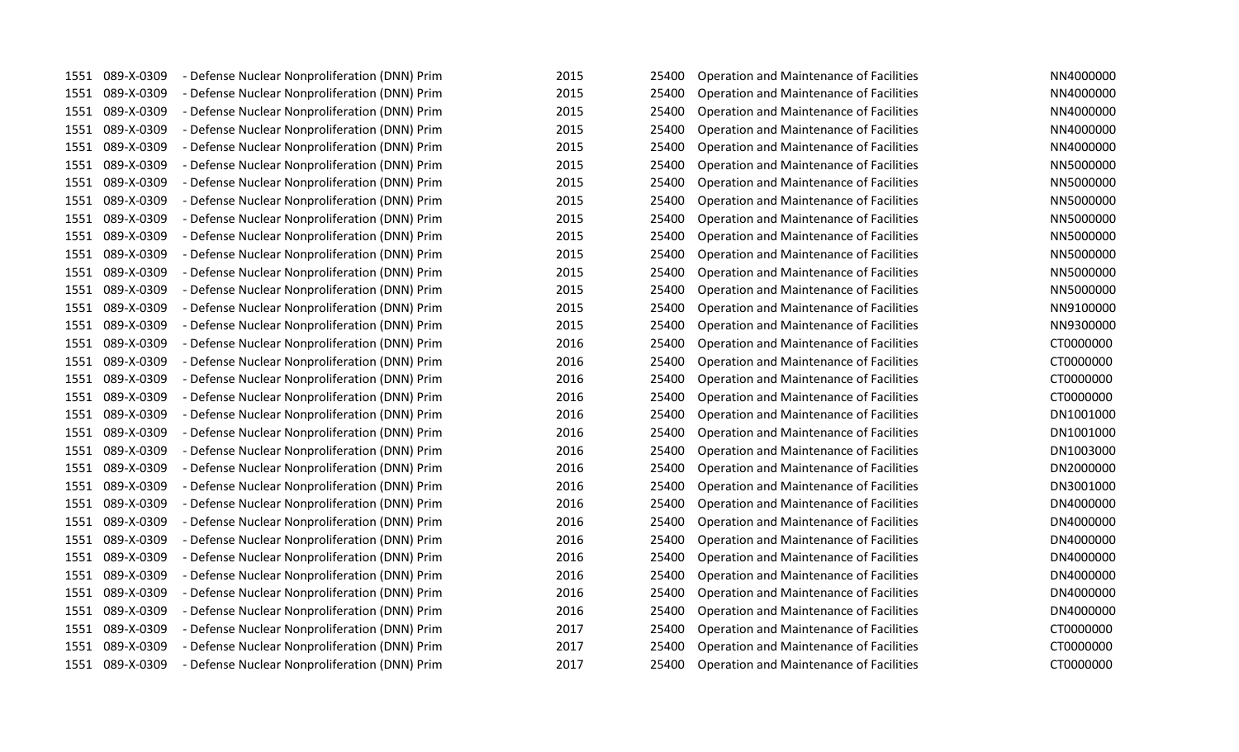| 1551 | 089-X-0309      | - Defense Nuclear Nonproliferation (DNN) Prim | 2015 | 25400 | Operation and Maintenance of Facilities        | NN4000000 |
|------|-----------------|-----------------------------------------------|------|-------|------------------------------------------------|-----------|
| 1551 | 089-X-0309      | - Defense Nuclear Nonproliferation (DNN) Prim | 2015 | 25400 | <b>Operation and Maintenance of Facilities</b> | NN4000000 |
| 1551 | 089-X-0309      | - Defense Nuclear Nonproliferation (DNN) Prim | 2015 | 25400 | Operation and Maintenance of Facilities        | NN4000000 |
| 1551 | 089-X-0309      | - Defense Nuclear Nonproliferation (DNN) Prim | 2015 | 25400 | <b>Operation and Maintenance of Facilities</b> | NN4000000 |
| 1551 | 089-X-0309      | - Defense Nuclear Nonproliferation (DNN) Prim | 2015 | 25400 | Operation and Maintenance of Facilities        | NN4000000 |
| 1551 | 089-X-0309      | - Defense Nuclear Nonproliferation (DNN) Prim | 2015 | 25400 | <b>Operation and Maintenance of Facilities</b> | NN5000000 |
| 1551 | 089-X-0309      | - Defense Nuclear Nonproliferation (DNN) Prim | 2015 | 25400 | Operation and Maintenance of Facilities        | NN5000000 |
| 1551 | 089-X-0309      | - Defense Nuclear Nonproliferation (DNN) Prim | 2015 | 25400 | Operation and Maintenance of Facilities        | NN5000000 |
| 1551 | 089-X-0309      | - Defense Nuclear Nonproliferation (DNN) Prim | 2015 | 25400 | Operation and Maintenance of Facilities        | NN5000000 |
| 1551 | 089-X-0309      | - Defense Nuclear Nonproliferation (DNN) Prim | 2015 | 25400 | Operation and Maintenance of Facilities        | NN5000000 |
| 1551 | 089-X-0309      | - Defense Nuclear Nonproliferation (DNN) Prim | 2015 | 25400 | <b>Operation and Maintenance of Facilities</b> | NN5000000 |
| 1551 | 089-X-0309      | - Defense Nuclear Nonproliferation (DNN) Prim | 2015 | 25400 | Operation and Maintenance of Facilities        | NN5000000 |
| 1551 | 089-X-0309      | - Defense Nuclear Nonproliferation (DNN) Prim | 2015 | 25400 | Operation and Maintenance of Facilities        | NN5000000 |
| 1551 | 089-X-0309      | - Defense Nuclear Nonproliferation (DNN) Prim | 2015 | 25400 | Operation and Maintenance of Facilities        | NN9100000 |
| 1551 | 089-X-0309      | - Defense Nuclear Nonproliferation (DNN) Prim | 2015 | 25400 | Operation and Maintenance of Facilities        | NN9300000 |
| 1551 | 089-X-0309      | - Defense Nuclear Nonproliferation (DNN) Prim | 2016 | 25400 | Operation and Maintenance of Facilities        | CT0000000 |
| 1551 | 089-X-0309      | - Defense Nuclear Nonproliferation (DNN) Prim | 2016 | 25400 | Operation and Maintenance of Facilities        | CT0000000 |
| 1551 | 089-X-0309      | - Defense Nuclear Nonproliferation (DNN) Prim | 2016 | 25400 | Operation and Maintenance of Facilities        | CT0000000 |
| 1551 | 089-X-0309      | - Defense Nuclear Nonproliferation (DNN) Prim | 2016 | 25400 | Operation and Maintenance of Facilities        | CT0000000 |
| 1551 | 089-X-0309      | - Defense Nuclear Nonproliferation (DNN) Prim | 2016 | 25400 | Operation and Maintenance of Facilities        | DN1001000 |
| 1551 | 089-X-0309      | - Defense Nuclear Nonproliferation (DNN) Prim | 2016 | 25400 | Operation and Maintenance of Facilities        | DN1001000 |
| 1551 | 089-X-0309      | - Defense Nuclear Nonproliferation (DNN) Prim | 2016 | 25400 | Operation and Maintenance of Facilities        | DN1003000 |
| 1551 | 089-X-0309      | - Defense Nuclear Nonproliferation (DNN) Prim | 2016 | 25400 | Operation and Maintenance of Facilities        | DN2000000 |
| 1551 | 089-X-0309      | - Defense Nuclear Nonproliferation (DNN) Prim | 2016 | 25400 | Operation and Maintenance of Facilities        | DN3001000 |
| 1551 | 089-X-0309      | - Defense Nuclear Nonproliferation (DNN) Prim | 2016 | 25400 | Operation and Maintenance of Facilities        | DN4000000 |
| 1551 | 089-X-0309      | - Defense Nuclear Nonproliferation (DNN) Prim | 2016 | 25400 | Operation and Maintenance of Facilities        | DN4000000 |
| 1551 | 089-X-0309      | - Defense Nuclear Nonproliferation (DNN) Prim | 2016 | 25400 | <b>Operation and Maintenance of Facilities</b> | DN4000000 |
| 1551 | 089-X-0309      | - Defense Nuclear Nonproliferation (DNN) Prim | 2016 | 25400 | Operation and Maintenance of Facilities        | DN4000000 |
| 1551 | 089-X-0309      | - Defense Nuclear Nonproliferation (DNN) Prim | 2016 | 25400 | Operation and Maintenance of Facilities        | DN4000000 |
| 1551 | 089-X-0309      | - Defense Nuclear Nonproliferation (DNN) Prim | 2016 | 25400 | Operation and Maintenance of Facilities        | DN4000000 |
| 1551 | 089-X-0309      | - Defense Nuclear Nonproliferation (DNN) Prim | 2016 | 25400 | Operation and Maintenance of Facilities        | DN4000000 |
| 1551 | 089-X-0309      | - Defense Nuclear Nonproliferation (DNN) Prim | 2017 | 25400 | Operation and Maintenance of Facilities        | CT0000000 |
| 1551 | 089-X-0309      | - Defense Nuclear Nonproliferation (DNN) Prim | 2017 | 25400 | Operation and Maintenance of Facilities        | CT0000000 |
|      | 1551 089-X-0309 | - Defense Nuclear Nonproliferation (DNN) Prim | 2017 | 25400 | <b>Operation and Maintenance of Facilities</b> | CT0000000 |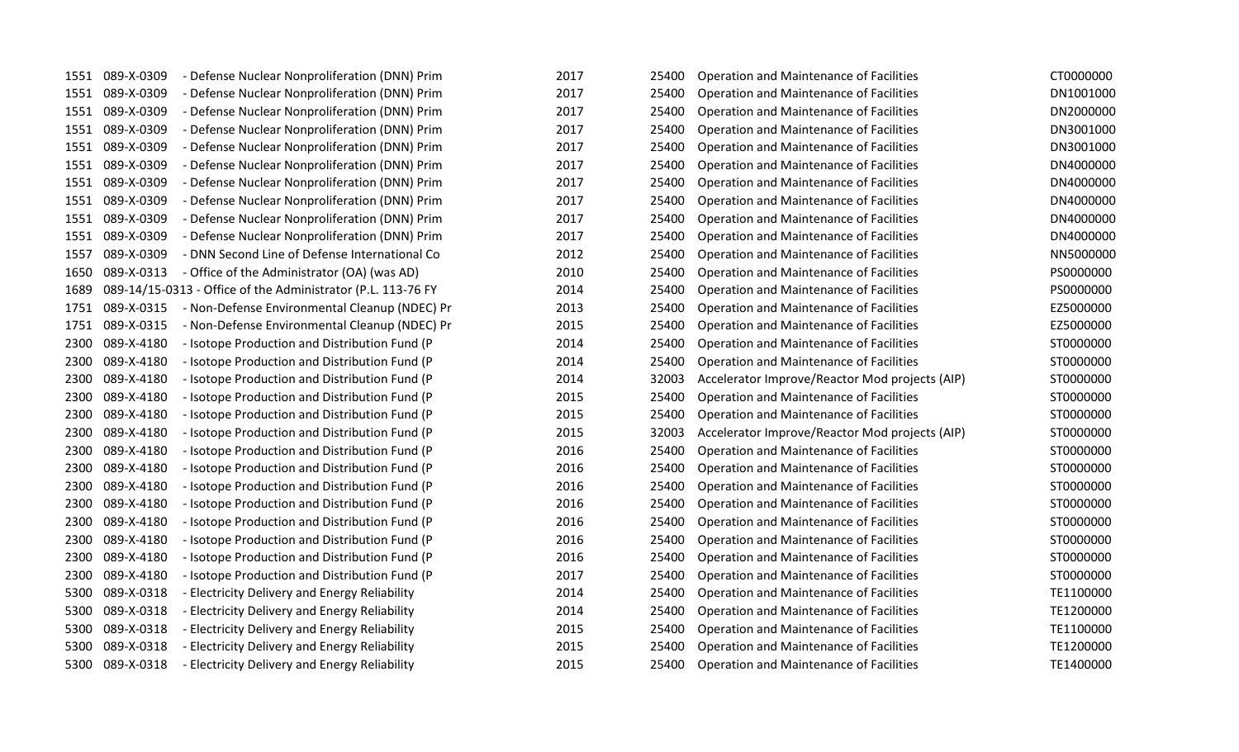|      | 1551 089-X-0309 | - Defense Nuclear Nonproliferation (DNN) Prim                | 2017 | 25400 | Operation and Maintenance of Facilities        | CT0000000 |
|------|-----------------|--------------------------------------------------------------|------|-------|------------------------------------------------|-----------|
| 1551 | 089-X-0309      | - Defense Nuclear Nonproliferation (DNN) Prim                | 2017 | 25400 | Operation and Maintenance of Facilities        | DN1001000 |
| 1551 | 089-X-0309      | - Defense Nuclear Nonproliferation (DNN) Prim                | 2017 | 25400 | Operation and Maintenance of Facilities        | DN2000000 |
| 1551 | 089-X-0309      | - Defense Nuclear Nonproliferation (DNN) Prim                | 2017 | 25400 | Operation and Maintenance of Facilities        | DN3001000 |
| 1551 | 089-X-0309      | - Defense Nuclear Nonproliferation (DNN) Prim                | 2017 | 25400 | Operation and Maintenance of Facilities        | DN3001000 |
| 1551 | 089-X-0309      | - Defense Nuclear Nonproliferation (DNN) Prim                | 2017 | 25400 | Operation and Maintenance of Facilities        | DN4000000 |
| 1551 | 089-X-0309      | - Defense Nuclear Nonproliferation (DNN) Prim                | 2017 | 25400 | Operation and Maintenance of Facilities        | DN4000000 |
| 1551 | 089-X-0309      | - Defense Nuclear Nonproliferation (DNN) Prim                | 2017 | 25400 | Operation and Maintenance of Facilities        | DN4000000 |
| 1551 | 089-X-0309      | - Defense Nuclear Nonproliferation (DNN) Prim                | 2017 | 25400 | Operation and Maintenance of Facilities        | DN4000000 |
| 1551 | 089-X-0309      | - Defense Nuclear Nonproliferation (DNN) Prim                | 2017 | 25400 | Operation and Maintenance of Facilities        | DN4000000 |
| 1557 | 089-X-0309      | - DNN Second Line of Defense International Co                | 2012 | 25400 | Operation and Maintenance of Facilities        | NN5000000 |
| 1650 | 089-X-0313      | - Office of the Administrator (OA) (was AD)                  | 2010 | 25400 | Operation and Maintenance of Facilities        | PS0000000 |
| 1689 |                 | 089-14/15-0313 - Office of the Administrator (P.L. 113-76 FY | 2014 | 25400 | Operation and Maintenance of Facilities        | PS0000000 |
| 1751 | 089-X-0315      | - Non-Defense Environmental Cleanup (NDEC) Pr                | 2013 | 25400 | Operation and Maintenance of Facilities        | EZ5000000 |
| 1751 | 089-X-0315      | - Non-Defense Environmental Cleanup (NDEC) Pr                | 2015 | 25400 | Operation and Maintenance of Facilities        | EZ5000000 |
| 2300 | 089-X-4180      | - Isotope Production and Distribution Fund (P                | 2014 | 25400 | Operation and Maintenance of Facilities        | ST0000000 |
| 2300 | 089-X-4180      | - Isotope Production and Distribution Fund (P                | 2014 | 25400 | Operation and Maintenance of Facilities        | ST0000000 |
| 2300 | 089-X-4180      | - Isotope Production and Distribution Fund (P                | 2014 | 32003 | Accelerator Improve/Reactor Mod projects (AIP) | ST0000000 |
| 2300 | 089-X-4180      | - Isotope Production and Distribution Fund (P                | 2015 | 25400 | Operation and Maintenance of Facilities        | ST0000000 |
| 2300 | 089-X-4180      | - Isotope Production and Distribution Fund (P                | 2015 | 25400 | Operation and Maintenance of Facilities        | ST0000000 |
| 2300 | 089-X-4180      | - Isotope Production and Distribution Fund (P                | 2015 | 32003 | Accelerator Improve/Reactor Mod projects (AIP) | ST0000000 |
| 2300 | 089-X-4180      | - Isotope Production and Distribution Fund (P                | 2016 | 25400 | Operation and Maintenance of Facilities        | ST0000000 |
| 2300 | 089-X-4180      | - Isotope Production and Distribution Fund (P                | 2016 | 25400 | Operation and Maintenance of Facilities        | ST0000000 |
| 2300 | 089-X-4180      | - Isotope Production and Distribution Fund (P                | 2016 | 25400 | Operation and Maintenance of Facilities        | ST0000000 |
| 2300 | 089-X-4180      | - Isotope Production and Distribution Fund (P                | 2016 | 25400 | Operation and Maintenance of Facilities        | ST0000000 |
| 2300 | 089-X-4180      | - Isotope Production and Distribution Fund (P                | 2016 | 25400 | Operation and Maintenance of Facilities        | ST0000000 |
| 2300 | 089-X-4180      | - Isotope Production and Distribution Fund (P                | 2016 | 25400 | Operation and Maintenance of Facilities        | ST0000000 |
| 2300 | 089-X-4180      | - Isotope Production and Distribution Fund (P                | 2016 | 25400 | Operation and Maintenance of Facilities        | ST0000000 |
| 2300 | 089-X-4180      | - Isotope Production and Distribution Fund (P                | 2017 | 25400 | Operation and Maintenance of Facilities        | ST0000000 |
| 5300 | 089-X-0318      | - Electricity Delivery and Energy Reliability                | 2014 | 25400 | Operation and Maintenance of Facilities        | TE1100000 |
| 5300 | 089-X-0318      | - Electricity Delivery and Energy Reliability                | 2014 | 25400 | Operation and Maintenance of Facilities        | TE1200000 |
| 5300 | 089-X-0318      | - Electricity Delivery and Energy Reliability                | 2015 | 25400 | Operation and Maintenance of Facilities        | TE1100000 |
| 5300 | 089-X-0318      | - Electricity Delivery and Energy Reliability                | 2015 | 25400 | Operation and Maintenance of Facilities        | TE1200000 |
|      | 5300 089-X-0318 | - Electricity Delivery and Energy Reliability                | 2015 | 25400 | Operation and Maintenance of Facilities        | TE1400000 |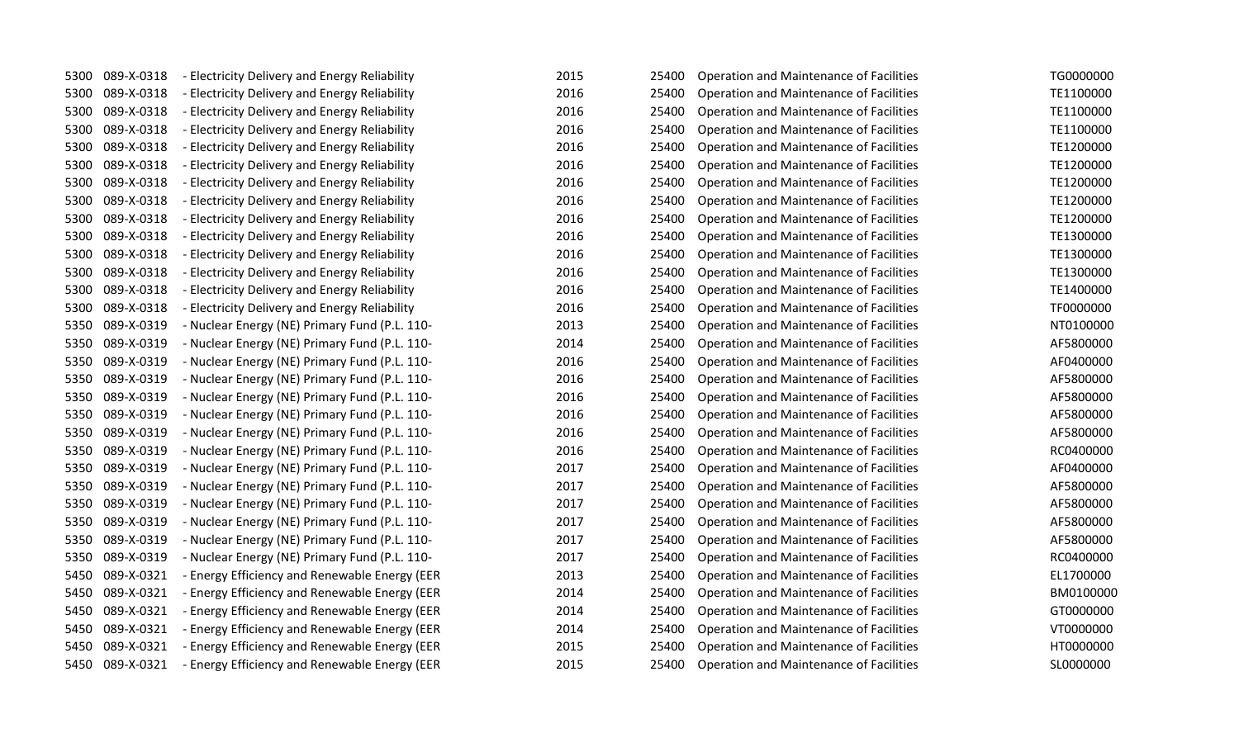| 5300 | 089-X-0318      | - Electricity Delivery and Energy Reliability | 2015 | 25400 | Operation and Maintenance of Facilities        | TG0000000 |
|------|-----------------|-----------------------------------------------|------|-------|------------------------------------------------|-----------|
| 5300 | 089-X-0318      | - Electricity Delivery and Energy Reliability | 2016 | 25400 | Operation and Maintenance of Facilities        | TE1100000 |
| 5300 | 089-X-0318      | - Electricity Delivery and Energy Reliability | 2016 | 25400 | Operation and Maintenance of Facilities        | TE1100000 |
| 5300 | 089-X-0318      | - Electricity Delivery and Energy Reliability | 2016 | 25400 | Operation and Maintenance of Facilities        | TE1100000 |
| 5300 | 089-X-0318      | - Electricity Delivery and Energy Reliability | 2016 | 25400 | Operation and Maintenance of Facilities        | TE1200000 |
| 5300 | 089-X-0318      | - Electricity Delivery and Energy Reliability | 2016 | 25400 | Operation and Maintenance of Facilities        | TE1200000 |
| 5300 | 089-X-0318      | - Electricity Delivery and Energy Reliability | 2016 | 25400 | Operation and Maintenance of Facilities        | TE1200000 |
| 5300 | 089-X-0318      | - Electricity Delivery and Energy Reliability | 2016 | 25400 | Operation and Maintenance of Facilities        | TE1200000 |
| 5300 | 089-X-0318      | - Electricity Delivery and Energy Reliability | 2016 | 25400 | Operation and Maintenance of Facilities        | TE1200000 |
| 5300 | 089-X-0318      | - Electricity Delivery and Energy Reliability | 2016 | 25400 | Operation and Maintenance of Facilities        | TE1300000 |
| 5300 | 089-X-0318      | - Electricity Delivery and Energy Reliability | 2016 | 25400 | Operation and Maintenance of Facilities        | TE1300000 |
| 5300 | 089-X-0318      | - Electricity Delivery and Energy Reliability | 2016 | 25400 | Operation and Maintenance of Facilities        | TE1300000 |
| 5300 | 089-X-0318      | - Electricity Delivery and Energy Reliability | 2016 | 25400 | Operation and Maintenance of Facilities        | TE1400000 |
| 5300 | 089-X-0318      | - Electricity Delivery and Energy Reliability | 2016 | 25400 | Operation and Maintenance of Facilities        | TF0000000 |
| 5350 | 089-X-0319      | - Nuclear Energy (NE) Primary Fund (P.L. 110- | 2013 | 25400 | Operation and Maintenance of Facilities        | NT0100000 |
| 5350 | 089-X-0319      | - Nuclear Energy (NE) Primary Fund (P.L. 110- | 2014 | 25400 | Operation and Maintenance of Facilities        | AF5800000 |
| 5350 | 089-X-0319      | - Nuclear Energy (NE) Primary Fund (P.L. 110- | 2016 | 25400 | Operation and Maintenance of Facilities        | AF0400000 |
| 5350 | 089-X-0319      | - Nuclear Energy (NE) Primary Fund (P.L. 110- | 2016 | 25400 | Operation and Maintenance of Facilities        | AF5800000 |
| 5350 | 089-X-0319      | - Nuclear Energy (NE) Primary Fund (P.L. 110- | 2016 | 25400 | Operation and Maintenance of Facilities        | AF5800000 |
| 5350 | 089-X-0319      | - Nuclear Energy (NE) Primary Fund (P.L. 110- | 2016 | 25400 | Operation and Maintenance of Facilities        | AF5800000 |
| 5350 | 089-X-0319      | - Nuclear Energy (NE) Primary Fund (P.L. 110- | 2016 | 25400 | Operation and Maintenance of Facilities        | AF5800000 |
| 5350 | 089-X-0319      | - Nuclear Energy (NE) Primary Fund (P.L. 110- | 2016 | 25400 | Operation and Maintenance of Facilities        | RC0400000 |
| 5350 | 089-X-0319      | - Nuclear Energy (NE) Primary Fund (P.L. 110- | 2017 | 25400 | Operation and Maintenance of Facilities        | AF0400000 |
| 5350 | 089-X-0319      | - Nuclear Energy (NE) Primary Fund (P.L. 110- | 2017 | 25400 | Operation and Maintenance of Facilities        | AF5800000 |
| 5350 | 089-X-0319      | - Nuclear Energy (NE) Primary Fund (P.L. 110- | 2017 | 25400 | Operation and Maintenance of Facilities        | AF5800000 |
| 5350 | 089-X-0319      | - Nuclear Energy (NE) Primary Fund (P.L. 110- | 2017 | 25400 | Operation and Maintenance of Facilities        | AF5800000 |
| 5350 | 089-X-0319      | - Nuclear Energy (NE) Primary Fund (P.L. 110- | 2017 | 25400 | Operation and Maintenance of Facilities        | AF5800000 |
| 5350 | 089-X-0319      | - Nuclear Energy (NE) Primary Fund (P.L. 110- | 2017 | 25400 | Operation and Maintenance of Facilities        | RC0400000 |
| 5450 | 089-X-0321      | - Energy Efficiency and Renewable Energy (EER | 2013 | 25400 | Operation and Maintenance of Facilities        | EL1700000 |
| 5450 | 089-X-0321      | - Energy Efficiency and Renewable Energy (EER | 2014 | 25400 | Operation and Maintenance of Facilities        | BM0100000 |
| 5450 | 089-X-0321      | - Energy Efficiency and Renewable Energy (EER | 2014 | 25400 | Operation and Maintenance of Facilities        | GT0000000 |
| 5450 | 089-X-0321      | - Energy Efficiency and Renewable Energy (EER | 2014 | 25400 | Operation and Maintenance of Facilities        | VT0000000 |
| 5450 | 089-X-0321      | - Energy Efficiency and Renewable Energy (EER | 2015 | 25400 | Operation and Maintenance of Facilities        | HT0000000 |
|      | 5450 089-X-0321 | - Energy Efficiency and Renewable Energy (EER | 2015 | 25400 | <b>Operation and Maintenance of Facilities</b> | SL0000000 |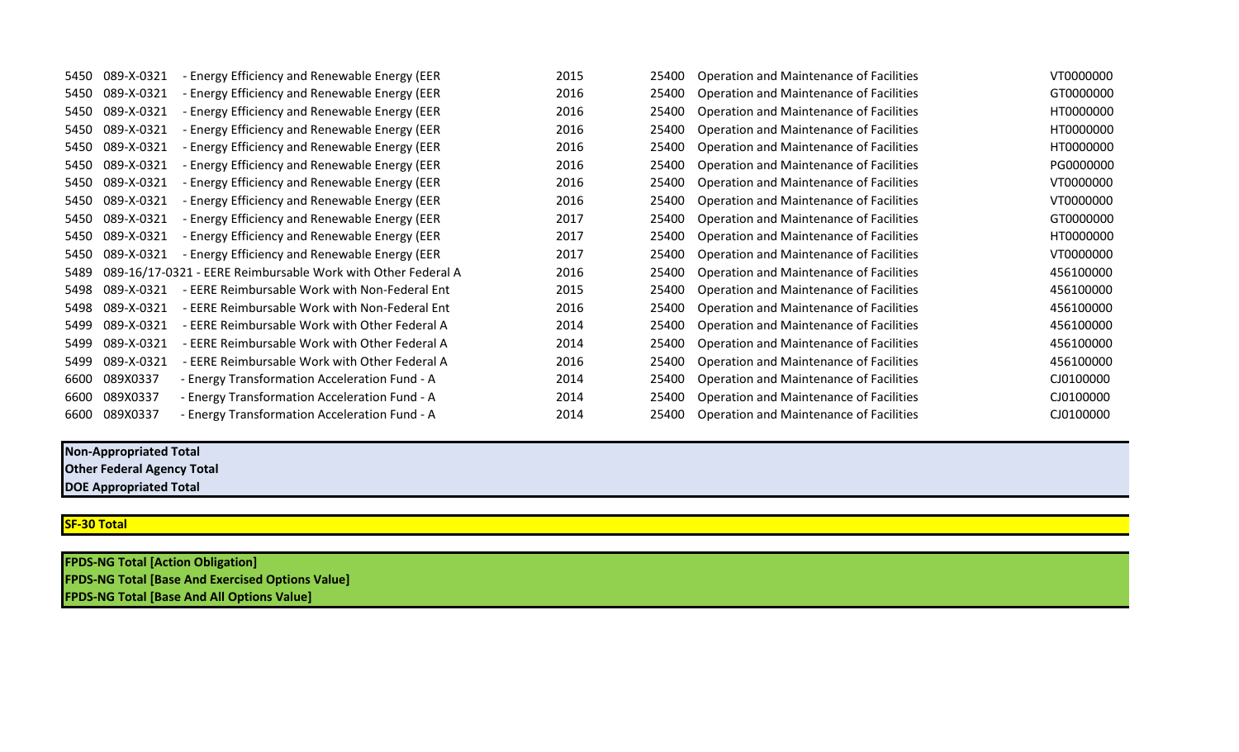| 5450 | 089-X-0321 | - Energy Efficiency and Renewable Energy (EER                | 2015 | 25400 | Operation and Maintenance of Facilities | VT0000000 |
|------|------------|--------------------------------------------------------------|------|-------|-----------------------------------------|-----------|
| 5450 | 089-X-0321 | - Energy Efficiency and Renewable Energy (EER                | 2016 | 25400 | Operation and Maintenance of Facilities | GT0000000 |
| 5450 | 089-X-0321 | - Energy Efficiency and Renewable Energy (EER                | 2016 | 25400 | Operation and Maintenance of Facilities | HT0000000 |
| 5450 | 089-X-0321 | - Energy Efficiency and Renewable Energy (EER                | 2016 | 25400 | Operation and Maintenance of Facilities | HT0000000 |
| 5450 | 089-X-0321 | - Energy Efficiency and Renewable Energy (EER                | 2016 | 25400 | Operation and Maintenance of Facilities | HT0000000 |
| 5450 | 089-X-0321 | - Energy Efficiency and Renewable Energy (EER                | 2016 | 25400 | Operation and Maintenance of Facilities | PG0000000 |
| 5450 | 089-X-0321 | - Energy Efficiency and Renewable Energy (EER                | 2016 | 25400 | Operation and Maintenance of Facilities | VT0000000 |
| 5450 | 089-X-0321 | - Energy Efficiency and Renewable Energy (EER                | 2016 | 25400 | Operation and Maintenance of Facilities | VT0000000 |
| 5450 | 089-X-0321 | - Energy Efficiency and Renewable Energy (EER                | 2017 | 25400 | Operation and Maintenance of Facilities | GT0000000 |
| 5450 | 089-X-0321 | - Energy Efficiency and Renewable Energy (EER                | 2017 | 25400 | Operation and Maintenance of Facilities | HT0000000 |
| 5450 | 089-X-0321 | - Energy Efficiency and Renewable Energy (EER                | 2017 | 25400 | Operation and Maintenance of Facilities | VT0000000 |
| 5489 |            | 089-16/17-0321 - EERE Reimbursable Work with Other Federal A | 2016 | 25400 | Operation and Maintenance of Facilities | 456100000 |
| 5498 | 089-X-0321 | - EERE Reimbursable Work with Non-Federal Ent                | 2015 | 25400 | Operation and Maintenance of Facilities | 456100000 |
| 5498 | 089-X-0321 | - EERE Reimbursable Work with Non-Federal Ent                | 2016 | 25400 | Operation and Maintenance of Facilities | 456100000 |
| 5499 | 089-X-0321 | - EERE Reimbursable Work with Other Federal A                | 2014 | 25400 | Operation and Maintenance of Facilities | 456100000 |
| 5499 | 089-X-0321 | - EERE Reimbursable Work with Other Federal A                | 2014 | 25400 | Operation and Maintenance of Facilities | 456100000 |
| 5499 | 089-X-0321 | - EERE Reimbursable Work with Other Federal A                | 2016 | 25400 | Operation and Maintenance of Facilities | 456100000 |
| 6600 | 089X0337   | - Energy Transformation Acceleration Fund - A                | 2014 | 25400 | Operation and Maintenance of Facilities | CJ0100000 |
| 6600 | 089X0337   | - Energy Transformation Acceleration Fund - A                | 2014 | 25400 | Operation and Maintenance of Facilities | CJ0100000 |
| 6600 | 089X0337   | - Energy Transformation Acceleration Fund - A                | 2014 | 25400 | Operation and Maintenance of Facilities | CJ0100000 |

## **Non-Appropriated Total**

**Other Federal Agency Total**

## **DOE Appropriated Total**

## **SF-30 Total**

**FPDS-NG Total [Action Obligation] FPDS-NG Total [Base And Exercised Options Value] FPDS-NG Total [Base And All Options Value]**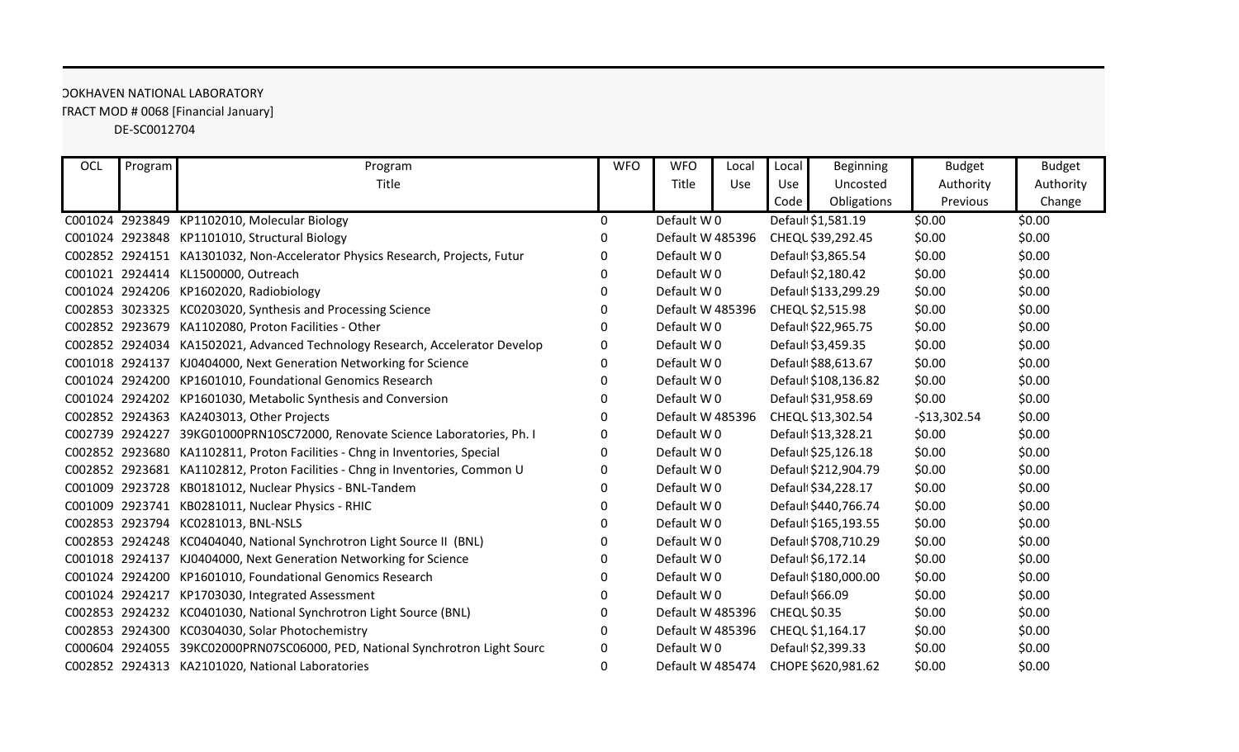## DE-SC0012704 TRACT MOD # 0068 [Financial January] OOKHAVEN NATIONAL LABORATORY

| OCL | Program         | Program                                                                      | <b>WFO</b> | <b>WFO</b>       | Local | Local               | <b>Beginning</b>     | <b>Budget</b> | <b>Budget</b> |
|-----|-----------------|------------------------------------------------------------------------------|------------|------------------|-------|---------------------|----------------------|---------------|---------------|
|     |                 | Title                                                                        |            | Title            | Use   | Use                 | Uncosted             | Authority     | Authority     |
|     |                 |                                                                              |            |                  |       | Code                | Obligations          | Previous      | Change        |
|     |                 | C001024 2923849 KP1102010, Molecular Biology                                 | 0          | Default W0       |       |                     | Default \$1,581.19   | \$0.00        | \$0.00        |
|     |                 | C001024 2923848 KP1101010, Structural Biology                                | 0          | Default W 485396 |       |                     | CHEQL \$39,292.45    | \$0.00        | \$0.00        |
|     |                 | C002852 2924151 KA1301032, Non-Accelerator Physics Research, Projects, Futur | O          | Default W0       |       |                     | Default \$3,865.54   | \$0.00        | \$0.00        |
|     | C001021 2924414 | KL1500000, Outreach                                                          | 0          | Default W0       |       |                     | Default \$2,180.42   | \$0.00        | \$0.00        |
|     | C001024 2924206 | KP1602020, Radiobiology                                                      | 0          | Default W0       |       |                     | Default \$133,299.29 | \$0.00        | \$0.00        |
|     | C002853 3023325 | KC0203020, Synthesis and Processing Science                                  | 0          | Default W 485396 |       |                     | CHEQL \$2,515.98     | \$0.00        | \$0.00        |
|     | C002852 2923679 | KA1102080, Proton Facilities - Other                                         | 0          | Default W0       |       |                     | Default \$22,965.75  | \$0.00        | \$0.00        |
|     |                 | C002852 2924034 KA1502021, Advanced Technology Research, Accelerator Develop | 0          | Default W0       |       |                     | Default \$3,459.35   | \$0.00        | \$0.00        |
|     | C001018 2924137 | KJ0404000, Next Generation Networking for Science                            | 0          | Default W0       |       |                     | Default \$88,613.67  | \$0.00        | \$0.00        |
|     | C001024 2924200 | KP1601010, Foundational Genomics Research                                    | 0          | Default W0       |       |                     | Default \$108,136.82 | \$0.00        | \$0.00        |
|     | C001024 2924202 | KP1601030, Metabolic Synthesis and Conversion                                | O          | Default W0       |       |                     | Default \$31,958.69  | \$0.00        | \$0.00        |
|     | C002852 2924363 | KA2403013, Other Projects                                                    | 0          | Default W 485396 |       |                     | CHEQL \$13,302.54    | $-$13,302.54$ | \$0.00        |
|     | C002739 2924227 | 39KG01000PRN10SC72000, Renovate Science Laboratories, Ph. I                  | 0          | Default W0       |       |                     | Default \$13,328.21  | \$0.00        | \$0.00        |
|     | C002852 2923680 | KA1102811, Proton Facilities - Chng in Inventories, Special                  | 0          | Default W0       |       |                     | Default \$25,126.18  | \$0.00        | \$0.00        |
|     | C002852 2923681 | KA1102812, Proton Facilities - Chng in Inventories, Common U                 | 0          | Default W0       |       |                     | Default \$212,904.79 | \$0.00        | \$0.00        |
|     | C001009 2923728 | KB0181012, Nuclear Physics - BNL-Tandem                                      | 0          | Default W0       |       |                     | Default \$34,228.17  | \$0.00        | \$0.00        |
|     | C001009 2923741 | KB0281011, Nuclear Physics - RHIC                                            | 0          | Default W0       |       |                     | Default \$440,766.74 | \$0.00        | \$0.00        |
|     | C002853 2923794 | KC0281013, BNL-NSLS                                                          | O          | Default W0       |       |                     | Default \$165,193.55 | \$0.00        | \$0.00        |
|     | C002853 2924248 | KC0404040, National Synchrotron Light Source II (BNL)                        | 0          | Default W0       |       |                     | Default \$708,710.29 | \$0.00        | \$0.00        |
|     | C001018 2924137 | KJ0404000, Next Generation Networking for Science                            | 0          | Default W0       |       |                     | Defaul \$6,172.14    | \$0.00        | \$0.00        |
|     | C001024 2924200 | KP1601010, Foundational Genomics Research                                    | 0          | Default W0       |       |                     | Default \$180,000.00 | \$0.00        | \$0.00        |
|     | C001024 2924217 | KP1703030, Integrated Assessment                                             | 0          | Default W0       |       |                     | Defaul \$66.09       | \$0.00        | \$0.00        |
|     | C002853 2924232 | KC0401030, National Synchrotron Light Source (BNL)                           | 0          | Default W 485396 |       | <b>CHEQL \$0.35</b> |                      | \$0.00        | \$0.00        |
|     | C002853 2924300 | KC0304030, Solar Photochemistry                                              | O          | Default W 485396 |       |                     | CHEQL \$1,164.17     | \$0.00        | \$0.00        |
|     | C000604 2924055 | 39KC02000PRN07SC06000, PED, National Synchrotron Light Sourc                 | O          | Default W0       |       |                     | Default \$2,399.33   | \$0.00        | \$0.00        |
|     |                 | C002852 2924313 KA2101020, National Laboratories                             | 0          | Default W 485474 |       |                     | CHOPE \$620,981.62   | \$0.00        | \$0.00        |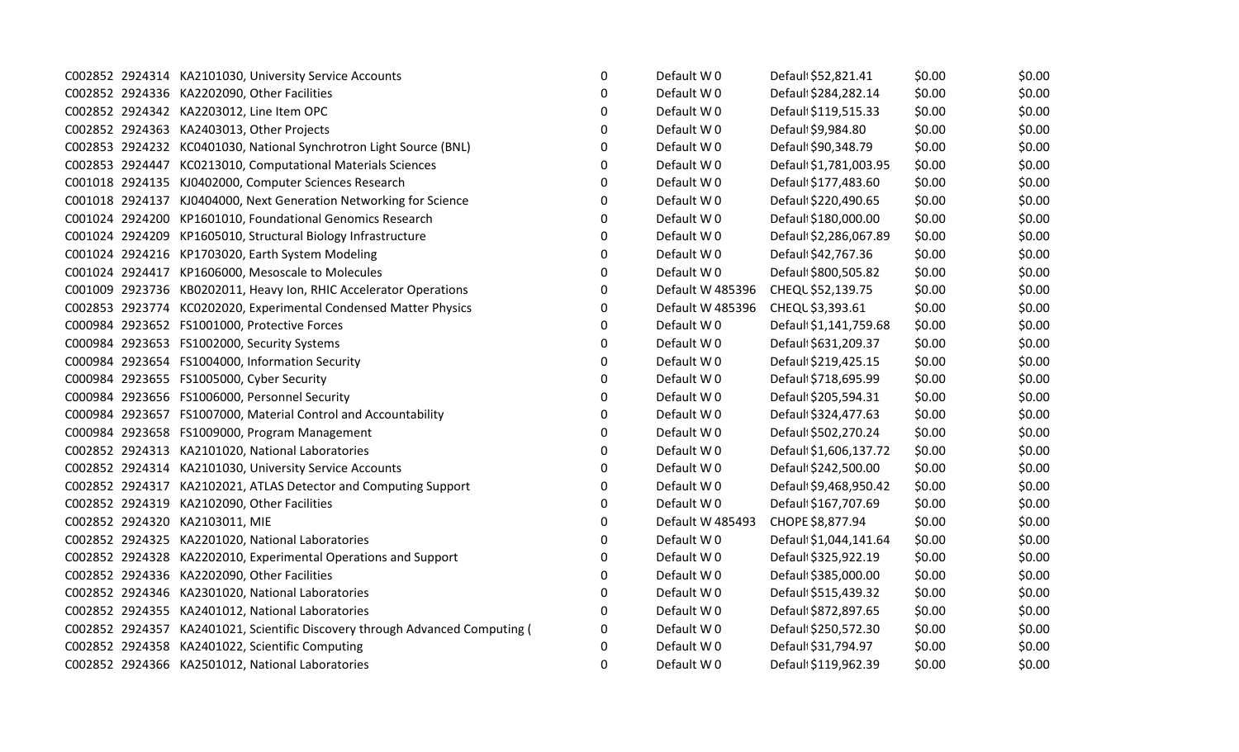|  | C002852 2924314 KA2101030, University Service Accounts                       | $\mathbf 0$ | Default W0       | Default \$52,821.41    | \$0.00 | \$0.00 |
|--|------------------------------------------------------------------------------|-------------|------------------|------------------------|--------|--------|
|  | C002852 2924336 KA2202090, Other Facilities                                  | $\Omega$    | Default W0       | Default \$284,282.14   | \$0.00 | \$0.00 |
|  | C002852 2924342 KA2203012, Line Item OPC                                     | 0           | Default W0       | Default \$119,515.33   | \$0.00 | \$0.00 |
|  | C002852 2924363 KA2403013, Other Projects                                    | 0           | Default W0       | Default \$9,984.80     | \$0.00 | \$0.00 |
|  | C002853 2924232 KC0401030, National Synchrotron Light Source (BNL)           | 0           | Default W0       | Default \$90,348.79    | \$0.00 | \$0.00 |
|  | C002853 2924447 KC0213010, Computational Materials Sciences                  | 0           | Default W0       | Defaul \$1,781,003.95  | \$0.00 | \$0.00 |
|  | C001018 2924135 KJ0402000, Computer Sciences Research                        | $\Omega$    | Default W0       | Defaul \$177,483.60    | \$0.00 | \$0.00 |
|  | C001018 2924137 KJ0404000, Next Generation Networking for Science            | 0           | Default W0       | Default \$220,490.65   | \$0.00 | \$0.00 |
|  | C001024 2924200 KP1601010, Foundational Genomics Research                    | 0           | Default W0       | Default \$180,000.00   | \$0.00 | \$0.00 |
|  | C001024 2924209 KP1605010, Structural Biology Infrastructure                 | 0           | Default W0       | Default \$2,286,067.89 | \$0.00 | \$0.00 |
|  | C001024 2924216 KP1703020, Earth System Modeling                             | 0           | Default W0       | Default \$42,767.36    | \$0.00 | \$0.00 |
|  | C001024 2924417 KP1606000, Mesoscale to Molecules                            | $\Omega$    | Default W0       | Default \$800,505.82   | \$0.00 | \$0.00 |
|  | C001009 2923736 KB0202011, Heavy Ion, RHIC Accelerator Operations            | 0           | Default W 485396 | CHEQL \$52,139.75      | \$0.00 | \$0.00 |
|  | C002853 2923774 KC0202020, Experimental Condensed Matter Physics             | 0           | Default W 485396 | CHEQL \$3,393.61       | \$0.00 | \$0.00 |
|  | C000984 2923652 FS1001000, Protective Forces                                 | 0           | Default W0       | Defaul: \$1,141,759.68 | \$0.00 | \$0.00 |
|  | C000984 2923653 FS1002000, Security Systems                                  | $\Omega$    | Default W0       | Default \$631,209.37   | \$0.00 | \$0.00 |
|  | C000984 2923654 FS1004000, Information Security                              | 0           | Default W0       | Default \$219,425.15   | \$0.00 | \$0.00 |
|  | C000984 2923655 FS1005000, Cyber Security                                    | 0           | Default W0       | Default \$718,695.99   | \$0.00 | \$0.00 |
|  | C000984 2923656 FS1006000, Personnel Security                                | 0           | Default W0       | Default \$205,594.31   | \$0.00 | \$0.00 |
|  | C000984 2923657 FS1007000, Material Control and Accountability               | 0           | Default W0       | Default \$324,477.63   | \$0.00 | \$0.00 |
|  | C000984 2923658 FS1009000, Program Management                                | 0           | Default W0       | Default \$502,270.24   | \$0.00 | \$0.00 |
|  | C002852 2924313 KA2101020, National Laboratories                             | 0           | Default W0       | Default \$1,606,137.72 | \$0.00 | \$0.00 |
|  | C002852 2924314 KA2101030, University Service Accounts                       | 0           | Default W0       | Default \$242,500.00   | \$0.00 | \$0.00 |
|  | C002852 2924317 KA2102021, ATLAS Detector and Computing Support              | 0           | Default W0       | Default \$9,468,950.42 | \$0.00 | \$0.00 |
|  | C002852 2924319 KA2102090, Other Facilities                                  | 0           | Default W0       | Default \$167,707.69   | \$0.00 | \$0.00 |
|  | C002852 2924320 KA2103011, MIE                                               | 0           | Default W 485493 | CHOPE \$8,877.94       | \$0.00 | \$0.00 |
|  | C002852 2924325 KA2201020, National Laboratories                             | 0           | Default W0       | Defaul \$1,044,141.64  | \$0.00 | \$0.00 |
|  | C002852 2924328 KA2202010, Experimental Operations and Support               | 0           | Default W0       | Default \$325,922.19   | \$0.00 | \$0.00 |
|  | C002852 2924336 KA2202090, Other Facilities                                  | 0           | Default W0       | Default \$385,000.00   | \$0.00 | \$0.00 |
|  | C002852 2924346 KA2301020, National Laboratories                             | $\Omega$    | Default W0       | Default \$515,439.32   | \$0.00 | \$0.00 |
|  | C002852 2924355 KA2401012, National Laboratories                             | 0           | Default W0       | Default \$872,897.65   | \$0.00 | \$0.00 |
|  | C002852 2924357 KA2401021, Scientific Discovery through Advanced Computing ( | 0           | Default W0       | Default \$250,572.30   | \$0.00 | \$0.00 |
|  | C002852 2924358 KA2401022, Scientific Computing                              | 0           | Default W0       | Defaul \$31,794.97     | \$0.00 | \$0.00 |
|  | C002852 2924366 KA2501012, National Laboratories                             | 0           | Default W0       | Default \$119,962.39   | \$0.00 | \$0.00 |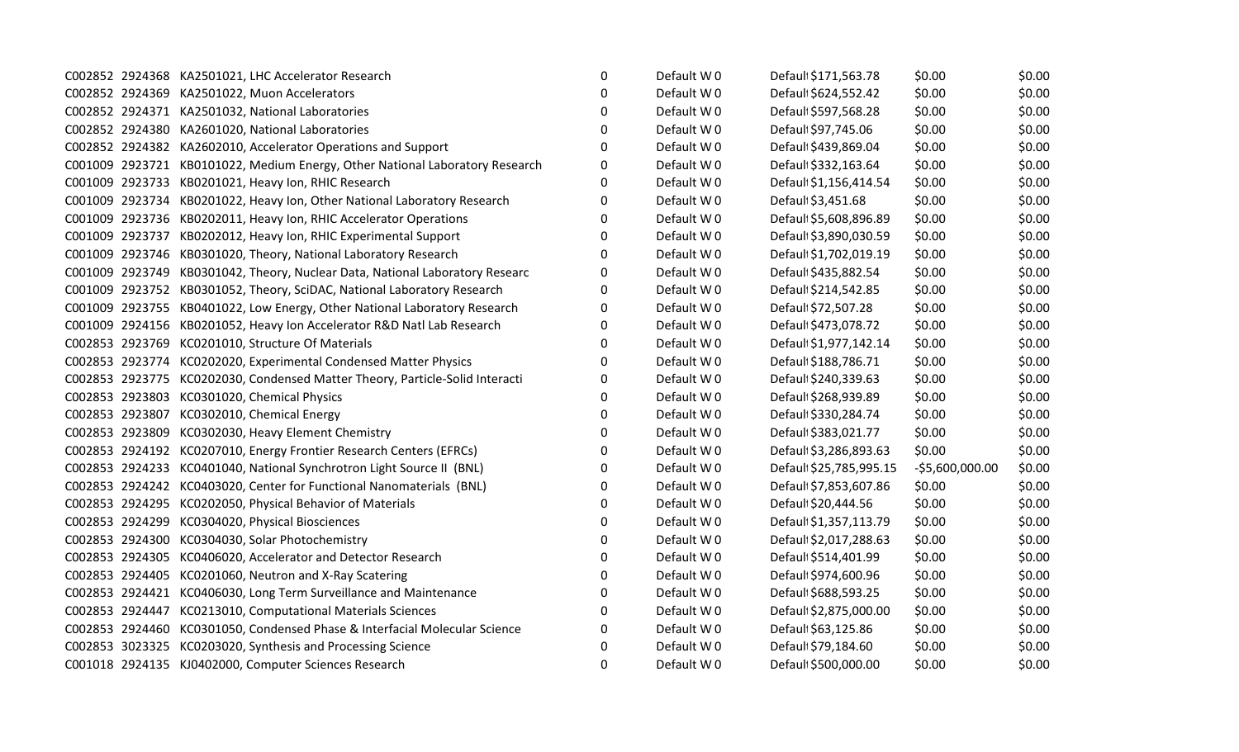|  | C002852 2924368 KA2501021, LHC Accelerator Research                          | $\mathbf 0$ | Default W0 | Default \$171,563.78    | \$0.00           | \$0.00 |
|--|------------------------------------------------------------------------------|-------------|------------|-------------------------|------------------|--------|
|  | C002852 2924369 KA2501022, Muon Accelerators                                 | 0           | Default W0 | Default \$624,552.42    | \$0.00           | \$0.00 |
|  | C002852 2924371 KA2501032, National Laboratories                             | $\Omega$    | Default W0 | Default \$597,568.28    | \$0.00           | \$0.00 |
|  | C002852 2924380 KA2601020, National Laboratories                             | $\Omega$    | Default W0 | Default \$97,745.06     | \$0.00           | \$0.00 |
|  | C002852 2924382 KA2602010, Accelerator Operations and Support                | $\Omega$    | Default W0 | Default \$439,869.04    | \$0.00           | \$0.00 |
|  | C001009 2923721 KB0101022, Medium Energy, Other National Laboratory Research | 0           | Default W0 | Default \$332,163.64    | \$0.00           | \$0.00 |
|  | C001009 2923733 KB0201021, Heavy Ion, RHIC Research                          | 0           | Default W0 | Default \$1,156,414.54  | \$0.00           | \$0.00 |
|  | C001009 2923734 KB0201022, Heavy Ion, Other National Laboratory Research     | O           | Default W0 | Default \$3,451.68      | \$0.00           | \$0.00 |
|  | C001009 2923736 KB0202011, Heavy Ion, RHIC Accelerator Operations            | $\Omega$    | Default W0 | Default \$5,608,896.89  | \$0.00           | \$0.00 |
|  | C001009 2923737 KB0202012, Heavy Ion, RHIC Experimental Support              | 0           | Default W0 | Default \$3,890,030.59  | \$0.00           | \$0.00 |
|  | C001009 2923746 KB0301020, Theory, National Laboratory Research              | 0           | Default W0 | Defaul \$1,702,019.19   | \$0.00           | \$0.00 |
|  | C001009 2923749 KB0301042, Theory, Nuclear Data, National Laboratory Researc | 0           | Default W0 | Default \$435,882.54    | \$0.00           | \$0.00 |
|  | C001009 2923752 KB0301052, Theory, SciDAC, National Laboratory Research      | 0           | Default W0 | Default \$214,542.85    | \$0.00           | \$0.00 |
|  | C001009 2923755 KB0401022, Low Energy, Other National Laboratory Research    | 0           | Default W0 | Default \$72,507.28     | \$0.00           | \$0.00 |
|  | C001009 2924156 KB0201052, Heavy Ion Accelerator R&D Natl Lab Research       | 0           | Default W0 | Default \$473,078.72    | \$0.00           | \$0.00 |
|  | C002853 2923769 KC0201010, Structure Of Materials                            | 0           | Default W0 | Defaul \$1,977,142.14   | \$0.00           | \$0.00 |
|  | C002853 2923774 KC0202020, Experimental Condensed Matter Physics             | n           | Default W0 | Default \$188,786.71    | \$0.00           | \$0.00 |
|  | C002853 2923775 KC0202030, Condensed Matter Theory, Particle-Solid Interacti | $\Omega$    | Default W0 | Default \$240,339.63    | \$0.00           | \$0.00 |
|  | C002853 2923803 KC0301020, Chemical Physics                                  | 0           | Default W0 | Default \$268,939.89    | \$0.00           | \$0.00 |
|  | C002853 2923807 KC0302010, Chemical Energy                                   | 0           | Default W0 | Default \$330,284.74    | \$0.00           | \$0.00 |
|  | C002853 2923809 KC0302030, Heavy Element Chemistry                           | 0           | Default W0 | Default \$383,021.77    | \$0.00           | \$0.00 |
|  | C002853 2924192 KC0207010, Energy Frontier Research Centers (EFRCs)          | $\Omega$    | Default W0 | Default \$3,286,893.63  | \$0.00           | \$0.00 |
|  | C002853 2924233 KC0401040, National Synchrotron Light Source II (BNL)        | 0           | Default W0 | Default \$25,785,995.15 | $-55,600,000.00$ | \$0.00 |
|  | C002853 2924242 KC0403020, Center for Functional Nanomaterials (BNL)         | 0           | Default W0 | Defaul \$7,853,607.86   | \$0.00           | \$0.00 |
|  | C002853 2924295 KC0202050, Physical Behavior of Materials                    | 0           | Default W0 | Default \$20,444.56     | \$0.00           | \$0.00 |
|  | C002853 2924299 KC0304020, Physical Biosciences                              | $\Omega$    | Default W0 | Default \$1,357,113.79  | \$0.00           | \$0.00 |
|  | C002853 2924300 KC0304030, Solar Photochemistry                              | 0           | Default W0 | Default \$2,017,288.63  | \$0.00           | \$0.00 |
|  | C002853 2924305 KC0406020, Accelerator and Detector Research                 | 0           | Default W0 | Default \$514,401.99    | \$0.00           | \$0.00 |
|  | C002853 2924405 KC0201060, Neutron and X-Ray Scatering                       | 0           | Default W0 | Default \$974,600.96    | \$0.00           | \$0.00 |
|  | C002853 2924421 KC0406030, Long Term Surveillance and Maintenance            | 0           | Default W0 | Default \$688,593.25    | \$0.00           | \$0.00 |
|  | C002853 2924447 KC0213010, Computational Materials Sciences                  | 0           | Default W0 | Default \$2,875,000.00  | \$0.00           | \$0.00 |
|  | C002853 2924460 KC0301050, Condensed Phase & Interfacial Molecular Science   | 0           | Default W0 | Default \$63,125.86     | \$0.00           | \$0.00 |
|  | C002853 3023325 KC0203020, Synthesis and Processing Science                  | O           | Default W0 | Defaul \$79,184.60      | \$0.00           | \$0.00 |
|  | C001018 2924135 KJ0402000, Computer Sciences Research                        | $\Omega$    | Default W0 | Default \$500,000.00    | \$0.00           | \$0.00 |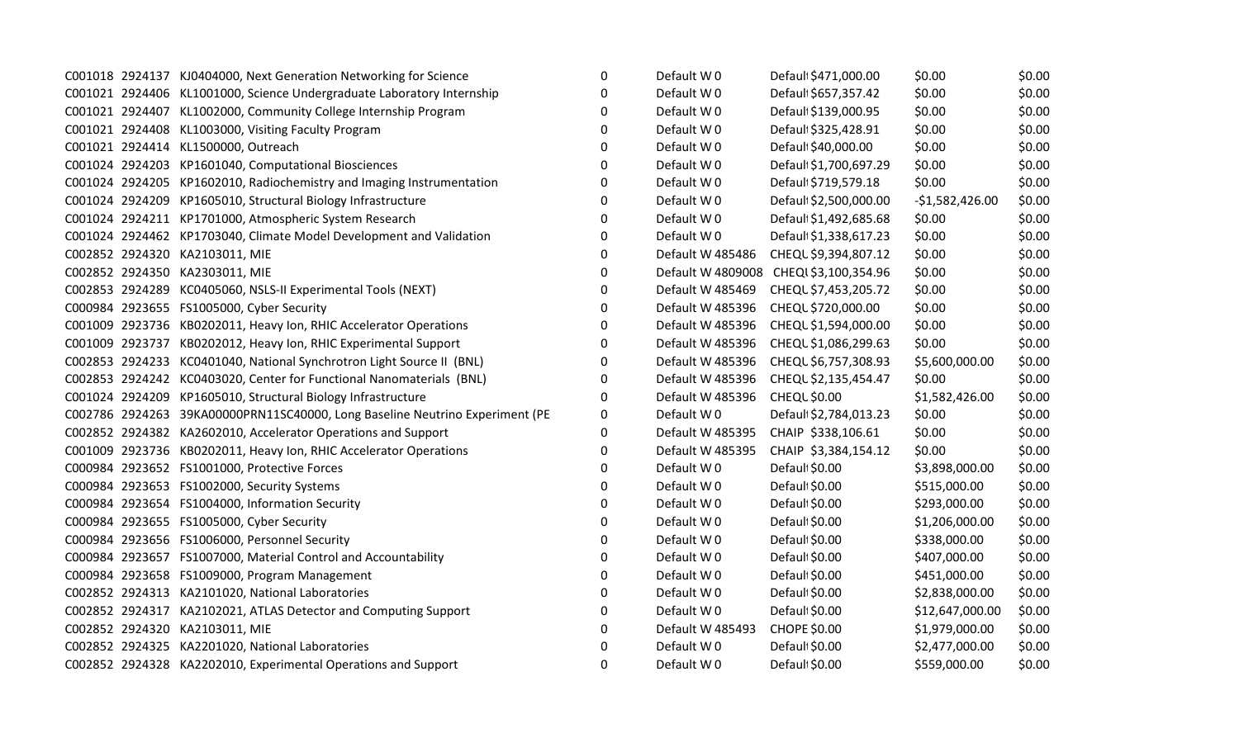|  | C001018 2924137 KJ0404000, Next Generation Networking for Science            | $\mathbf{0}$ | Default W0       | Default \$471,000.00                   | \$0.00           | \$0.00 |
|--|------------------------------------------------------------------------------|--------------|------------------|----------------------------------------|------------------|--------|
|  | C001021 2924406 KL1001000, Science Undergraduate Laboratory Internship       | 0            | Default W0       | Default \$657,357.42                   | \$0.00           | \$0.00 |
|  | C001021 2924407 KL1002000, Community College Internship Program              | $\Omega$     | Default W0       | Default \$139,000.95                   | \$0.00           | \$0.00 |
|  | C001021 2924408 KL1003000, Visiting Faculty Program                          | 0            | Default W0       | Default \$325,428.91                   | \$0.00           | \$0.00 |
|  | C001021 2924414 KL1500000, Outreach                                          | $\Omega$     | Default W0       | Default \$40,000.00                    | \$0.00           | \$0.00 |
|  | C001024 2924203 KP1601040, Computational Biosciences                         | 0            | Default W0       | Default \$1,700,697.29                 | \$0.00           | \$0.00 |
|  | C001024 2924205 KP1602010, Radiochemistry and Imaging Instrumentation        | 0            | Default W0       | Default \$719,579.18                   | \$0.00           | \$0.00 |
|  | C001024 2924209 KP1605010, Structural Biology Infrastructure                 | 0            | Default W0       | Default \$2,500,000.00                 | $-$1,582,426.00$ | \$0.00 |
|  | C001024 2924211 KP1701000, Atmospheric System Research                       | 0            | Default W0       | Defaul \$1,492,685.68                  | \$0.00           | \$0.00 |
|  | C001024 2924462 KP1703040, Climate Model Development and Validation          | 0            | Default W0       | Defaul \$1,338,617.23                  | \$0.00           | \$0.00 |
|  | C002852 2924320 KA2103011, MIE                                               | 0            | Default W 485486 | CHEQL \$9,394,807.12                   | \$0.00           | \$0.00 |
|  | C002852 2924350 KA2303011, MIE                                               | 0            |                  | Default W 4809008 CHEQI \$3,100,354.96 | \$0.00           | \$0.00 |
|  | C002853 2924289 KC0405060, NSLS-II Experimental Tools (NEXT)                 | 0            | Default W 485469 | CHEQL \$7,453,205.72                   | \$0.00           | \$0.00 |
|  | C000984 2923655 FS1005000, Cyber Security                                    | $\Omega$     | Default W 485396 | CHEQL \$720,000.00                     | \$0.00           | \$0.00 |
|  | C001009 2923736 KB0202011, Heavy Ion, RHIC Accelerator Operations            | 0            | Default W 485396 | CHEQL \$1,594,000.00                   | \$0.00           | \$0.00 |
|  | C001009 2923737 KB0202012, Heavy Ion, RHIC Experimental Support              | 0            | Default W 485396 | CHEQL \$1,086,299.63                   | \$0.00           | \$0.00 |
|  | C002853 2924233 KC0401040, National Synchrotron Light Source II (BNL)        | 0            | Default W 485396 | CHEQL \$6,757,308.93                   | \$5,600,000.00   | \$0.00 |
|  | C002853 2924242 KC0403020, Center for Functional Nanomaterials (BNL)         | 0            | Default W 485396 | CHEQL \$2,135,454.47                   | \$0.00           | \$0.00 |
|  | C001024 2924209 KP1605010, Structural Biology Infrastructure                 | $\Omega$     | Default W 485396 | <b>CHEQL \$0.00</b>                    | \$1,582,426.00   | \$0.00 |
|  | C002786 2924263 39KA00000PRN11SC40000, Long Baseline Neutrino Experiment (PE | 0            | Default W0       | Default \$2,784,013.23                 | \$0.00           | \$0.00 |
|  | C002852 2924382 KA2602010, Accelerator Operations and Support                | 0            | Default W 485395 | CHAIP \$338,106.61                     | \$0.00           | \$0.00 |
|  | C001009 2923736 KB0202011, Heavy Ion, RHIC Accelerator Operations            | 0            | Default W 485395 | CHAIP \$3,384,154.12                   | \$0.00           | \$0.00 |
|  | C000984 2923652 FS1001000, Protective Forces                                 | 0            | Default W0       | Default \$0.00                         | \$3,898,000.00   | \$0.00 |
|  | C000984 2923653 FS1002000, Security Systems                                  | 0            | Default W0       | Default \$0.00                         | \$515,000.00     | \$0.00 |
|  | C000984 2923654 FS1004000, Information Security                              | 0            | Default W0       | Default \$0.00                         | \$293,000.00     | \$0.00 |
|  | C000984 2923655 FS1005000, Cyber Security                                    | 0            | Default W0       | Default \$0.00                         | \$1,206,000.00   | \$0.00 |
|  | C000984 2923656 FS1006000, Personnel Security                                | 0            | Default W0       | Default \$0.00                         | \$338,000.00     | \$0.00 |
|  | C000984 2923657 FS1007000, Material Control and Accountability               | $\Omega$     | Default W0       | Default \$0.00                         | \$407,000.00     | \$0.00 |
|  | C000984 2923658 FS1009000, Program Management                                | 0            | Default W0       | Default \$0.00                         | \$451,000.00     | \$0.00 |
|  | C002852 2924313 KA2101020, National Laboratories                             | 0            | Default W0       | Default \$0.00                         | \$2,838,000.00   | \$0.00 |
|  | C002852 2924317 KA2102021, ATLAS Detector and Computing Support              | 0            | Default W0       | Default \$0.00                         | \$12,647,000.00  | \$0.00 |
|  | C002852 2924320 KA2103011, MIE                                               | 0            | Default W 485493 | <b>CHOPE \$0.00</b>                    | \$1,979,000.00   | \$0.00 |
|  | C002852 2924325 KA2201020, National Laboratories                             | 0            | Default W0       | Default \$0.00                         | \$2,477,000.00   | \$0.00 |
|  | C002852 2924328 KA2202010, Experimental Operations and Support               | $\Omega$     | Default W0       | Default \$0.00                         | \$559,000.00     | \$0.00 |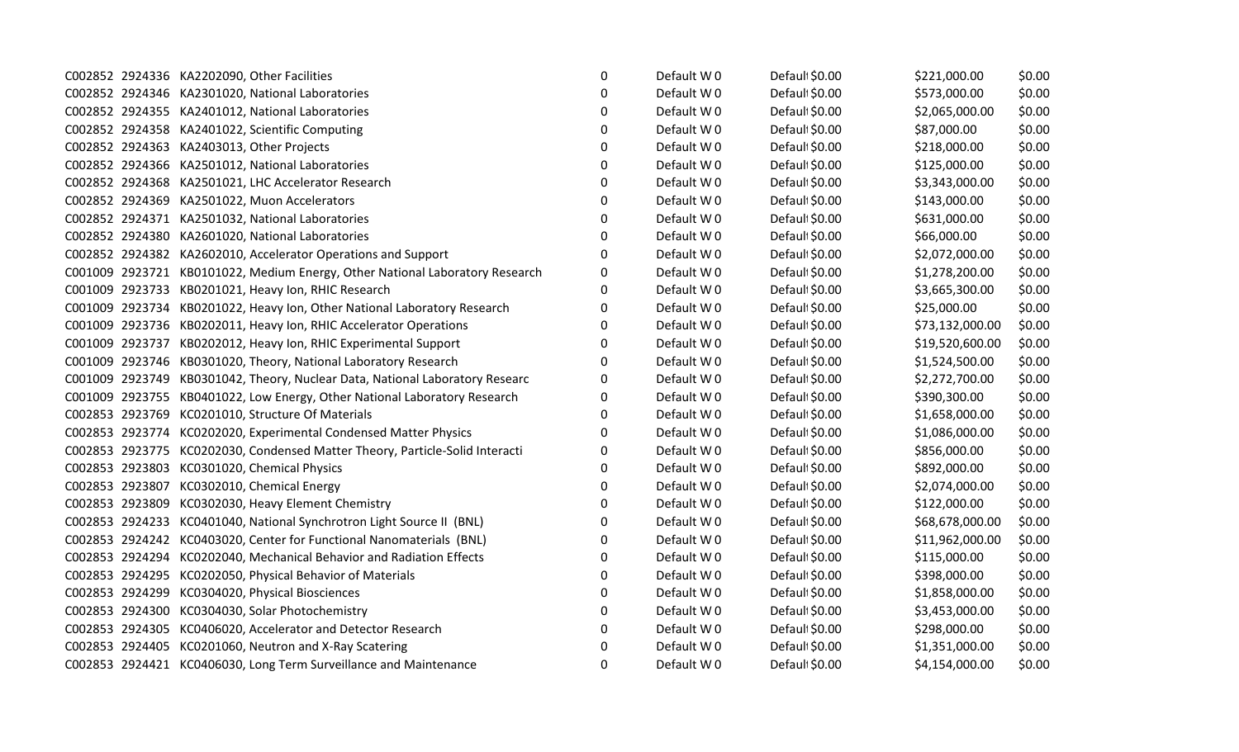|  | C002852 2924336 KA2202090, Other Facilities                                  | $\mathbf 0$ | Default W0 | Defaul \$0.00  | \$221,000.00    | \$0.00 |
|--|------------------------------------------------------------------------------|-------------|------------|----------------|-----------------|--------|
|  | C002852 2924346 KA2301020, National Laboratories                             | $\Omega$    | Default W0 | Defaul \$0.00  | \$573,000.00    | \$0.00 |
|  | C002852 2924355 KA2401012, National Laboratories                             | 0           | Default W0 | Default \$0.00 | \$2,065,000.00  | \$0.00 |
|  | C002852 2924358 KA2401022, Scientific Computing                              | 0           | Default W0 | Defaul \$0.00  | \$87,000.00     | \$0.00 |
|  | C002852 2924363 KA2403013, Other Projects                                    | 0           | Default W0 | Defaul \$0.00  | \$218,000.00    | \$0.00 |
|  | C002852 2924366 KA2501012, National Laboratories                             | 0           | Default W0 | Defaul \$0.00  | \$125,000.00    | \$0.00 |
|  | C002852 2924368 KA2501021, LHC Accelerator Research                          | 0           | Default W0 | Defaul \$0.00  | \$3,343,000.00  | \$0.00 |
|  | C002852 2924369 KA2501022, Muon Accelerators                                 | 0           | Default W0 | Default \$0.00 | \$143,000.00    | \$0.00 |
|  | C002852 2924371 KA2501032, National Laboratories                             | 0           | Default W0 | Default \$0.00 | \$631,000.00    | \$0.00 |
|  | C002852 2924380 KA2601020, National Laboratories                             | 0           | Default W0 | Default \$0.00 | \$66,000.00     | \$0.00 |
|  | C002852 2924382 KA2602010, Accelerator Operations and Support                | 0           | Default W0 | Default \$0.00 | \$2,072,000.00  | \$0.00 |
|  | C001009 2923721 KB0101022, Medium Energy, Other National Laboratory Research | 0           | Default W0 | Default \$0.00 | \$1,278,200.00  | \$0.00 |
|  | C001009 2923733 KB0201021, Heavy Ion, RHIC Research                          | 0           | Default W0 | Defaul \$0.00  | \$3,665,300.00  | \$0.00 |
|  | C001009 2923734 KB0201022, Heavy Ion, Other National Laboratory Research     | 0           | Default W0 | Default \$0.00 | \$25,000.00     | \$0.00 |
|  | C001009 2923736 KB0202011, Heavy Ion, RHIC Accelerator Operations            | 0           | Default W0 | Default \$0.00 | \$73,132,000.00 | \$0.00 |
|  | C001009 2923737 KB0202012, Heavy Ion, RHIC Experimental Support              | 0           | Default W0 | Defaul \$0.00  | \$19,520,600.00 | \$0.00 |
|  | C001009 2923746 KB0301020, Theory, National Laboratory Research              | 0           | Default W0 | Default \$0.00 | \$1,524,500.00  | \$0.00 |
|  | C001009 2923749 KB0301042, Theory, Nuclear Data, National Laboratory Researc | 0           | Default W0 | Default \$0.00 | \$2,272,700.00  | \$0.00 |
|  | C001009 2923755 KB0401022, Low Energy, Other National Laboratory Research    | 0           | Default W0 | Default \$0.00 | \$390,300.00    | \$0.00 |
|  | C002853 2923769 KC0201010, Structure Of Materials                            | 0           | Default W0 | Defaul \$0.00  | \$1,658,000.00  | \$0.00 |
|  | C002853 2923774 KC0202020, Experimental Condensed Matter Physics             | 0           | Default W0 | Default \$0.00 | \$1,086,000.00  | \$0.00 |
|  | C002853 2923775 KC0202030, Condensed Matter Theory, Particle-Solid Interacti | 0           | Default W0 | Defaul \$0.00  | \$856,000.00    | \$0.00 |
|  | C002853 2923803 KC0301020, Chemical Physics                                  | 0           | Default W0 | Default \$0.00 | \$892,000.00    | \$0.00 |
|  | C002853 2923807 KC0302010, Chemical Energy                                   | 0           | Default W0 | Default \$0.00 | \$2,074,000.00  | \$0.00 |
|  | C002853 2923809 KC0302030, Heavy Element Chemistry                           | 0           | Default W0 | Defaul \$0.00  | \$122,000.00    | \$0.00 |
|  | C002853 2924233 KC0401040, National Synchrotron Light Source II (BNL)        | $\Omega$    | Default W0 | Defaul \$0.00  | \$68,678,000.00 | \$0.00 |
|  | C002853 2924242 KC0403020, Center for Functional Nanomaterials (BNL)         | 0           | Default W0 | Default \$0.00 | \$11,962,000.00 | \$0.00 |
|  | C002853 2924294 KC0202040, Mechanical Behavior and Radiation Effects         | 0           | Default W0 | Default \$0.00 | \$115,000.00    | \$0.00 |
|  | C002853 2924295 KC0202050, Physical Behavior of Materials                    | 0           | Default W0 | Default \$0.00 | \$398,000.00    | \$0.00 |
|  | C002853 2924299 KC0304020, Physical Biosciences                              | 0           | Default W0 | Default \$0.00 | \$1,858,000.00  | \$0.00 |
|  | C002853 2924300 KC0304030, Solar Photochemistry                              | 0           | Default W0 | Default \$0.00 | \$3,453,000.00  | \$0.00 |
|  | C002853 2924305 KC0406020, Accelerator and Detector Research                 | 0           | Default W0 | Defaul \$0.00  | \$298,000.00    | \$0.00 |
|  | C002853 2924405 KC0201060, Neutron and X-Ray Scatering                       | 0           | Default W0 | Defaul \$0.00  | \$1,351,000.00  | \$0.00 |
|  | C002853 2924421 KC0406030, Long Term Surveillance and Maintenance            | 0           | Default W0 | Default \$0.00 | \$4,154,000.00  | \$0.00 |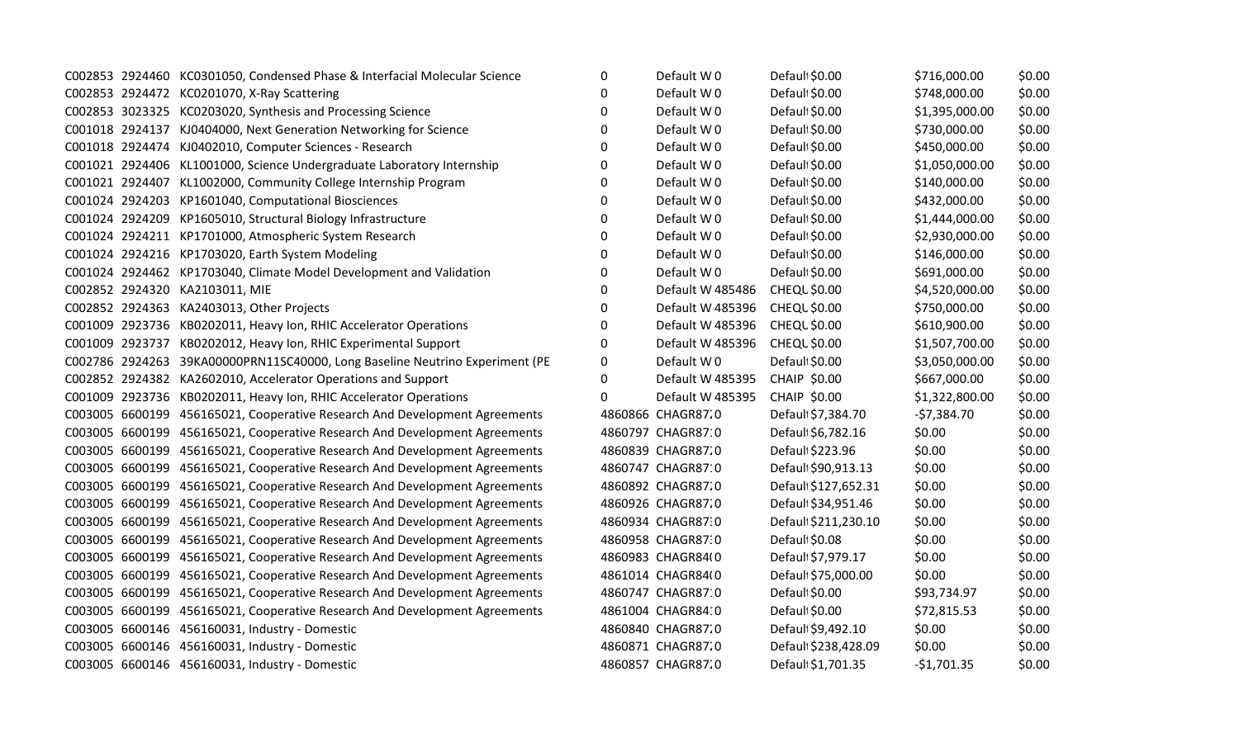|  | C002853 2924460 KC0301050, Condensed Phase & Interfacial Molecular Science   | 0        | Default W0        | Default \$0.00       | \$716,000.00   | \$0.00 |
|--|------------------------------------------------------------------------------|----------|-------------------|----------------------|----------------|--------|
|  | C002853 2924472 KC0201070, X-Ray Scattering                                  | 0        | Default W 0       | Default \$0.00       | \$748,000.00   | \$0.00 |
|  | C002853 3023325 KC0203020, Synthesis and Processing Science                  | $\Omega$ | Default W0        | Default \$0.00       | \$1,395,000.00 | \$0.00 |
|  | C001018 2924137 KJ0404000, Next Generation Networking for Science            | 0        | Default W0        | Default \$0.00       | \$730,000.00   | \$0.00 |
|  | C001018 2924474 KJ0402010, Computer Sciences - Research                      | 0        | Default W0        | Default \$0.00       | \$450,000.00   | \$0.00 |
|  | C001021 2924406 KL1001000, Science Undergraduate Laboratory Internship       | 0        | Default W0        | Default \$0.00       | \$1,050,000.00 | \$0.00 |
|  | C001021 2924407 KL1002000, Community College Internship Program              | 0        | Default W0        | Default \$0.00       | \$140,000.00   | \$0.00 |
|  | C001024 2924203 KP1601040, Computational Biosciences                         | 0        | Default W0        | Default \$0.00       | \$432,000.00   | \$0.00 |
|  | C001024 2924209 KP1605010, Structural Biology Infrastructure                 | 0        | Default W0        | Default \$0.00       | \$1,444,000.00 | \$0.00 |
|  | C001024 2924211 KP1701000, Atmospheric System Research                       | 0        | Default W0        | Default \$0.00       | \$2,930,000.00 | \$0.00 |
|  | C001024 2924216 KP1703020, Earth System Modeling                             | $\Omega$ | Default W0        | Default \$0.00       | \$146,000.00   | \$0.00 |
|  | C001024 2924462 KP1703040, Climate Model Development and Validation          | $\Omega$ | Default W 0       | Default \$0.00       | \$691,000.00   | \$0.00 |
|  | C002852 2924320 KA2103011, MIE                                               | 0        | Default W 485486  | <b>CHEQL \$0.00</b>  | \$4,520,000.00 | \$0.00 |
|  | C002852 2924363 KA2403013, Other Projects                                    | 0        | Default W 485396  | <b>CHEQL \$0.00</b>  | \$750,000.00   | \$0.00 |
|  | C001009 2923736 KB0202011, Heavy Ion, RHIC Accelerator Operations            | 0        | Default W 485396  | <b>CHEQL \$0.00</b>  | \$610,900.00   | \$0.00 |
|  | C001009 2923737 KB0202012, Heavy Ion, RHIC Experimental Support              | 0        | Default W 485396  | <b>CHEQL \$0.00</b>  | \$1,507,700.00 | \$0.00 |
|  | C002786 2924263 39KA00000PRN11SC40000, Long Baseline Neutrino Experiment (PE | 0        | Default W0        | Default \$0.00       | \$3,050,000.00 | \$0.00 |
|  | C002852 2924382 KA2602010, Accelerator Operations and Support                | $\Omega$ | Default W 485395  | <b>CHAIP \$0.00</b>  | \$667,000.00   | \$0.00 |
|  | C001009 2923736 KB0202011, Heavy Ion, RHIC Accelerator Operations            | $\Omega$ | Default W 485395  | <b>CHAIP \$0.00</b>  | \$1,322,800.00 | \$0.00 |
|  | C003005 6600199 456165021, Cooperative Research And Development Agreements   |          | 4860866 CHAGR87.0 | Default \$7,384.70   | $-57,384.70$   | \$0.00 |
|  | C003005 6600199 456165021, Cooperative Research And Development Agreements   |          | 4860797 CHAGR87:0 | Default \$6,782.16   | \$0.00         | \$0.00 |
|  | C003005 6600199 456165021, Cooperative Research And Development Agreements   |          | 4860839 CHAGR87.0 | Default \$223.96     | \$0.00         | \$0.00 |
|  | C003005 6600199 456165021, Cooperative Research And Development Agreements   |          | 4860747 CHAGR87 0 | Default \$90,913.13  | \$0.00         | \$0.00 |
|  | C003005 6600199 456165021, Cooperative Research And Development Agreements   |          | 4860892 CHAGR87.0 | Default \$127,652.31 | \$0.00         | \$0.00 |
|  | C003005 6600199 456165021, Cooperative Research And Development Agreements   |          | 4860926 CHAGR87.0 | Defaul \$34,951.46   | \$0.00         | \$0.00 |
|  | C003005 6600199 456165021, Cooperative Research And Development Agreements   |          | 4860934 CHAGR87.0 | Default \$211,230.10 | \$0.00         | \$0.00 |
|  | C003005 6600199 456165021, Cooperative Research And Development Agreements   |          | 4860958 CHAGR87.0 | Default \$0.08       | \$0.00         | \$0.00 |
|  | C003005 6600199 456165021, Cooperative Research And Development Agreements   |          | 4860983 CHAGR84(0 | Default \$7,979.17   | \$0.00         | \$0.00 |
|  | C003005 6600199 456165021, Cooperative Research And Development Agreements   |          | 4861014 CHAGR84(0 | Default \$75,000.00  | \$0.00         | \$0.00 |
|  | C003005 6600199 456165021, Cooperative Research And Development Agreements   |          | 4860747 CHAGR87 0 | Defaul \$0.00        | \$93,734.97    | \$0.00 |
|  | C003005 6600199 456165021, Cooperative Research And Development Agreements   |          | 4861004 CHAGR84 0 | Default \$0.00       | \$72,815.53    | \$0.00 |
|  | C003005 6600146 456160031, Industry - Domestic                               |          | 4860840 CHAGR87.0 | Default \$9,492.10   | \$0.00         | \$0.00 |
|  | C003005 6600146 456160031, Industry - Domestic                               |          | 4860871 CHAGR87.0 | Default \$238,428.09 | \$0.00         | \$0.00 |
|  | C003005 6600146 456160031, Industry - Domestic                               |          | 4860857 CHAGR87.0 | Defaul \$1,701.35    | $-$1,701.35$   | \$0.00 |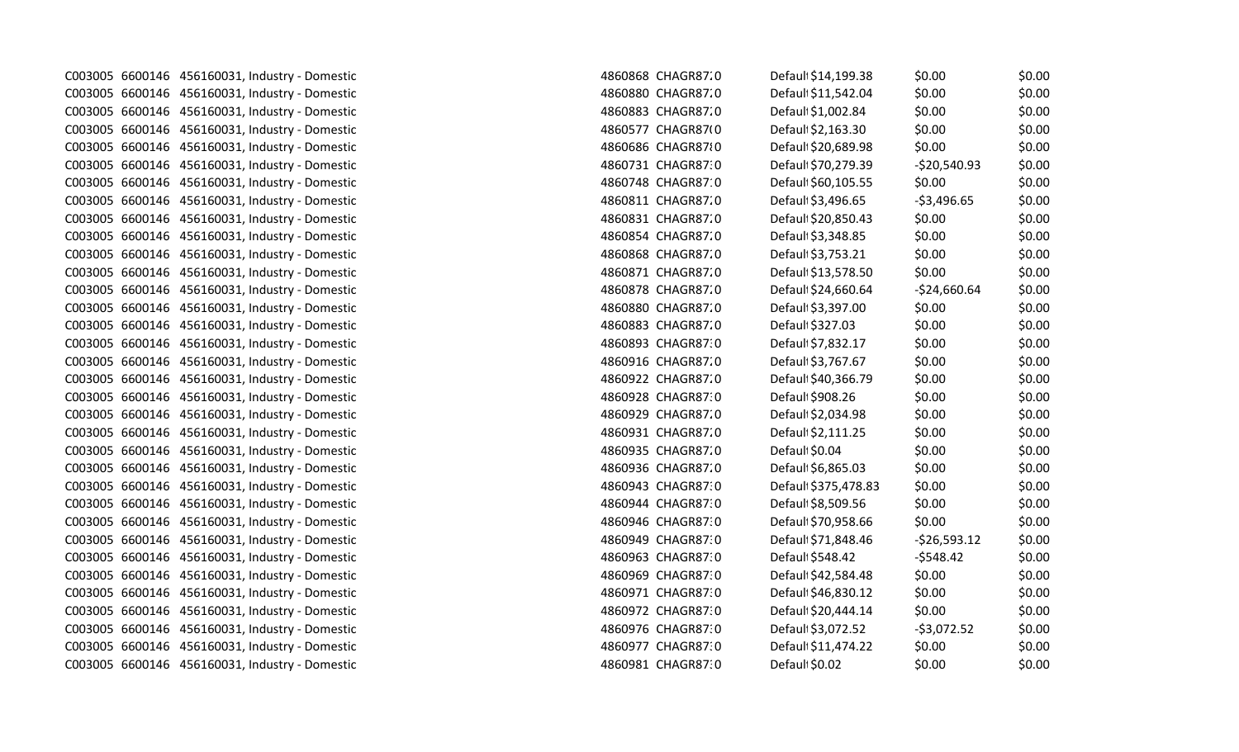|  | C003005 6600146 456160031, Industry - Domestic | 4860868 CHAGR87.0 | Default \$14,199.38 | \$0.00        | \$0.00 |
|--|------------------------------------------------|-------------------|---------------------|---------------|--------|
|  | C003005 6600146 456160031, Industry - Domestic | 4860880 CHAGR87.0 | Default \$11,542.04 | \$0.00        | \$0.00 |
|  | C003005 6600146 456160031, Industry - Domestic | 4860883 CHAGR87.0 | Default \$1,002.84  | \$0.00        | \$0.00 |
|  | C003005 6600146 456160031, Industry - Domestic | 4860577 CHAGR87(0 | Default \$2,163.30  | \$0.00        | \$0.00 |
|  | C003005 6600146 456160031, Industry - Domestic | 4860686 CHAGR8710 | Defaul \$20,689.98  | \$0.00        | \$0.00 |
|  | C003005 6600146 456160031, Industry - Domestic | 4860731 CHAGR87.0 | Default \$70,279.39 | $-520,540.93$ | \$0.00 |
|  | C003005 6600146 456160031, Industry - Domestic | 4860748 CHAGR87 0 | Defaul \$60,105.55  | \$0.00        | \$0.00 |
|  | C003005 6600146 456160031, Industry - Domestic | 4860811 CHAGR87.0 | Default \$3,496.65  | $-53,496.65$  | \$0.00 |
|  | C003005 6600146 456160031, Industry - Domestic | 4860831 CHAGR87.0 | Default \$20,850.43 | \$0.00        | \$0.00 |
|  | C003005 6600146 456160031, Industry - Domestic | 4860854 CHAGR87.0 | Default \$3,348.85  | \$0.00        | \$0.00 |
|  | C003005 6600146 456160031, Industry - Domestic | 4860868 CHAGR87.0 | Default \$3,753.21  | \$0.00        | \$0.00 |
|  | C003005 6600146 456160031, Industry - Domestic | 4860871 CHAGR87.0 | Default \$13,578.50 | \$0.00        | \$0.00 |
|  | C003005 6600146 456160031, Industry - Domestic | 4860878 CHAGR87.0 | Defaul \$24,660.64  | $-524,660.64$ | \$0.00 |
|  | C003005 6600146 456160031, Industry - Domestic | 4860880 CHAGR87.0 | Defaul \$3,397.00   | \$0.00        | \$0.00 |
|  | C003005 6600146 456160031, Industry - Domestic | 4860883 CHAGR87.0 | Default \$327.03    | \$0.00        | \$0.00 |
|  | C003005 6600146 456160031, Industry - Domestic | 4860893 CHAGR87:0 | Default \$7,832.17  | \$0.00        | \$0.00 |
|  | C003005 6600146 456160031, Industry - Domestic | 4860916 CHAGR87.0 | Default \$3,767.67  | \$0.00        | \$0.00 |
|  | C003005 6600146 456160031, Industry - Domestic | 4860922 CHAGR87.0 | Default \$40,366.79 | \$0.00        | \$0.00 |
|  | C003005 6600146 456160031, Industry - Domestic | 4860928 CHAGR87:0 | Default \$908.26    | \$0.00        | \$0.00 |
|  | C003005 6600146 456160031, Industry - Domestic | 4860929 CHAGR87.0 | Default \$2,034.98  | \$0.00        | \$0.00 |
|  | C003005 6600146 456160031, Industry - Domestic | 4860931 CHAGR87.0 | Default \$2,111.25  | \$0.00        | \$0.00 |
|  | C003005 6600146 456160031, Industry - Domestic | 4860935 CHAGR87.0 | Default \$0.04      | \$0.00        | \$0.00 |
|  | C003005 6600146 456160031, Industry - Domestic | 4860936 CHAGR87.0 | Default \$6,865.03  | \$0.00        | \$0.00 |
|  | C003005 6600146 456160031, Industry - Domestic | 4860943 CHAGR87:0 | Defaul \$375,478.83 | \$0.00        | \$0.00 |
|  | C003005 6600146 456160031, Industry - Domestic | 4860944 CHAGR87.0 | Default \$8,509.56  | \$0.00        | \$0.00 |
|  | C003005 6600146 456160031, Industry - Domestic | 4860946 CHAGR87.0 | Default \$70,958.66 | \$0.00        | \$0.00 |
|  | C003005 6600146 456160031, Industry - Domestic | 4860949 CHAGR87.0 | Defaul \$71,848.46  | $-526,593.12$ | \$0.00 |
|  | C003005 6600146 456160031, Industry - Domestic | 4860963 CHAGR87.0 | Defaul \$548.42     | $-5548.42$    | \$0.00 |
|  | C003005 6600146 456160031, Industry - Domestic | 4860969 CHAGR87.0 | Default \$42,584.48 | \$0.00        | \$0.00 |
|  | C003005 6600146 456160031, Industry - Domestic | 4860971 CHAGR87.0 | Default \$46,830.12 | \$0.00        | \$0.00 |
|  | C003005 6600146 456160031, Industry - Domestic | 4860972 CHAGR87:0 | Defaul \$20,444.14  | \$0.00        | \$0.00 |
|  | C003005 6600146 456160031, Industry - Domestic | 4860976 CHAGR87.0 | Default \$3,072.52  | $-53,072.52$  | \$0.00 |
|  | C003005 6600146 456160031, Industry - Domestic | 4860977 CHAGR87.0 | Default \$11,474.22 | \$0.00        | \$0.00 |
|  | C003005 6600146 456160031, Industry - Domestic | 4860981 CHAGR87.0 | Default \$0.02      | \$0.00        | \$0.00 |
|  |                                                |                   |                     |               |        |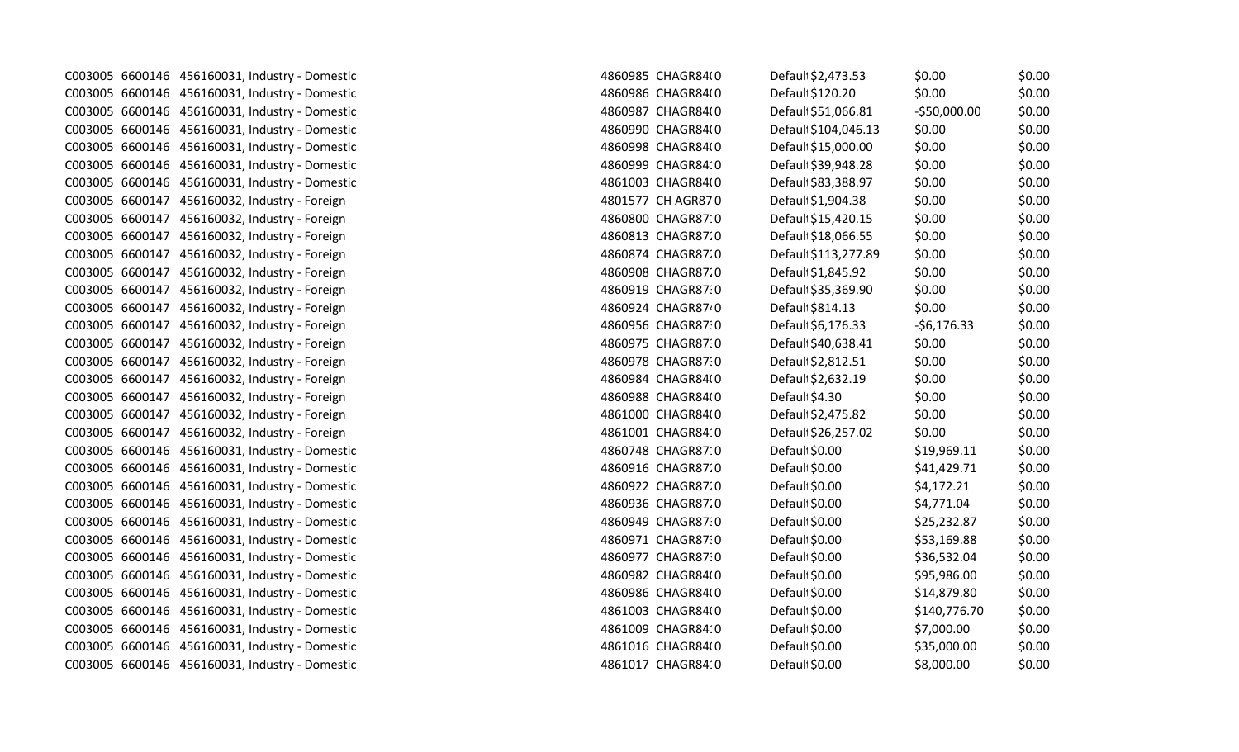|  | C003005 6600146 456160031, Industry - Domestic | 4860985 CHAGR84(0 | Defaul \$2,473.53    | \$0.00        | \$0.00 |
|--|------------------------------------------------|-------------------|----------------------|---------------|--------|
|  | C003005 6600146 456160031, Industry - Domestic | 4860986 CHAGR84(0 | Defaul \$120.20      | \$0.00        | \$0.00 |
|  | C003005 6600146 456160031, Industry - Domestic | 4860987 CHAGR84(0 | Defaul \$51,066.81   | $-$50,000.00$ | \$0.00 |
|  | C003005 6600146 456160031, Industry - Domestic | 4860990 CHAGR84(0 | Default \$104,046.13 | \$0.00        | \$0.00 |
|  | C003005 6600146 456160031, Industry - Domestic | 4860998 CHAGR84(0 | Default \$15,000.00  | \$0.00        | \$0.00 |
|  | C003005 6600146 456160031, Industry - Domestic | 4860999 CHAGR84:0 | Default \$39,948.28  | \$0.00        | \$0.00 |
|  | C003005 6600146 456160031, Industry - Domestic | 4861003 CHAGR84(0 | Default \$83,388.97  | \$0.00        | \$0.00 |
|  | C003005 6600147 456160032, Industry - Foreign  | 4801577 CH AGR870 | Defaul \$1,904.38    | \$0.00        | \$0.00 |
|  | C003005 6600147 456160032, Industry - Foreign  | 4860800 CHAGR87:0 | Default \$15,420.15  | \$0.00        | \$0.00 |
|  | C003005 6600147 456160032, Industry - Foreign  | 4860813 CHAGR87.0 | Default \$18,066.55  | \$0.00        | \$0.00 |
|  | C003005 6600147 456160032, Industry - Foreign  | 4860874 CHAGR87.0 | Default \$113,277.89 | \$0.00        | \$0.00 |
|  | C003005 6600147 456160032, Industry - Foreign  | 4860908 CHAGR87.0 | Default \$1,845.92   | \$0.00        | \$0.00 |
|  | C003005 6600147 456160032, Industry - Foreign  | 4860919 CHAGR87:0 | Default \$35,369.90  | \$0.00        | \$0.00 |
|  | C003005 6600147 456160032, Industry - Foreign  | 4860924 CHAGR8740 | Default \$814.13     | \$0.00        | \$0.00 |
|  | C003005 6600147 456160032, Industry - Foreign  | 4860956 CHAGR87:0 | Default \$6,176.33   | $-56,176.33$  | \$0.00 |
|  | C003005 6600147 456160032, Industry - Foreign  | 4860975 CHAGR87.0 | Default \$40,638.41  | \$0.00        | \$0.00 |
|  | C003005 6600147 456160032, Industry - Foreign  | 4860978 CHAGR87.0 | Default \$2,812.51   | \$0.00        | \$0.00 |
|  | C003005 6600147 456160032, Industry - Foreign  | 4860984 CHAGR84(0 | Default \$2,632.19   | \$0.00        | \$0.00 |
|  | C003005 6600147 456160032, Industry - Foreign  | 4860988 CHAGR84(0 | Default \$4.30       | \$0.00        | \$0.00 |
|  | C003005 6600147 456160032, Industry - Foreign  | 4861000 CHAGR84(0 | Default \$2,475.82   | \$0.00        | \$0.00 |
|  | C003005 6600147 456160032, Industry - Foreign  | 4861001 CHAGR84:0 | Default \$26,257.02  | \$0.00        | \$0.00 |
|  | C003005 6600146 456160031, Industry - Domestic | 4860748 CHAGR87 0 | Default \$0.00       | \$19,969.11   | \$0.00 |
|  | C003005 6600146 456160031, Industry - Domestic | 4860916 CHAGR87.0 | Default \$0.00       | \$41,429.71   | \$0.00 |
|  | C003005 6600146 456160031, Industry - Domestic | 4860922 CHAGR87.0 | Default \$0.00       | \$4,172.21    | \$0.00 |
|  | C003005 6600146 456160031, Industry - Domestic | 4860936 CHAGR87.0 | Default \$0.00       | \$4,771.04    | \$0.00 |
|  | C003005 6600146 456160031, Industry - Domestic | 4860949 CHAGR87:0 | Default \$0.00       | \$25,232.87   | \$0.00 |
|  | C003005 6600146 456160031, Industry - Domestic | 4860971 CHAGR87.0 | Default \$0.00       | \$53,169.88   | \$0.00 |
|  | C003005 6600146 456160031, Industry - Domestic | 4860977 CHAGR87.0 | Defaul \$0.00        | \$36,532.04   | \$0.00 |
|  | C003005 6600146 456160031, Industry - Domestic | 4860982 CHAGR84(0 | Default \$0.00       | \$95,986.00   | \$0.00 |
|  | C003005 6600146 456160031, Industry - Domestic | 4860986 CHAGR84(0 | Default \$0.00       | \$14,879.80   | \$0.00 |
|  | C003005 6600146 456160031, Industry - Domestic | 4861003 CHAGR84(0 | Default \$0.00       | \$140,776.70  | \$0.00 |
|  | C003005 6600146 456160031, Industry - Domestic | 4861009 CHAGR84:0 | Default \$0.00       | \$7,000.00    | \$0.00 |
|  | C003005 6600146 456160031, Industry - Domestic | 4861016 CHAGR84(0 | Default \$0.00       | \$35,000.00   | \$0.00 |
|  | C003005 6600146 456160031, Industry - Domestic | 4861017 CHAGR84:0 | Default \$0.00       | \$8,000.00    | \$0.00 |
|  |                                                |                   |                      |               |        |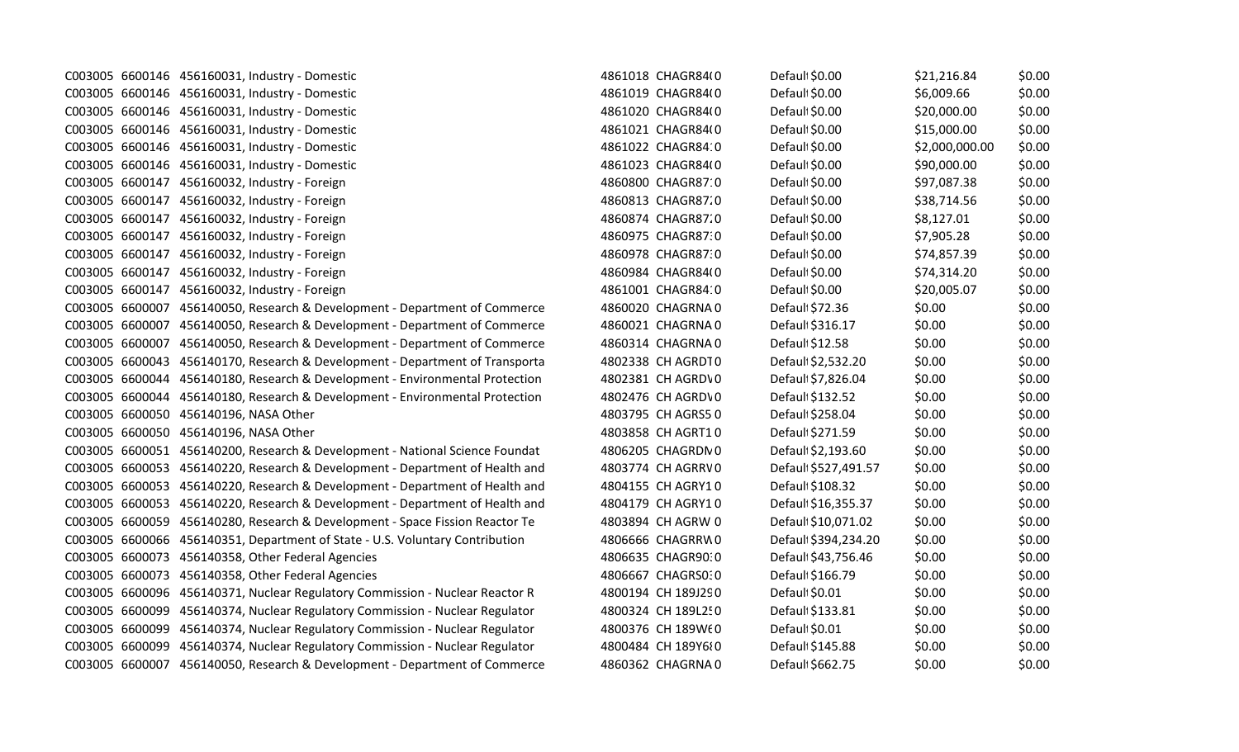|  | C003005 6600146 456160031, Industry - Domestic                               | 4861018 CHAGR84(0  | Default \$0.00       | \$21,216.84    | \$0.00 |
|--|------------------------------------------------------------------------------|--------------------|----------------------|----------------|--------|
|  | C003005 6600146 456160031, Industry - Domestic                               | 4861019 CHAGR84(0  | Default \$0.00       | \$6,009.66     | \$0.00 |
|  | C003005 6600146 456160031, Industry - Domestic                               | 4861020 CHAGR84(0  | Defaul \$0.00        | \$20,000.00    | \$0.00 |
|  | C003005 6600146 456160031, Industry - Domestic                               | 4861021 CHAGR84(0  | Default \$0.00       | \$15,000.00    | \$0.00 |
|  | C003005 6600146 456160031, Industry - Domestic                               | 4861022 CHAGR84:0  | Defaul \$0.00        | \$2,000,000.00 | \$0.00 |
|  | C003005 6600146 456160031, Industry - Domestic                               | 4861023 CHAGR84(0  | Default \$0.00       | \$90,000.00    | \$0.00 |
|  | C003005 6600147 456160032, Industry - Foreign                                | 4860800 CHAGR87 0  | Defaul \$0.00        | \$97,087.38    | \$0.00 |
|  | C003005 6600147 456160032, Industry - Foreign                                | 4860813 CHAGR87.0  | Defaul \$0.00        | \$38,714.56    | \$0.00 |
|  | C003005 6600147 456160032, Industry - Foreign                                | 4860874 CHAGR87.0  | Defaul \$0.00        | \$8,127.01     | \$0.00 |
|  | C003005 6600147 456160032, Industry - Foreign                                | 4860975 CHAGR87.0  | Default \$0.00       | \$7,905.28     | \$0.00 |
|  | C003005 6600147 456160032, Industry - Foreign                                | 4860978 CHAGR87.0  | Defaul \$0.00        | \$74,857.39    | \$0.00 |
|  | C003005 6600147 456160032, Industry - Foreign                                | 4860984 CHAGR84(0  | Default \$0.00       | \$74,314.20    | \$0.00 |
|  | C003005 6600147 456160032, Industry - Foreign                                | 4861001 CHAGR84:0  | Defaul \$0.00        | \$20,005.07    | \$0.00 |
|  | C003005 6600007 456140050, Research & Development - Department of Commerce   | 4860020 CHAGRNA0   | Defaul \$72.36       | \$0.00         | \$0.00 |
|  | C003005 6600007 456140050, Research & Development - Department of Commerce   | 4860021 CHAGRNA0   | Default \$316.17     | \$0.00         | \$0.00 |
|  | C003005 6600007 456140050, Research & Development - Department of Commerce   | 4860314 CHAGRNA0   | Default \$12.58      | \$0.00         | \$0.00 |
|  | C003005 6600043 456140170, Research & Development - Department of Transporta | 4802338 CH AGRDT0  | Default \$2,532.20   | \$0.00         | \$0.00 |
|  | C003005 6600044 456140180, Research & Development - Environmental Protection | 4802381 CH AGRDV0  | Default \$7,826.04   | \$0.00         | \$0.00 |
|  | C003005 6600044 456140180, Research & Development - Environmental Protection | 4802476 CH AGRDV0  | Default \$132.52     | \$0.00         | \$0.00 |
|  | C003005 6600050 456140196, NASA Other                                        | 4803795 CH AGRS50  | Default \$258.04     | \$0.00         | \$0.00 |
|  | C003005 6600050 456140196, NASA Other                                        | 4803858 CH AGRT10  | Default \$271.59     | \$0.00         | \$0.00 |
|  | C003005 6600051 456140200, Research & Development - National Science Foundat | 4806205 CHAGRDN 0  | Default \$2,193.60   | \$0.00         | \$0.00 |
|  | C003005 6600053 456140220, Research & Development - Department of Health and | 4803774 CH AGRRV0  | Default \$527,491.57 | \$0.00         | \$0.00 |
|  | C003005 6600053 456140220, Research & Development - Department of Health and | 4804155 CH AGRY10  | Default \$108.32     | \$0.00         | \$0.00 |
|  | C003005 6600053 456140220, Research & Development - Department of Health and | 4804179 CH AGRY10  | Default \$16,355.37  | \$0.00         | \$0.00 |
|  | C003005 6600059 456140280, Research & Development - Space Fission Reactor Te | 4803894 CH AGRW 0  | Default \$10,071.02  | \$0.00         | \$0.00 |
|  | C003005 6600066 456140351, Department of State - U.S. Voluntary Contribution | 4806666 CHAGRRW0   | Default \$394,234.20 | \$0.00         | \$0.00 |
|  | C003005 6600073 456140358, Other Federal Agencies                            | 4806635 CHAGR90:0  | Default \$43,756.46  | \$0.00         | \$0.00 |
|  | C003005 6600073 456140358, Other Federal Agencies                            | 4806667 CHAGRS0:0  | Default \$166.79     | \$0.00         | \$0.00 |
|  | C003005 6600096 456140371, Nuclear Regulatory Commission - Nuclear Reactor R | 4800194 CH 189J290 | Defaul \$0.01        | \$0.00         | \$0.00 |
|  | C003005 6600099 456140374, Nuclear Regulatory Commission - Nuclear Regulator | 4800324 CH 189L250 | Default \$133.81     | \$0.00         | \$0.00 |
|  | C003005 6600099 456140374, Nuclear Regulatory Commission - Nuclear Regulator | 4800376 CH 189WE0  | Default \$0.01       | \$0.00         | \$0.00 |
|  | C003005 6600099 456140374, Nuclear Regulatory Commission - Nuclear Regulator | 4800484 CH 189Y680 | Default \$145.88     | \$0.00         | \$0.00 |
|  | C003005 6600007 456140050, Research & Development - Department of Commerce   | 4860362 CHAGRNA0   | Default \$662.75     | \$0.00         | \$0.00 |
|  |                                                                              |                    |                      |                |        |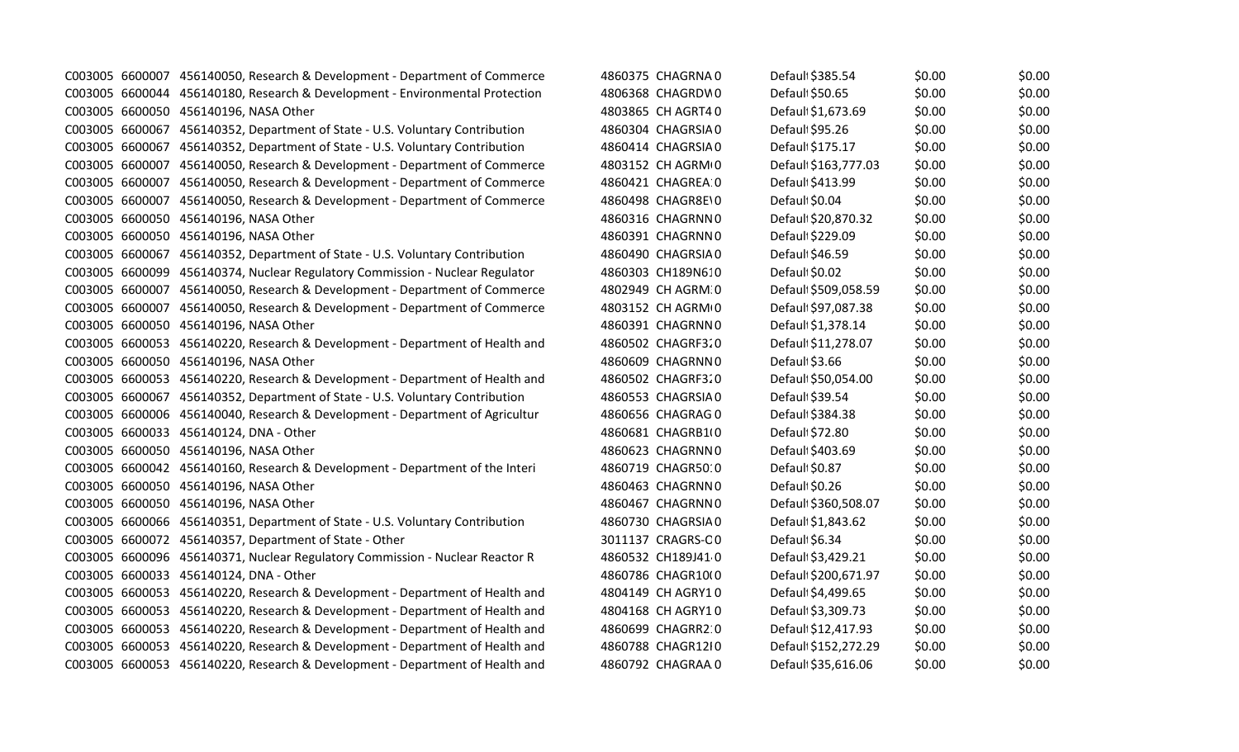|  | C003005 6600007 456140050, Research & Development - Department of Commerce   | 4860375 CHAGRNA0   | Defaul \$385.54      | \$0.00 | \$0.00 |
|--|------------------------------------------------------------------------------|--------------------|----------------------|--------|--------|
|  | C003005 6600044 456140180, Research & Development - Environmental Protection | 4806368 CHAGRDW0   | Defaul \$50.65       | \$0.00 | \$0.00 |
|  | C003005 6600050 456140196, NASA Other                                        | 4803865 CH AGRT40  | Default \$1,673.69   | \$0.00 | \$0.00 |
|  | C003005 6600067 456140352, Department of State - U.S. Voluntary Contribution | 4860304 CHAGRSIA0  | Default \$95.26      | \$0.00 | \$0.00 |
|  | C003005 6600067 456140352, Department of State - U.S. Voluntary Contribution | 4860414 CHAGRSIA0  | Default \$175.17     | \$0.00 | \$0.00 |
|  | C003005 6600007 456140050, Research & Development - Department of Commerce   | 4803152 CH AGRM+0  | Default \$163,777.03 | \$0.00 | \$0.00 |
|  | C003005 6600007 456140050, Research & Development - Department of Commerce   | 4860421 CHAGREA 0  | Default \$413.99     | \$0.00 | \$0.00 |
|  | C003005 6600007 456140050, Research & Development - Department of Commerce   | 4860498 CHAGR8E\0  | Default \$0.04       | \$0.00 | \$0.00 |
|  | C003005 6600050 456140196, NASA Other                                        | 4860316 CHAGRNN0   | Default \$20,870.32  | \$0.00 | \$0.00 |
|  | C003005 6600050 456140196, NASA Other                                        | 4860391 CHAGRNN0   | Default \$229.09     | \$0.00 | \$0.00 |
|  | C003005 6600067 456140352, Department of State - U.S. Voluntary Contribution | 4860490 CHAGRSIA0  | Default \$46.59      | \$0.00 | \$0.00 |
|  | C003005 6600099 456140374, Nuclear Regulatory Commission - Nuclear Regulator | 4860303 CH189N610  | Default \$0.02       | \$0.00 | \$0.00 |
|  | C003005 6600007 456140050, Research & Development - Department of Commerce   | 4802949 CH AGRM 0  | Default \$509,058.59 | \$0.00 | \$0.00 |
|  | C003005 6600007 456140050, Research & Development - Department of Commerce   | 4803152 CH AGRM+0  | Defaul \$97,087.38   | \$0.00 | \$0.00 |
|  | C003005 6600050 456140196, NASA Other                                        | 4860391 CHAGRNN0   | Default \$1,378.14   | \$0.00 | \$0.00 |
|  | C003005 6600053 456140220, Research & Development - Department of Health and | 4860502 CHAGRF320  | Default \$11,278.07  | \$0.00 | \$0.00 |
|  | C003005 6600050 456140196, NASA Other                                        | 4860609 CHAGRNN0   | Default \$3.66       | \$0.00 | \$0.00 |
|  | C003005 6600053 456140220, Research & Development - Department of Health and | 4860502 CHAGRF320  | Default \$50,054.00  | \$0.00 | \$0.00 |
|  | C003005 6600067 456140352, Department of State - U.S. Voluntary Contribution | 4860553 CHAGRSIA0  | Default \$39.54      | \$0.00 | \$0.00 |
|  | C003005 6600006 456140040, Research & Development - Department of Agricultur | 4860656 CHAGRAG 0  | Default \$384.38     | \$0.00 | \$0.00 |
|  | C003005 6600033 456140124, DNA - Other                                       | 4860681 CHAGRB10   | Default \$72.80      | \$0.00 | \$0.00 |
|  | C003005 6600050 456140196, NASA Other                                        | 4860623 CHAGRNN0   | Defauli \$403.69     | \$0.00 | \$0.00 |
|  | C003005 6600042 456140160, Research & Development - Department of the Interi | 4860719 CHAGR50:0  | Default \$0.87       | \$0.00 | \$0.00 |
|  | C003005 6600050 456140196, NASA Other                                        | 4860463 CHAGRNN0   | Default \$0.26       | \$0.00 | \$0.00 |
|  | C003005 6600050 456140196, NASA Other                                        | 4860467 CHAGRNN0   | Default \$360,508.07 | \$0.00 | \$0.00 |
|  | C003005 6600066 456140351, Department of State - U.S. Voluntary Contribution | 4860730 CHAGRSIA0  | Default \$1,843.62   | \$0.00 | \$0.00 |
|  | C003005 6600072 456140357, Department of State - Other                       | 3011137 CRAGRS-CO  | Default \$6.34       | \$0.00 | \$0.00 |
|  | C003005 6600096 456140371, Nuclear Regulatory Commission - Nuclear Reactor R | 4860532 CH189J41 0 | Default \$3,429.21   | \$0.00 | \$0.00 |
|  | C003005 6600033 456140124, DNA - Other                                       | 4860786 CHAGR10(0  | Default \$200,671.97 | \$0.00 | \$0.00 |
|  | C003005 6600053 456140220, Research & Development - Department of Health and | 4804149 CH AGRY10  | Default \$4,499.65   | \$0.00 | \$0.00 |
|  | C003005 6600053 456140220, Research & Development - Department of Health and | 4804168 CH AGRY10  | Default \$3,309.73   | \$0.00 | \$0.00 |
|  | C003005 6600053 456140220, Research & Development - Department of Health and | 4860699 CHAGRR2 0  | Default \$12,417.93  | \$0.00 | \$0.00 |
|  | C003005 6600053 456140220, Research & Development - Department of Health and | 4860788 CHAGR12I0  | Default \$152,272.29 | \$0.00 | \$0.00 |
|  | C003005 6600053 456140220, Research & Development - Department of Health and | 4860792 CHAGRAA 0  | Default \$35,616.06  | \$0.00 | \$0.00 |
|  |                                                                              |                    |                      |        |        |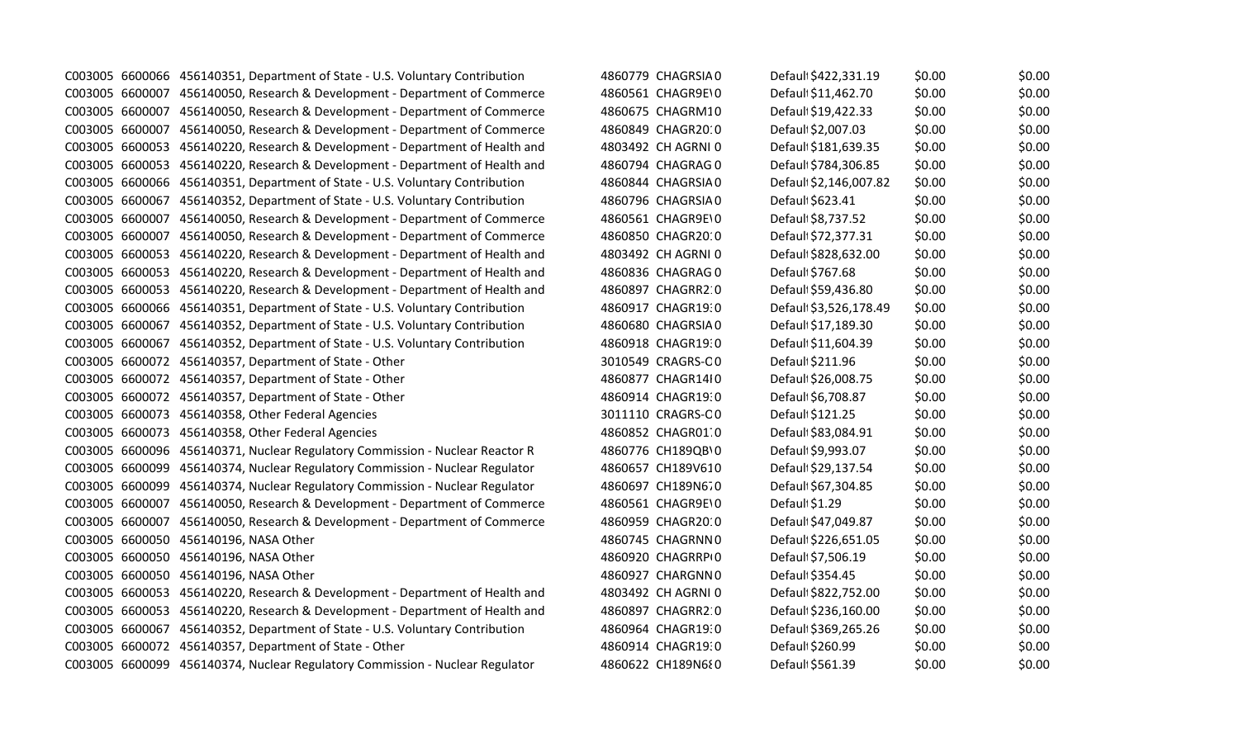|                 | C003005 6600066 456140351, Department of State - U.S. Voluntary Contribution | 4860779 CHAGRSIA0  | Default \$422,331.19   | \$0.00 | \$0.00 |
|-----------------|------------------------------------------------------------------------------|--------------------|------------------------|--------|--------|
|                 | C003005 6600007 456140050, Research & Development - Department of Commerce   | 4860561 CHAGR9E\0  | Default \$11,462.70    | \$0.00 | \$0.00 |
|                 | C003005 6600007 456140050, Research & Development - Department of Commerce   | 4860675 CHAGRM10   | Default \$19,422.33    | \$0.00 | \$0.00 |
|                 | C003005 6600007 456140050, Research & Development - Department of Commerce   | 4860849 CHAGR20:0  | Default \$2,007.03     | \$0.00 | \$0.00 |
|                 | C003005 6600053 456140220, Research & Development - Department of Health and | 4803492 CH AGRNI 0 | Default \$181,639.35   | \$0.00 | \$0.00 |
|                 | C003005 6600053 456140220, Research & Development - Department of Health and | 4860794 CHAGRAG 0  | Default \$784,306.85   | \$0.00 | \$0.00 |
|                 | C003005 6600066 456140351, Department of State - U.S. Voluntary Contribution | 4860844 CHAGRSIA0  | Defaul: \$2,146,007.82 | \$0.00 | \$0.00 |
| C003005 6600067 | 456140352, Department of State - U.S. Voluntary Contribution                 | 4860796 CHAGRSIA0  | Default \$623.41       | \$0.00 | \$0.00 |
| C003005 6600007 | 456140050, Research & Development - Department of Commerce                   | 4860561 CHAGR9E\0  | Default \$8,737.52     | \$0.00 | \$0.00 |
|                 | C003005 6600007 456140050, Research & Development - Department of Commerce   | 4860850 CHAGR2010  | Default \$72,377.31    | \$0.00 | \$0.00 |
|                 | C003005 6600053 456140220, Research & Development - Department of Health and | 4803492 CH AGRNI 0 | Default \$828,632.00   | \$0.00 | \$0.00 |
|                 | C003005 6600053 456140220, Research & Development - Department of Health and | 4860836 CHAGRAG 0  | Default \$767.68       | \$0.00 | \$0.00 |
|                 | C003005 6600053 456140220, Research & Development - Department of Health and | 4860897 CHAGRR2 0  | Default \$59,436.80    | \$0.00 | \$0.00 |
|                 | C003005 6600066 456140351, Department of State - U.S. Voluntary Contribution | 4860917 CHAGR19:0  | Default \$3,526,178.49 | \$0.00 | \$0.00 |
|                 | C003005 6600067 456140352, Department of State - U.S. Voluntary Contribution | 4860680 CHAGRSIA0  | Default \$17,189.30    | \$0.00 | \$0.00 |
|                 | C003005 6600067 456140352, Department of State - U.S. Voluntary Contribution | 4860918 CHAGR19:0  | Default \$11,604.39    | \$0.00 | \$0.00 |
|                 | C003005 6600072 456140357, Department of State - Other                       | 3010549 CRAGRS-CO  | Default \$211.96       | \$0.00 | \$0.00 |
|                 | C003005 6600072 456140357, Department of State - Other                       | 4860877 CHAGR14I0  | Default \$26,008.75    | \$0.00 | \$0.00 |
|                 | C003005 6600072 456140357, Department of State - Other                       | 4860914 CHAGR19:0  | Default \$6,708.87     | \$0.00 | \$0.00 |
|                 | C003005 6600073 456140358, Other Federal Agencies                            | 3011110 CRAGRS-CO  | Default \$121.25       | \$0.00 | \$0.00 |
|                 | C003005 6600073 456140358, Other Federal Agencies                            | 4860852 CHAGR01.0  | Defaul \$83,084.91     | \$0.00 | \$0.00 |
|                 | C003005 6600096 456140371, Nuclear Regulatory Commission - Nuclear Reactor R | 4860776 CH189QB\0  | Default \$9,993.07     | \$0.00 | \$0.00 |
|                 | C003005 6600099 456140374, Nuclear Regulatory Commission - Nuclear Regulator | 4860657 CH189V610  | Default \$29,137.54    | \$0.00 | \$0.00 |
|                 | C003005 6600099 456140374, Nuclear Regulatory Commission - Nuclear Regulator | 4860697 CH189N670  | Default \$67,304.85    | \$0.00 | \$0.00 |
|                 | C003005 6600007 456140050, Research & Development - Department of Commerce   | 4860561 CHAGR9E\0  | Default \$1.29         | \$0.00 | \$0.00 |
|                 | C003005 6600007 456140050, Research & Development - Department of Commerce   | 4860959 CHAGR20:0  | Default \$47,049.87    | \$0.00 | \$0.00 |
|                 | C003005 6600050 456140196, NASA Other                                        | 4860745 CHAGRNN0   | Default \$226,651.05   | \$0.00 | \$0.00 |
|                 | C003005 6600050 456140196, NASA Other                                        | 4860920 CHAGRRPI0  | Default \$7,506.19     | \$0.00 | \$0.00 |
|                 | C003005 6600050 456140196, NASA Other                                        | 4860927 CHARGNN0   | Default \$354.45       | \$0.00 | \$0.00 |
|                 | C003005 6600053 456140220, Research & Development - Department of Health and | 4803492 CH AGRNI 0 | Default \$822,752.00   | \$0.00 | \$0.00 |
|                 | C003005 6600053 456140220, Research & Development - Department of Health and | 4860897 CHAGRR2 0  | Default \$236,160.00   | \$0.00 | \$0.00 |
|                 | C003005 6600067 456140352, Department of State - U.S. Voluntary Contribution | 4860964 CHAGR19:0  | Default \$369,265.26   | \$0.00 | \$0.00 |
|                 | C003005 6600072 456140357, Department of State - Other                       | 4860914 CHAGR19:0  | Default \$260.99       | \$0.00 | \$0.00 |
|                 | C003005 6600099 456140374, Nuclear Regulatory Commission - Nuclear Regulator | 4860622 CH189N680  | Default \$561.39       | \$0.00 | \$0.00 |
|                 |                                                                              |                    |                        |        |        |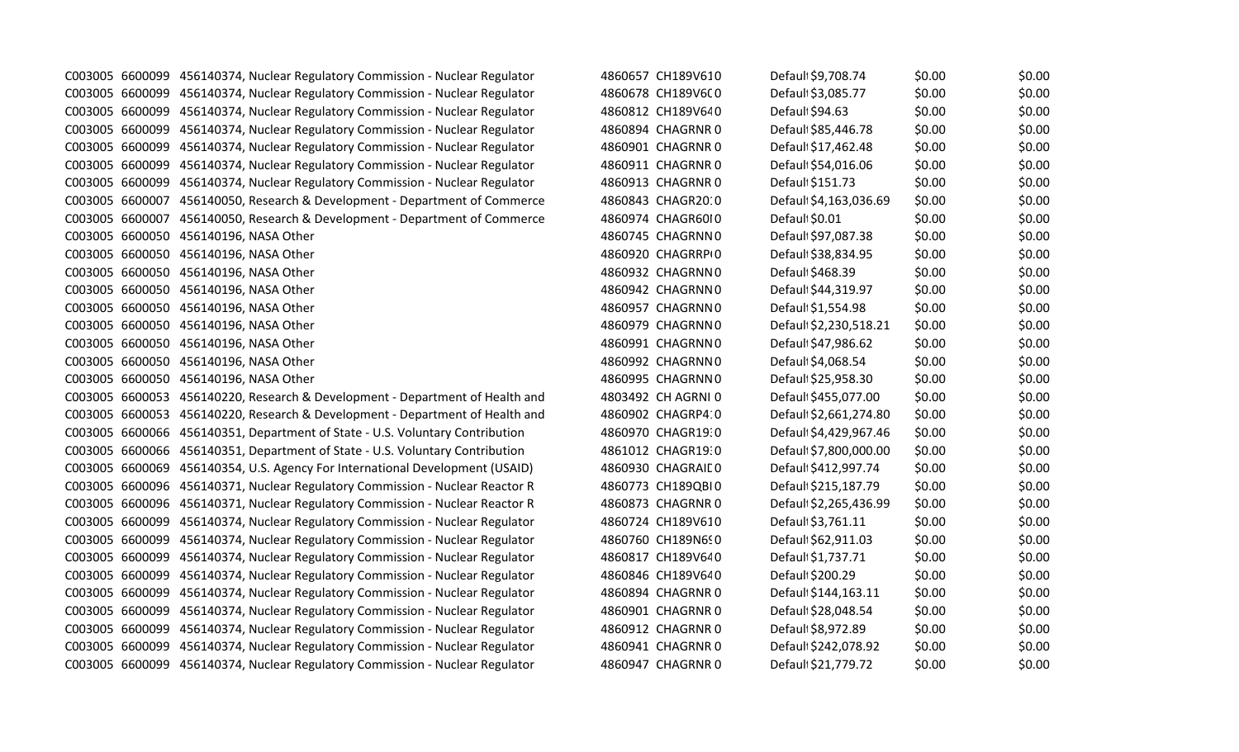|  | C003005 6600099 456140374, Nuclear Regulatory Commission - Nuclear Regulator | 4860657 CH189V610  | Default \$9,708.74     | \$0.00 | \$0.00 |
|--|------------------------------------------------------------------------------|--------------------|------------------------|--------|--------|
|  | C003005 6600099 456140374, Nuclear Regulatory Commission - Nuclear Regulator | 4860678 CH189V6C0  | Default \$3,085.77     | \$0.00 | \$0.00 |
|  | C003005 6600099 456140374, Nuclear Regulatory Commission - Nuclear Regulator | 4860812 CH189V640  | Defaul \$94.63         | \$0.00 | \$0.00 |
|  | C003005 6600099 456140374, Nuclear Regulatory Commission - Nuclear Regulator | 4860894 CHAGRNR 0  | Default \$85,446.78    | \$0.00 | \$0.00 |
|  | C003005 6600099 456140374, Nuclear Regulatory Commission - Nuclear Regulator | 4860901 CHAGRNR 0  | Defaul \$17,462.48     | \$0.00 | \$0.00 |
|  | C003005 6600099 456140374, Nuclear Regulatory Commission - Nuclear Regulator | 4860911 CHAGRNR 0  | Default \$54,016.06    | \$0.00 | \$0.00 |
|  | C003005 6600099 456140374, Nuclear Regulatory Commission - Nuclear Regulator | 4860913 CHAGRNR 0  | Default \$151.73       | \$0.00 | \$0.00 |
|  | C003005 6600007 456140050, Research & Development - Department of Commerce   | 4860843 CHAGR2010  | Default \$4,163,036.69 | \$0.00 | \$0.00 |
|  | C003005 6600007 456140050, Research & Development - Department of Commerce   | 4860974 CHAGR6010  | Default \$0.01         | \$0.00 | \$0.00 |
|  | C003005 6600050 456140196, NASA Other                                        | 4860745 CHAGRNN0   | Default \$97,087.38    | \$0.00 | \$0.00 |
|  | C003005 6600050 456140196, NASA Other                                        | 4860920 CHAGRRPI0  | Default \$38,834.95    | \$0.00 | \$0.00 |
|  | C003005 6600050 456140196, NASA Other                                        | 4860932 CHAGRNN0   | Default \$468.39       | \$0.00 | \$0.00 |
|  | C003005 6600050 456140196, NASA Other                                        | 4860942 CHAGRNN0   | Default \$44,319.97    | \$0.00 | \$0.00 |
|  | C003005 6600050 456140196, NASA Other                                        | 4860957 CHAGRNN0   | Default \$1,554.98     | \$0.00 | \$0.00 |
|  | C003005 6600050 456140196, NASA Other                                        | 4860979 CHAGRNN0   | Default \$2,230,518.21 | \$0.00 | \$0.00 |
|  | C003005 6600050 456140196, NASA Other                                        | 4860991 CHAGRNN0   | Default \$47,986.62    | \$0.00 | \$0.00 |
|  | C003005 6600050 456140196, NASA Other                                        | 4860992 CHAGRNN0   | Default \$4,068.54     | \$0.00 | \$0.00 |
|  | C003005 6600050 456140196, NASA Other                                        | 4860995 CHAGRNN0   | Default \$25,958.30    | \$0.00 | \$0.00 |
|  | C003005 6600053 456140220, Research & Development - Department of Health and | 4803492 CH AGRNI 0 | Default \$455,077.00   | \$0.00 | \$0.00 |
|  | C003005 6600053 456140220, Research & Development - Department of Health and | 4860902 CHAGRP4:0  | Default \$2,661,274.80 | \$0.00 | \$0.00 |
|  | C003005 6600066 456140351, Department of State - U.S. Voluntary Contribution | 4860970 CHAGR19:0  | Default \$4,429,967.46 | \$0.00 | \$0.00 |
|  | C003005 6600066 456140351, Department of State - U.S. Voluntary Contribution | 4861012 CHAGR19:0  | Default \$7,800,000.00 | \$0.00 | \$0.00 |
|  | C003005 6600069 456140354, U.S. Agency For International Development (USAID) | 4860930 CHAGRAIL 0 | Default \$412,997.74   | \$0.00 | \$0.00 |
|  | C003005 6600096 456140371, Nuclear Regulatory Commission - Nuclear Reactor R | 4860773 CH189QBI0  | Default \$215,187.79   | \$0.00 | \$0.00 |
|  | C003005 6600096 456140371, Nuclear Regulatory Commission - Nuclear Reactor R | 4860873 CHAGRNR 0  | Default \$2,265,436.99 | \$0.00 | \$0.00 |
|  | C003005 6600099 456140374, Nuclear Regulatory Commission - Nuclear Regulator | 4860724 CH189V610  | Defaul \$3,761.11      | \$0.00 | \$0.00 |
|  | C003005 6600099 456140374, Nuclear Regulatory Commission - Nuclear Regulator | 4860760 CH189N690  | Default \$62,911.03    | \$0.00 | \$0.00 |
|  | C003005 6600099 456140374, Nuclear Regulatory Commission - Nuclear Regulator | 4860817 CH189V640  | Default \$1,737.71     | \$0.00 | \$0.00 |
|  | C003005 6600099 456140374, Nuclear Regulatory Commission - Nuclear Regulator | 4860846 CH189V640  | Default \$200.29       | \$0.00 | \$0.00 |
|  | C003005 6600099 456140374, Nuclear Regulatory Commission - Nuclear Regulator | 4860894 CHAGRNR 0  | Default \$144,163.11   | \$0.00 | \$0.00 |
|  | C003005 6600099 456140374, Nuclear Regulatory Commission - Nuclear Regulator | 4860901 CHAGRNR 0  | Default \$28,048.54    | \$0.00 | \$0.00 |
|  | C003005 6600099 456140374, Nuclear Regulatory Commission - Nuclear Regulator | 4860912 CHAGRNR 0  | Default \$8,972.89     | \$0.00 | \$0.00 |
|  | C003005 6600099 456140374, Nuclear Regulatory Commission - Nuclear Regulator | 4860941 CHAGRNR 0  | Default \$242,078.92   | \$0.00 | \$0.00 |
|  | C003005 6600099 456140374, Nuclear Regulatory Commission - Nuclear Regulator | 4860947 CHAGRNR 0  | Default \$21,779.72    | \$0.00 | \$0.00 |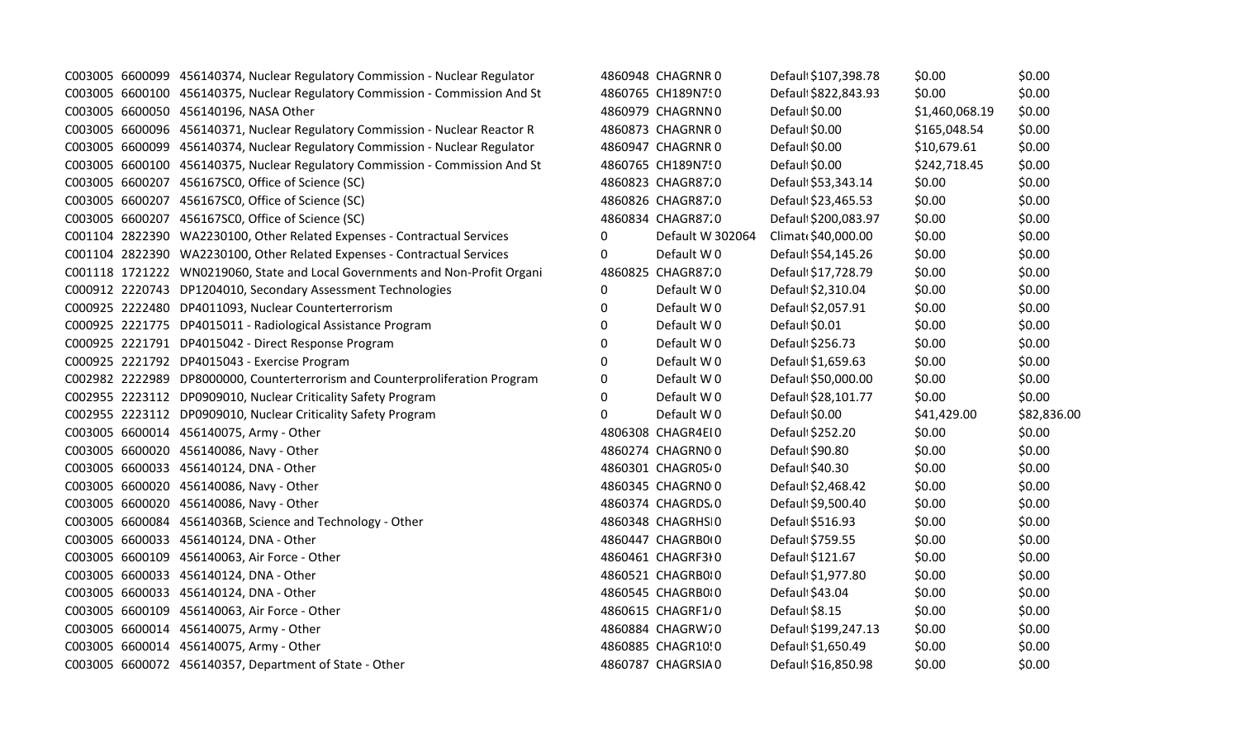|  | C003005 6600099 456140374, Nuclear Regulatory Commission - Nuclear Regulator |          | 4860948 CHAGRNR 0  | Default \$107,398.78 | \$0.00         | \$0.00      |
|--|------------------------------------------------------------------------------|----------|--------------------|----------------------|----------------|-------------|
|  | C003005 6600100 456140375, Nuclear Regulatory Commission - Commission And St |          | 4860765 CH189N750  | Default \$822,843.93 | \$0.00         | \$0.00      |
|  | C003005 6600050 456140196, NASA Other                                        |          | 4860979 CHAGRNN0   | Default \$0.00       | \$1,460,068.19 | \$0.00      |
|  | C003005 6600096 456140371, Nuclear Regulatory Commission - Nuclear Reactor R |          | 4860873 CHAGRNR 0  | Default \$0.00       | \$165,048.54   | \$0.00      |
|  | C003005 6600099 456140374, Nuclear Regulatory Commission - Nuclear Regulator |          | 4860947 CHAGRNR 0  | Default \$0.00       | \$10,679.61    | \$0.00      |
|  | C003005 6600100 456140375, Nuclear Regulatory Commission - Commission And St |          | 4860765 CH189N750  | Default \$0.00       | \$242,718.45   | \$0.00      |
|  | C003005 6600207 456167SC0, Office of Science (SC)                            |          | 4860823 CHAGR87.0  | Default \$53,343.14  | \$0.00         | \$0.00      |
|  | C003005 6600207 456167SC0, Office of Science (SC)                            |          | 4860826 CHAGR87.0  | Default \$23,465.53  | \$0.00         | \$0.00      |
|  | C003005 6600207 456167SC0, Office of Science (SC)                            |          | 4860834 CHAGR87.0  | Default \$200,083.97 | \$0.00         | \$0.00      |
|  | C001104 2822390 WA2230100, Other Related Expenses - Contractual Services     | $\Omega$ | Default W 302064   | Climat \$40,000.00   | \$0.00         | \$0.00      |
|  | C001104 2822390 WA2230100, Other Related Expenses - Contractual Services     | 0        | Default W0         | Default \$54,145.26  | \$0.00         | \$0.00      |
|  | C001118 1721222 WN0219060, State and Local Governments and Non-Profit Organi |          | 4860825 CHAGR87.0  | Default \$17,728.79  | \$0.00         | \$0.00      |
|  | C000912 2220743 DP1204010, Secondary Assessment Technologies                 | 0        | Default W0         | Default \$2,310.04   | \$0.00         | \$0.00      |
|  | C000925 2222480 DP4011093, Nuclear Counterterrorism                          | 0        | Default W0         | Default \$2,057.91   | \$0.00         | \$0.00      |
|  | C000925 2221775 DP4015011 - Radiological Assistance Program                  | 0        | Default W0         | Default \$0.01       | \$0.00         | \$0.00      |
|  | C000925 2221791 DP4015042 - Direct Response Program                          | 0        | Default W0         | Default \$256.73     | \$0.00         | \$0.00      |
|  | C000925 2221792 DP4015043 - Exercise Program                                 | 0        | Default W0         | Defaul \$1,659.63    | \$0.00         | \$0.00      |
|  | C002982 2222989 DP8000000, Counterterrorism and Counterproliferation Program | 0        | Default W0         | Default \$50,000.00  | \$0.00         | \$0.00      |
|  | C002955 2223112 DP0909010, Nuclear Criticality Safety Program                | 0        | Default W0         | Default \$28,101.77  | \$0.00         | \$0.00      |
|  | C002955 2223112 DP0909010, Nuclear Criticality Safety Program                | 0        | Default W 0        | Default \$0.00       | \$41,429.00    | \$82,836.00 |
|  | C003005 6600014 456140075, Army - Other                                      |          | 4806308 CHAGR4EI0  | Default \$252.20     | \$0.00         | \$0.00      |
|  | C003005 6600020 456140086, Navy - Other                                      |          | 4860274 CHAGRN00   | Default \$90.80      | \$0.00         | \$0.00      |
|  | C003005 6600033 456140124, DNA - Other                                       |          | 4860301 CHAGR05-0  | Default \$40.30      | \$0.00         | \$0.00      |
|  | C003005 6600020 456140086, Navy - Other                                      |          | 4860345 CHAGRN00   | Defaul \$2,468.42    | \$0.00         | \$0.00      |
|  | C003005 6600020 456140086, Navy - Other                                      |          | 4860374 CHAGRDS, 0 | Defaul \$9,500.40    | \$0.00         | \$0.00      |
|  | C003005 6600084 45614036B, Science and Technology - Other                    |          | 4860348 CHAGRHSI0  | Defaul \$516.93      | \$0.00         | \$0.00      |
|  | C003005 6600033 456140124, DNA - Other                                       |          | 4860447 CHAGRB010  | Default \$759.55     | \$0.00         | \$0.00      |
|  | C003005 6600109 456140063, Air Force - Other                                 |          | 4860461 CHAGRF3I0  | Defaul \$121.67      | \$0.00         | \$0.00      |
|  | C003005 6600033 456140124, DNA - Other                                       |          | 4860521 CHAGRB010  | Default \$1,977.80   | \$0.00         | \$0.00      |
|  | C003005 6600033 456140124, DNA - Other                                       |          | 4860545 CHAGRB010  | Default \$43.04      | \$0.00         | \$0.00      |
|  | C003005 6600109 456140063, Air Force - Other                                 |          | 4860615 CHAGRF1/0  | Default\$8.15        | \$0.00         | \$0.00      |
|  | C003005 6600014 456140075, Army - Other                                      |          | 4860884 CHAGRW70   | Default \$199,247.13 | \$0.00         | \$0.00      |
|  | C003005 6600014 456140075, Army - Other                                      |          | 4860885 CHAGR10!0  | Defaul \$1,650.49    | \$0.00         | \$0.00      |
|  | C003005 6600072 456140357, Department of State - Other                       |          | 4860787 CHAGRSIA0  | Default \$16,850.98  | \$0.00         | \$0.00      |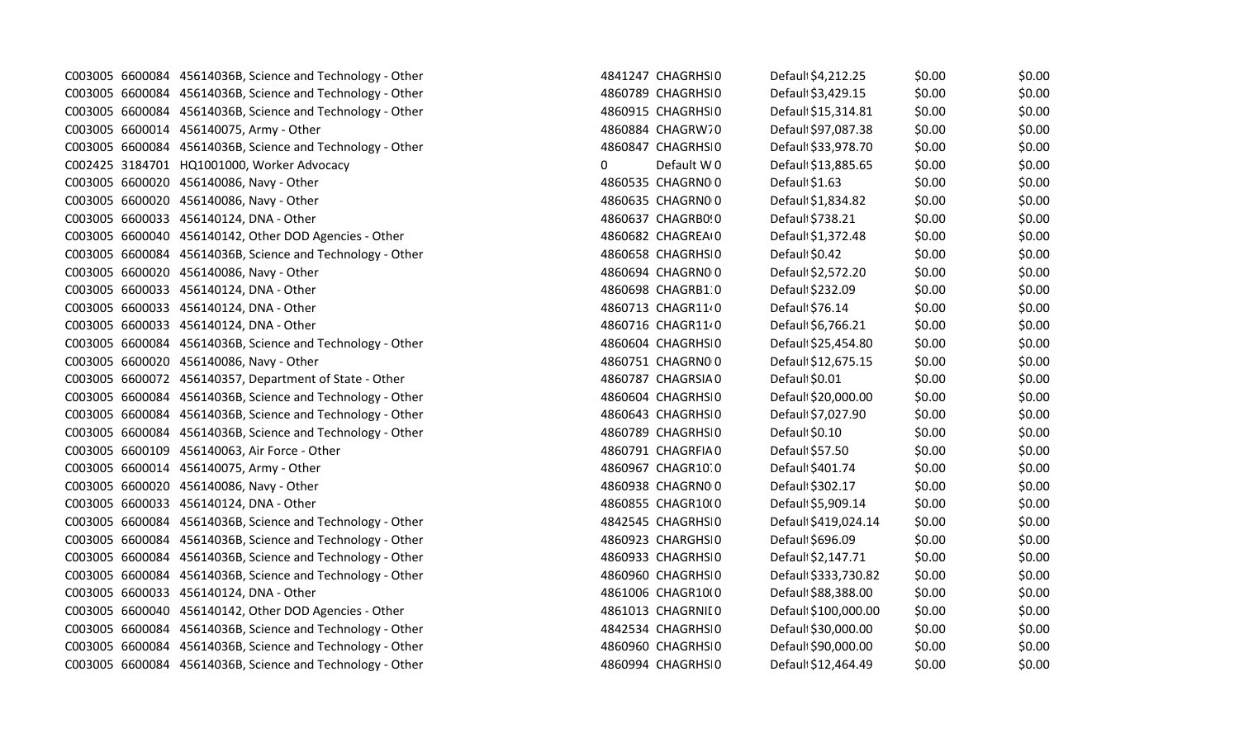|  | C003005 6600084 45614036B, Science and Technology - Other |              | 4841247 CHAGRHSI0 | Defaul \$4,212.25   | \$0.00 | \$0.00 |
|--|-----------------------------------------------------------|--------------|-------------------|---------------------|--------|--------|
|  | C003005 6600084 45614036B, Science and Technology - Other |              | 4860789 CHAGRHSI0 | Defaul \$3,429.15   | \$0.00 | \$0.00 |
|  | C003005 6600084 45614036B, Science and Technology - Other |              | 4860915 CHAGRHSI0 | Defaul \$15,314.81  | \$0.00 | \$0.00 |
|  | C003005 6600014 456140075, Army - Other                   |              | 4860884 CHAGRW70  | Defaul: \$97,087.38 | \$0.00 | \$0.00 |
|  | C003005 6600084 45614036B, Science and Technology - Other |              | 4860847 CHAGRHSI0 | Default \$33,978.70 | \$0.00 | \$0.00 |
|  | C002425 3184701 HQ1001000, Worker Advocacy                | $\mathbf{0}$ | Default W0        | Default \$13,885.65 | \$0.00 | \$0.00 |
|  | C003005 6600020 456140086, Navy - Other                   |              | 4860535 CHAGRN00  | Default \$1.63      | \$0.00 | \$0.00 |
|  | C003005 6600020 456140086, Navy - Other                   |              | 4860635 CHAGRN00  | Defaul \$1,834.82   | \$0.00 | \$0.00 |
|  | C003005 6600033 456140124, DNA - Other                    |              | 4860637 CHAGRB0!0 | Defaul \$738.21     | \$0.00 | \$0.00 |
|  | C003005 6600040 456140142, Other DOD Agencies - Other     |              | 4860682 CHAGREAIO | Defaul \$1,372.48   | \$0.00 | \$0.00 |
|  | C003005 6600084 45614036B, Science and Technology - Other |              | 4860658 CHAGRHSI0 | Default \$0.42      | \$0.00 | \$0.00 |
|  | C003005 6600020 456140086, Navy - Other                   |              | 4860694 CHAGRN00  | Defaul \$2,572.20   | \$0.00 | \$0.00 |
|  | C003005 6600033 456140124, DNA - Other                    |              | 4860698 CHAGRB1 0 | Default \$232.09    | \$0.00 | \$0.00 |
|  | C003005 6600033 456140124, DNA - Other                    |              | 4860713 CHAGR1140 | Defaul \$76.14      | \$0.00 | \$0.00 |
|  | C003005 6600033 456140124, DNA - Other                    |              | 4860716 CHAGR11 0 | Default \$6,766.21  | \$0.00 | \$0.00 |
|  | C003005 6600084 45614036B, Science and Technology - Other |              | 4860604 CHAGRHSI0 | Defaul: \$25,454.80 | \$0.00 | \$0.00 |
|  | C003005 6600020 456140086, Navy - Other                   |              | 4860751 CHAGRN00  | Defaul \$12,675.15  | \$0.00 | \$0.00 |
|  | C003005 6600072 456140357, Department of State - Other    |              | 4860787 CHAGRSIA0 | Defaul \$0.01       | \$0.00 | \$0.00 |
|  | C003005 6600084 45614036B, Science and Technology - Other |              | 4860604 CHAGRHSI0 | Defaul \$20,000.00  | \$0.00 | \$0.00 |
|  | C003005 6600084 45614036B, Science and Technology - Other |              | 4860643 CHAGRHSI0 | Defaul \$7,027.90   | \$0.00 | \$0.00 |
|  | C003005 6600084 45614036B, Science and Technology - Other |              | 4860789 CHAGRHSI0 | Default \$0.10      | \$0.00 | \$0.00 |
|  | C003005 6600109 456140063, Air Force - Other              |              | 4860791 CHAGRFIA0 | Defaul \$57.50      | \$0.00 | \$0.00 |
|  | C003005 6600014 456140075, Army - Other                   |              | 4860967 CHAGR10.0 | Defaul \$401.74     | \$0.00 | \$0.00 |
|  | C003005 6600020 456140086, Navy - Other                   |              | 4860938 CHAGRN00  | Defaul \$302.17     | \$0.00 | \$0.00 |
|  | C003005 6600033 456140124, DNA - Other                    |              | 4860855 CHAGR10(0 | Defaul \$5,909.14   | \$0.00 | \$0.00 |
|  | C003005 6600084 45614036B, Science and Technology - Other |              | 4842545 CHAGRHSI0 | Defaul \$419,024.14 | \$0.00 | \$0.00 |
|  | C003005 6600084 45614036B, Science and Technology - Other |              | 4860923 CHARGHSI0 | Defaul \$696.09     | \$0.00 | \$0.00 |
|  | C003005 6600084 45614036B, Science and Technology - Other |              | 4860933 CHAGRHSI0 | Defaul \$2,147.71   | \$0.00 | \$0.00 |
|  | C003005 6600084 45614036B, Science and Technology - Other |              | 4860960 CHAGRHSI0 | Defaul \$333,730.82 | \$0.00 | \$0.00 |
|  | C003005 6600033 456140124, DNA - Other                    |              | 4861006 CHAGR10(0 | Defaul \$88,388.00  | \$0.00 | \$0.00 |
|  | C003005 6600040 456140142, Other DOD Agencies - Other     |              | 4861013 CHAGRNILO | Defaul \$100,000.00 | \$0.00 | \$0.00 |
|  | C003005 6600084 45614036B, Science and Technology - Other |              | 4842534 CHAGRHSI0 | Defaul \$30,000.00  | \$0.00 | \$0.00 |
|  | C003005 6600084 45614036B, Science and Technology - Other |              | 4860960 CHAGRHSI0 | Defaul \$90,000.00  | \$0.00 | \$0.00 |
|  | C003005 6600084 45614036B, Science and Technology - Other |              | 4860994 CHAGRHSI0 | Defaul \$12,464.49  | \$0.00 | \$0.00 |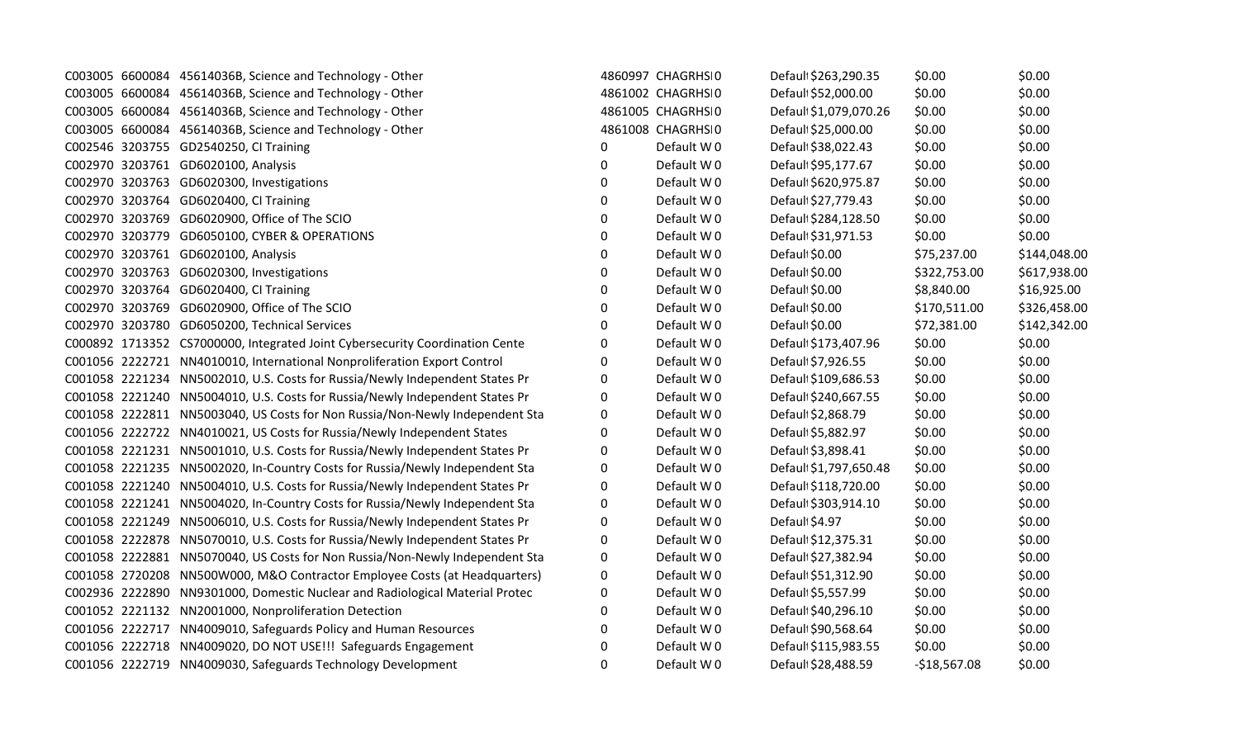|  | C003005 6600084 45614036B, Science and Technology - Other                    |          | 4860997 CHAGRHSI0 | Default \$263,290.35   | \$0.00        | \$0.00       |
|--|------------------------------------------------------------------------------|----------|-------------------|------------------------|---------------|--------------|
|  | C003005 6600084 45614036B, Science and Technology - Other                    |          | 4861002 CHAGRHSI0 | Default \$52,000.00    | \$0.00        | \$0.00       |
|  | C003005 6600084 45614036B, Science and Technology - Other                    |          | 4861005 CHAGRHSI0 | Default \$1,079,070.26 | \$0.00        | \$0.00       |
|  | C003005 6600084 45614036B, Science and Technology - Other                    |          | 4861008 CHAGRHSI0 | Default \$25,000.00    | \$0.00        | \$0.00       |
|  | C002546 3203755 GD2540250, CI Training                                       | 0        | Default W0        | Defaul \$38,022.43     | \$0.00        | \$0.00       |
|  | C002970 3203761 GD6020100, Analysis                                          | 0        | Default W0        | Default \$95,177.67    | \$0.00        | \$0.00       |
|  | C002970 3203763 GD6020300, Investigations                                    | $\Omega$ | Default W0        | Default \$620,975.87   | \$0.00        | \$0.00       |
|  | C002970 3203764 GD6020400, CI Training                                       | 0        | Default W0        | Default \$27,779.43    | \$0.00        | \$0.00       |
|  | C002970 3203769 GD6020900, Office of The SCIO                                | 0        | Default W0        | Default \$284,128.50   | \$0.00        | \$0.00       |
|  | C002970 3203779 GD6050100, CYBER & OPERATIONS                                | 0        | Default W0        | Default \$31,971.53    | \$0.00        | \$0.00       |
|  | C002970 3203761 GD6020100, Analysis                                          | 0        | Default W0        | Default \$0.00         | \$75,237.00   | \$144,048.00 |
|  | C002970 3203763 GD6020300, Investigations                                    | 0        | Default W0        | Default \$0.00         | \$322,753.00  | \$617,938.00 |
|  | C002970 3203764 GD6020400, CI Training                                       | 0        | Default W0        | Default \$0.00         | \$8,840.00    | \$16,925.00  |
|  | C002970 3203769 GD6020900, Office of The SCIO                                | $\Omega$ | Default W0        | Default \$0.00         | \$170,511.00  | \$326,458.00 |
|  | C002970 3203780 GD6050200, Technical Services                                | 0        | Default W0        | Default \$0.00         | \$72,381.00   | \$142,342.00 |
|  | C000892 1713352 CS7000000, Integrated Joint Cybersecurity Coordination Cente | 0        | Default W0        | Default \$173,407.96   | \$0.00        | \$0.00       |
|  | C001056 2222721 NN4010010, International Nonproliferation Export Control     | 0        | Default W0        | Default \$7,926.55     | \$0.00        | \$0.00       |
|  | C001058 2221234 NN5002010, U.S. Costs for Russia/Newly Independent States Pr | 0        | Default W0        | Default \$109,686.53   | \$0.00        | \$0.00       |
|  | C001058 2221240 NN5004010, U.S. Costs for Russia/Newly Independent States Pr | 0        | Default W0        | Default \$240,667.55   | \$0.00        | \$0.00       |
|  | C001058 2222811 NN5003040, US Costs for Non Russia/Non-Newly Independent Sta | 0        | Default W0        | Defaul \$2,868.79      | \$0.00        | \$0.00       |
|  | C001056 2222722 NN4010021, US Costs for Russia/Newly Independent States      | 0        | Default W0        | Defaul \$5,882.97      | \$0.00        | \$0.00       |
|  | C001058 2221231 NN5001010, U.S. Costs for Russia/Newly Independent States Pr | $\Omega$ | Default W0        | Default \$3,898.41     | \$0.00        | \$0.00       |
|  | C001058 2221235 NN5002020, In-Country Costs for Russia/Newly Independent Sta | 0        | Default W0        | Default \$1,797,650.48 | \$0.00        | \$0.00       |
|  | C001058 2221240 NN5004010, U.S. Costs for Russia/Newly Independent States Pr | 0        | Default W0        | Default \$118,720.00   | \$0.00        | \$0.00       |
|  | C001058 2221241 NN5004020, In-Country Costs for Russia/Newly Independent Sta | 0        | Default W0        | Default \$303,914.10   | \$0.00        | \$0.00       |
|  | C001058 2221249 NN5006010, U.S. Costs for Russia/Newly Independent States Pr | 0        | Default W0        | Default \$4.97         | \$0.00        | \$0.00       |
|  | C001058 2222878 NN5070010, U.S. Costs for Russia/Newly Independent States Pr | 0        | Default W0        | Default \$12,375.31    | \$0.00        | \$0.00       |
|  | C001058 2222881 NN5070040, US Costs for Non Russia/Non-Newly Independent Sta | 0        | Default W0        | Default \$27,382.94    | \$0.00        | \$0.00       |
|  | C001058 2720208 NN500W000, M&O Contractor Employee Costs (at Headquarters)   | 0        | Default W0        | Defaul \$51,312.90     | \$0.00        | \$0.00       |
|  | C002936 2222890 NN9301000, Domestic Nuclear and Radiological Material Protec | 0        | Default W0        | Defaul \$5,557.99      | \$0.00        | \$0.00       |
|  | C001052 2221132 NN2001000, Nonproliferation Detection                        | $\Omega$ | Default W0        | Default \$40,296.10    | \$0.00        | \$0.00       |
|  | C001056 2222717 NN4009010, Safeguards Policy and Human Resources             | 0        | Default W0        | Default \$90,568.64    | \$0.00        | \$0.00       |
|  | C001056 2222718 NN4009020, DO NOT USE!!! Safeguards Engagement               | 0        | Default W0        | Default \$115,983.55   | \$0.00        | \$0.00       |
|  | C001056 2222719 NN4009030, Safeguards Technology Development                 | 0        | Default W0        | Default \$28,488.59    | $-$18,567.08$ | \$0.00       |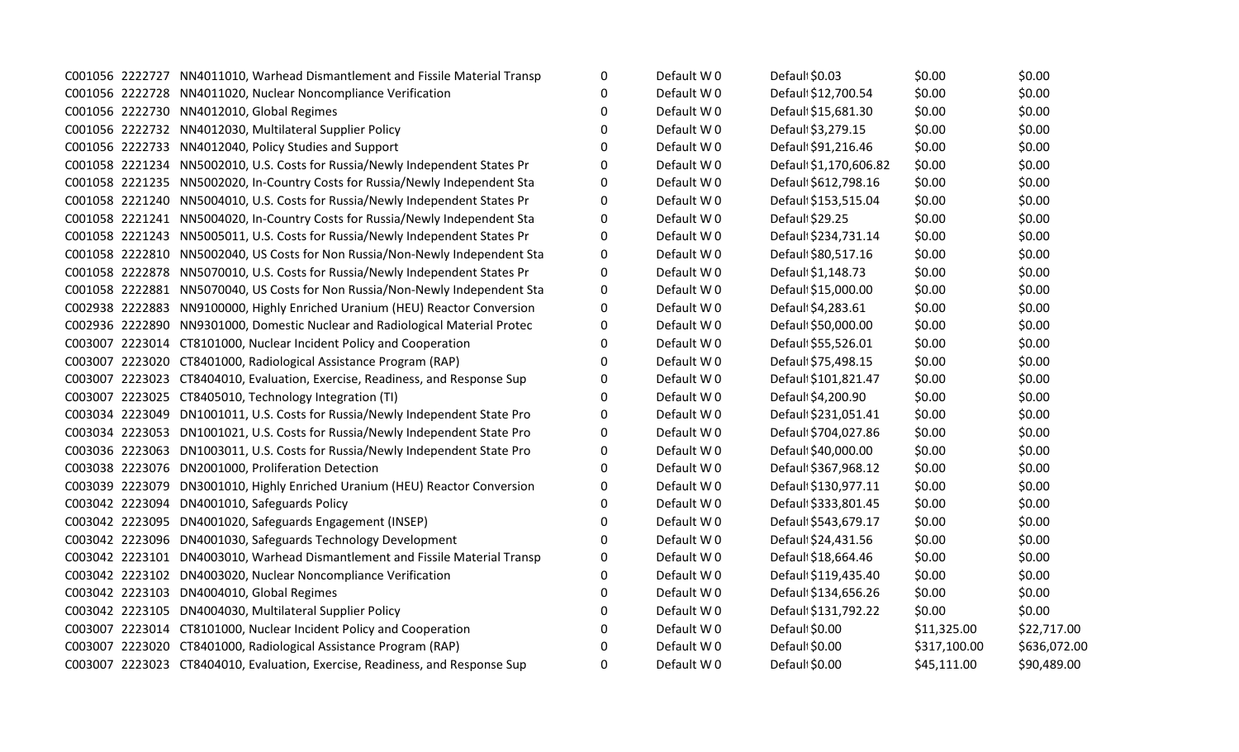|  | C001056 2222727 NN4011010, Warhead Dismantlement and Fissile Material Transp | 0        | Default W0 | Default \$0.03         | \$0.00       | \$0.00       |
|--|------------------------------------------------------------------------------|----------|------------|------------------------|--------------|--------------|
|  | C001056 2222728 NN4011020, Nuclear Noncompliance Verification                | 0        | Default W0 | Default \$12,700.54    | \$0.00       | \$0.00       |
|  | C001056 2222730 NN4012010, Global Regimes                                    | 0        | Default W0 | Default \$15,681.30    | \$0.00       | \$0.00       |
|  | C001056 2222732 NN4012030, Multilateral Supplier Policy                      | $\Omega$ | Default W0 | Default \$3,279.15     | \$0.00       | \$0.00       |
|  | C001056 2222733 NN4012040, Policy Studies and Support                        | 0        | Default W0 | Default \$91,216.46    | \$0.00       | \$0.00       |
|  | C001058 2221234 NN5002010, U.S. Costs for Russia/Newly Independent States Pr | O        | Default W0 | Defaul: \$1,170,606.82 | \$0.00       | \$0.00       |
|  | C001058 2221235 NN5002020, In-Country Costs for Russia/Newly Independent Sta | 0        | Default W0 | Defaul \$612,798.16    | \$0.00       | \$0.00       |
|  | C001058 2221240 NN5004010, U.S. Costs for Russia/Newly Independent States Pr | 0        | Default W0 | Default \$153,515.04   | \$0.00       | \$0.00       |
|  | C001058 2221241 NN5004020, In-Country Costs for Russia/Newly Independent Sta | 0        | Default W0 | Default \$29.25        | \$0.00       | \$0.00       |
|  | C001058 2221243 NN5005011, U.S. Costs for Russia/Newly Independent States Pr | 0        | Default W0 | Default \$234,731.14   | \$0.00       | \$0.00       |
|  | C001058 2222810 NN5002040, US Costs for Non Russia/Non-Newly Independent Sta | 0        | Default W0 | Default \$80,517.16    | \$0.00       | \$0.00       |
|  | C001058 2222878 NN5070010, U.S. Costs for Russia/Newly Independent States Pr | 0        | Default W0 | Default \$1,148.73     | \$0.00       | \$0.00       |
|  | C001058 2222881 NN5070040, US Costs for Non Russia/Non-Newly Independent Sta | 0        | Default W0 | Default \$15,000.00    | \$0.00       | \$0.00       |
|  | C002938 2222883 NN9100000, Highly Enriched Uranium (HEU) Reactor Conversion  | 0        | Default W0 | Default \$4,283.61     | \$0.00       | \$0.00       |
|  | C002936 2222890 NN9301000, Domestic Nuclear and Radiological Material Protec | 0        | Default W0 | Default \$50,000.00    | \$0.00       | \$0.00       |
|  | C003007 2223014 CT8101000, Nuclear Incident Policy and Cooperation           | 0        | Default W0 | Default \$55,526.01    | \$0.00       | \$0.00       |
|  | C003007 2223020 CT8401000, Radiological Assistance Program (RAP)             | 0        | Default W0 | Default \$75,498.15    | \$0.00       | \$0.00       |
|  | C003007 2223023 CT8404010, Evaluation, Exercise, Readiness, and Response Sup | 0        | Default W0 | Default \$101,821.47   | \$0.00       | \$0.00       |
|  | C003007 2223025 CT8405010, Technology Integration (TI)                       | $\Omega$ | Default W0 | Default \$4,200.90     | \$0.00       | \$0.00       |
|  | C003034 2223049 DN1001011, U.S. Costs for Russia/Newly Independent State Pro | 0        | Default W0 | Default \$231,051.41   | \$0.00       | \$0.00       |
|  | C003034 2223053 DN1001021, U.S. Costs for Russia/Newly Independent State Pro | 0        | Default W0 | Default \$704,027.86   | \$0.00       | \$0.00       |
|  | C003036 2223063 DN1003011, U.S. Costs for Russia/Newly Independent State Pro | 0        | Default W0 | Default \$40,000.00    | \$0.00       | \$0.00       |
|  | C003038 2223076 DN2001000, Proliferation Detection                           | $\Omega$ | Default W0 | Default \$367,968.12   | \$0.00       | \$0.00       |
|  | C003039 2223079 DN3001010, Highly Enriched Uranium (HEU) Reactor Conversion  | 0        | Default W0 | Default \$130,977.11   | \$0.00       | \$0.00       |
|  | C003042 2223094 DN4001010, Safeguards Policy                                 | 0        | Default W0 | Default \$333,801.45   | \$0.00       | \$0.00       |
|  | C003042 2223095 DN4001020, Safeguards Engagement (INSEP)                     | 0        | Default W0 | Default \$543,679.17   | \$0.00       | \$0.00       |
|  | C003042 2223096 DN4001030, Safeguards Technology Development                 | 0        | Default W0 | Default \$24,431.56    | \$0.00       | \$0.00       |
|  | C003042 2223101 DN4003010, Warhead Dismantlement and Fissile Material Transp | 0        | Default W0 | Defaul \$18,664.46     | \$0.00       | \$0.00       |
|  | C003042 2223102 DN4003020, Nuclear Noncompliance Verification                | 0        | Default W0 | Default \$119,435.40   | \$0.00       | \$0.00       |
|  | C003042 2223103 DN4004010, Global Regimes                                    | 0        | Default W0 | Default \$134,656.26   | \$0.00       | \$0.00       |
|  | C003042 2223105 DN4004030, Multilateral Supplier Policy                      | 0        | Default W0 | Default \$131,792.22   | \$0.00       | \$0.00       |
|  | C003007 2223014 CT8101000, Nuclear Incident Policy and Cooperation           | 0        | Default W0 | Default \$0.00         | \$11,325.00  | \$22,717.00  |
|  | C003007 2223020 CT8401000, Radiological Assistance Program (RAP)             | 0        | Default W0 | Default \$0.00         | \$317,100.00 | \$636,072.00 |
|  | C003007 2223023 CT8404010, Evaluation, Exercise, Readiness, and Response Sup | $\Omega$ | Default W0 | Defaul \$0.00          | \$45,111.00  | \$90,489.00  |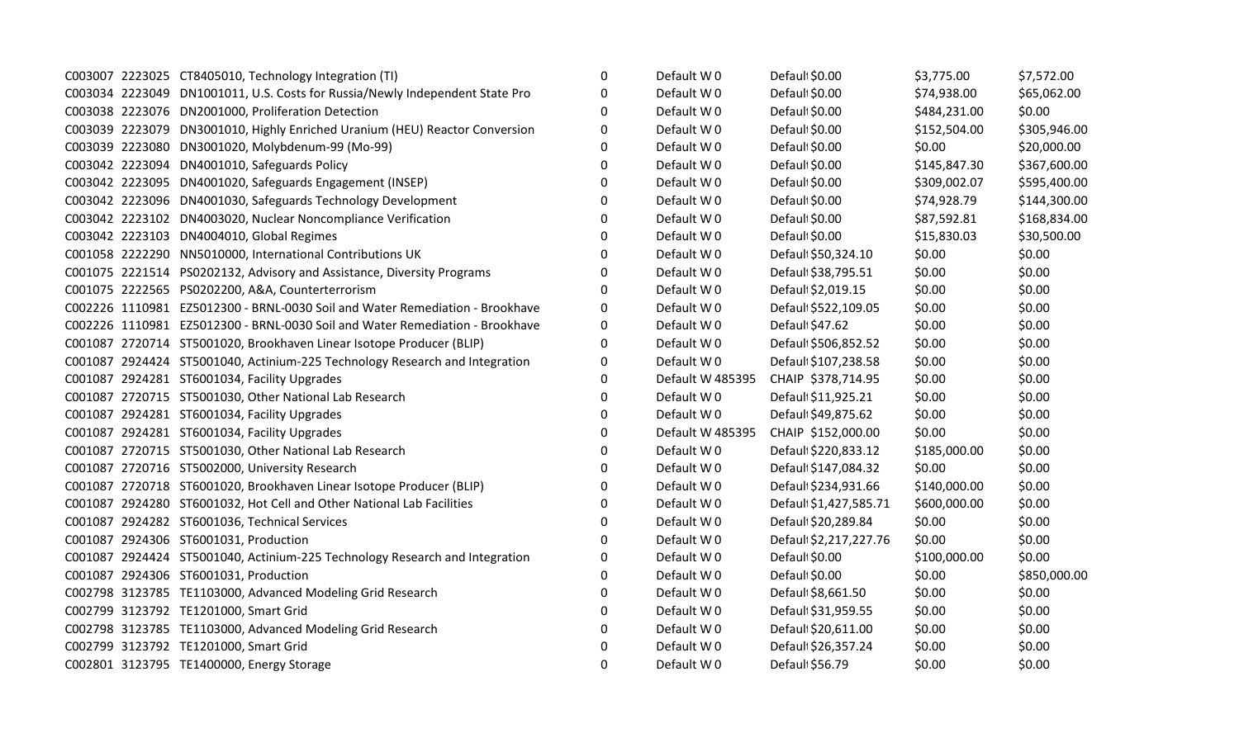|  | C003007 2223025 CT8405010, Technology Integration (TI)                       | 0        | Default W0       | Defaul \$0.00          | \$3,775.00   | \$7,572.00   |
|--|------------------------------------------------------------------------------|----------|------------------|------------------------|--------------|--------------|
|  | C003034 2223049 DN1001011, U.S. Costs for Russia/Newly Independent State Pro | 0        | Default W0       | Default \$0.00         | \$74,938.00  | \$65,062.00  |
|  | C003038 2223076 DN2001000, Proliferation Detection                           | $\Omega$ | Default W0       | Default \$0.00         | \$484,231.00 | \$0.00       |
|  | C003039 2223079 DN3001010, Highly Enriched Uranium (HEU) Reactor Conversion  | $\Omega$ | Default W0       | Default \$0.00         | \$152,504.00 | \$305,946.00 |
|  | C003039 2223080 DN3001020, Molybdenum-99 (Mo-99)                             | 0        | Default W0       | Default \$0.00         | \$0.00       | \$20,000.00  |
|  | C003042 2223094 DN4001010, Safeguards Policy                                 | 0        | Default W0       | Default \$0.00         | \$145,847.30 | \$367,600.00 |
|  | C003042 2223095 DN4001020, Safeguards Engagement (INSEP)                     | 0        | Default W0       | Default \$0.00         | \$309,002.07 | \$595,400.00 |
|  | C003042 2223096 DN4001030, Safeguards Technology Development                 | $\Omega$ | Default W0       | Default \$0.00         | \$74,928.79  | \$144,300.00 |
|  | C003042 2223102 DN4003020, Nuclear Noncompliance Verification                | $\Omega$ | Default W0       | Default \$0.00         | \$87,592.81  | \$168,834.00 |
|  | C003042 2223103 DN4004010, Global Regimes                                    | 0        | Default W0       | Default \$0.00         | \$15,830.03  | \$30,500.00  |
|  | C001058 2222290 NN5010000, International Contributions UK                    | 0        | Default W0       | Default \$50,324.10    | \$0.00       | \$0.00       |
|  | C001075 2221514 PS0202132, Advisory and Assistance, Diversity Programs       | $\Omega$ | Default W0       | Default \$38,795.51    | \$0.00       | \$0.00       |
|  | C001075 2222565 PS0202200, A&A, Counterterrorism                             | $\Omega$ | Default W0       | Default \$2,019.15     | \$0.00       | \$0.00       |
|  | C002226 1110981 EZ5012300 - BRNL-0030 Soil and Water Remediation - Brookhave | $\Omega$ | Default W0       | Default \$522,109.05   | \$0.00       | \$0.00       |
|  | C002226 1110981 EZ5012300 - BRNL-0030 Soil and Water Remediation - Brookhave | 0        | Default W0       | Default \$47.62        | \$0.00       | \$0.00       |
|  | C001087 2720714 ST5001020, Brookhaven Linear Isotope Producer (BLIP)         | $\Omega$ | Default W0       | Default \$506,852.52   | \$0.00       | \$0.00       |
|  | C001087 2924424 ST5001040, Actinium-225 Technology Research and Integration  | 0        | Default W0       | Default \$107,238.58   | \$0.00       | \$0.00       |
|  | C001087 2924281 ST6001034, Facility Upgrades                                 | $\Omega$ | Default W 485395 | CHAIP \$378,714.95     | \$0.00       | \$0.00       |
|  | C001087 2720715 ST5001030, Other National Lab Research                       | 0        | Default W0       | Default \$11,925.21    | \$0.00       | \$0.00       |
|  | C001087 2924281 ST6001034, Facility Upgrades                                 | 0        | Default W0       | Default \$49,875.62    | \$0.00       | \$0.00       |
|  | C001087 2924281 ST6001034, Facility Upgrades                                 | 0        | Default W 485395 | CHAIP \$152,000.00     | \$0.00       | \$0.00       |
|  | C001087 2720715 ST5001030, Other National Lab Research                       | $\Omega$ | Default W0       | Default \$220,833.12   | \$185,000.00 | \$0.00       |
|  | C001087 2720716 ST5002000, University Research                               | 0        | Default W0       | Default \$147,084.32   | \$0.00       | \$0.00       |
|  | C001087 2720718 ST6001020, Brookhaven Linear Isotope Producer (BLIP)         | 0        | Default W0       | Default \$234,931.66   | \$140,000.00 | \$0.00       |
|  | C001087 2924280 ST6001032, Hot Cell and Other National Lab Facilities        | 0        | Default W0       | Defaul \$1,427,585.71  | \$600,000.00 | \$0.00       |
|  | C001087 2924282 ST6001036, Technical Services                                | 0        | Default W0       | Default \$20,289.84    | \$0.00       | \$0.00       |
|  | C001087 2924306 ST6001031, Production                                        | $\Omega$ | Default W0       | Default \$2,217,227.76 | \$0.00       | \$0.00       |
|  | C001087 2924424 ST5001040, Actinium-225 Technology Research and Integration  | $\Omega$ | Default W0       | Default \$0.00         | \$100,000.00 | \$0.00       |
|  | C001087 2924306 ST6001031, Production                                        | 0        | Default W0       | Default \$0.00         | \$0.00       | \$850,000.00 |
|  | C002798 3123785 TE1103000, Advanced Modeling Grid Research                   | 0        | Default W0       | Default \$8,661.50     | \$0.00       | \$0.00       |
|  | C002799 3123792 TE1201000, Smart Grid                                        | $\Omega$ | Default W0       | Default \$31,959.55    | \$0.00       | \$0.00       |
|  | C002798 3123785 TE1103000, Advanced Modeling Grid Research                   | $\Omega$ | Default W0       | Default \$20,611.00    | \$0.00       | \$0.00       |
|  | C002799 3123792 TE1201000, Smart Grid                                        | $\Omega$ | Default W0       | Default \$26,357.24    | \$0.00       | \$0.00       |
|  | C002801 3123795 TE1400000, Energy Storage                                    | 0        | Default W0       | Default \$56.79        | \$0.00       | \$0.00       |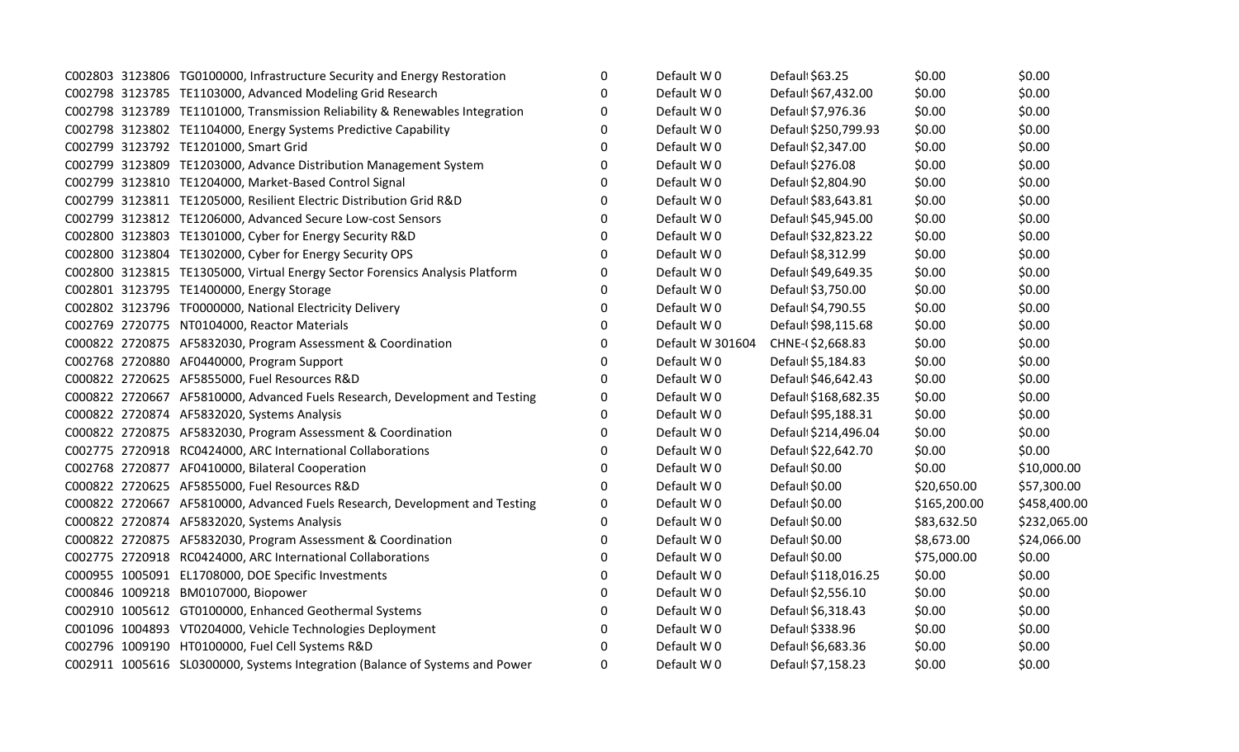|  | C002803 3123806 TG0100000, Infrastructure Security and Energy Restoration    | 0        | Default W0       | Default \$63.25      | \$0.00       | \$0.00       |
|--|------------------------------------------------------------------------------|----------|------------------|----------------------|--------------|--------------|
|  | C002798 3123785 TE1103000, Advanced Modeling Grid Research                   | 0        | Default W0       | Default \$67,432.00  | \$0.00       | \$0.00       |
|  | C002798 3123789 TE1101000, Transmission Reliability & Renewables Integration | 0        | Default W0       | Default \$7,976.36   | \$0.00       | \$0.00       |
|  | C002798 3123802 TE1104000, Energy Systems Predictive Capability              | $\Omega$ | Default W 0      | Default \$250,799.93 | \$0.00       | \$0.00       |
|  | C002799 3123792 TE1201000, Smart Grid                                        | $\Omega$ | Default W0       | Default \$2,347.00   | \$0.00       | \$0.00       |
|  | C002799 3123809 TE1203000, Advance Distribution Management System            | 0        | Default W0       | Default \$276.08     | \$0.00       | \$0.00       |
|  | C002799 3123810 TE1204000, Market-Based Control Signal                       | $\Omega$ | Default W0       | Default \$2,804.90   | \$0.00       | \$0.00       |
|  | C002799 3123811 TE1205000, Resilient Electric Distribution Grid R&D          | $\Omega$ | Default W0       | Default \$83,643.81  | \$0.00       | \$0.00       |
|  | C002799 3123812 TE1206000, Advanced Secure Low-cost Sensors                  | $\Omega$ | Default W0       | Default \$45,945.00  | \$0.00       | \$0.00       |
|  | C002800 3123803 TE1301000, Cyber for Energy Security R&D                     | 0        | Default W0       | Default \$32,823.22  | \$0.00       | \$0.00       |
|  | C002800 3123804 TE1302000, Cyber for Energy Security OPS                     | $\Omega$ | Default W0       | Default \$8,312.99   | \$0.00       | \$0.00       |
|  | C002800 3123815 TE1305000, Virtual Energy Sector Forensics Analysis Platform | 0        | Default W0       | Default \$49,649.35  | \$0.00       | \$0.00       |
|  | C002801 3123795 TE1400000, Energy Storage                                    | 0        | Default W0       | Defaul \$3,750.00    | \$0.00       | \$0.00       |
|  | C002802 3123796 TF0000000, National Electricity Delivery                     | 0        | Default W0       | Default \$4,790.55   | \$0.00       | \$0.00       |
|  | C002769 2720775 NT0104000, Reactor Materials                                 | 0        | Default W0       | Default \$98,115.68  | \$0.00       | \$0.00       |
|  | C000822 2720875 AF5832030, Program Assessment & Coordination                 | 0        | Default W 301604 | CHNE-(\$2,668.83     | \$0.00       | \$0.00       |
|  | C002768 2720880 AF0440000, Program Support                                   | 0        | Default W0       | Default \$5,184.83   | \$0.00       | \$0.00       |
|  | C000822 2720625 AF5855000, Fuel Resources R&D                                | $\Omega$ | Default W0       | Default \$46,642.43  | \$0.00       | \$0.00       |
|  | C000822 2720667 AF5810000, Advanced Fuels Research, Development and Testing  | $\Omega$ | Default W0       | Default \$168,682.35 | \$0.00       | \$0.00       |
|  | C000822 2720874 AF5832020, Systems Analysis                                  | 0        | Default W0       | Default \$95,188.31  | \$0.00       | \$0.00       |
|  | C000822 2720875 AF5832030, Program Assessment & Coordination                 | 0        | Default W0       | Default \$214,496.04 | \$0.00       | \$0.00       |
|  | C002775 2720918 RC0424000, ARC International Collaborations                  | 0        | Default W0       | Default \$22,642.70  | \$0.00       | \$0.00       |
|  | C002768 2720877 AF0410000, Bilateral Cooperation                             | $\Omega$ | Default W0       | Default \$0.00       | \$0.00       | \$10,000.00  |
|  | C000822 2720625 AF5855000, Fuel Resources R&D                                | $\Omega$ | Default W0       | Default \$0.00       | \$20,650.00  | \$57,300.00  |
|  | C000822 2720667 AF5810000, Advanced Fuels Research, Development and Testing  | 0        | Default W0       | Default \$0.00       | \$165,200.00 | \$458,400.00 |
|  | C000822 2720874 AF5832020, Systems Analysis                                  | 0        | Default W0       | Default \$0.00       | \$83,632.50  | \$232,065.00 |
|  | C000822 2720875 AF5832030, Program Assessment & Coordination                 | 0        | Default W0       | Default \$0.00       | \$8,673.00   | \$24,066.00  |
|  | C002775 2720918 RC0424000, ARC International Collaborations                  | 0        | Default W0       | Defaul \$0.00        | \$75,000.00  | \$0.00       |
|  | C000955 1005091 EL1708000, DOE Specific Investments                          | 0        | Default W0       | Default \$118,016.25 | \$0.00       | \$0.00       |
|  | C000846 1009218 BM0107000, Biopower                                          | 0        | Default W0       | Default \$2,556.10   | \$0.00       | \$0.00       |
|  | C002910 1005612 GT0100000, Enhanced Geothermal Systems                       | $\Omega$ | Default W0       | Default \$6,318.43   | \$0.00       | \$0.00       |
|  | C001096 1004893 VT0204000, Vehicle Technologies Deployment                   | 0        | Default W0       | Defaul \$338.96      | \$0.00       | \$0.00       |
|  | C002796 1009190 HT0100000, Fuel Cell Systems R&D                             | $\Omega$ | Default W 0      | Default \$6,683.36   | \$0.00       | \$0.00       |
|  | C002911 1005616 SL0300000, Systems Integration (Balance of Systems and Power | $\Omega$ | Default W0       | Default \$7,158.23   | \$0.00       | \$0.00       |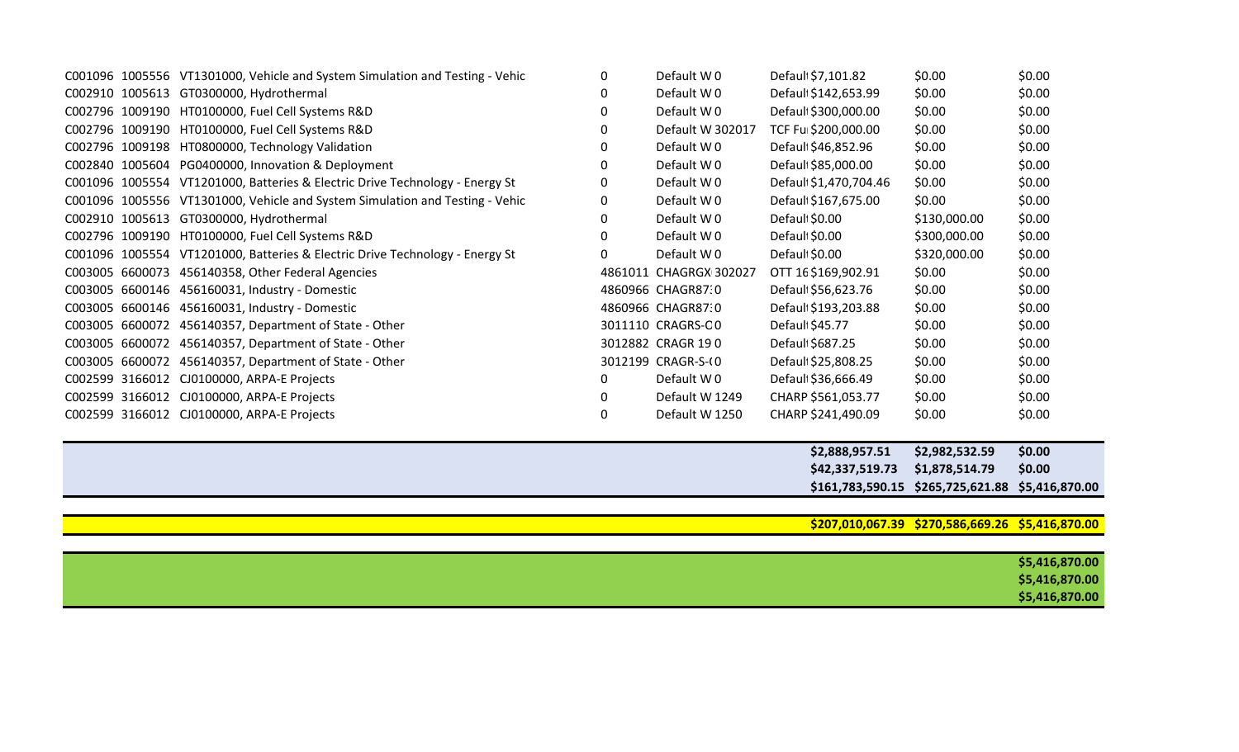|  | C001096 1005556 VT1301000, Vehicle and System Simulation and Testing - Vehic | 0            | Default W0             | Default \$7,101.82     | \$0.00                                           | \$0.00         |
|--|------------------------------------------------------------------------------|--------------|------------------------|------------------------|--------------------------------------------------|----------------|
|  | C002910 1005613 GT0300000, Hydrothermal                                      |              | Default W0             | Default \$142,653.99   | \$0.00                                           | \$0.00         |
|  | C002796 1009190 HT0100000, Fuel Cell Systems R&D                             | 0            | Default W0             | Default \$300,000.00   | \$0.00                                           | \$0.00         |
|  | C002796 1009190 HT0100000, Fuel Cell Systems R&D                             |              | Default W 302017       | TCF Ful \$200,000.00   | \$0.00                                           | \$0.00         |
|  | C002796 1009198 HT0800000, Technology Validation                             | <sup>0</sup> | Default W0             | Default \$46,852.96    | \$0.00                                           | \$0.00         |
|  | C002840 1005604 PG0400000, Innovation & Deployment                           |              | Default W0             | Default \$85,000.00    | \$0.00                                           | \$0.00         |
|  | C001096 1005554 VT1201000, Batteries & Electric Drive Technology - Energy St |              | Default W0             | Default \$1,470,704.46 | \$0.00                                           | \$0.00         |
|  | C001096 1005556 VT1301000, Vehicle and System Simulation and Testing - Vehic |              | Default W0             | Defaul \$167,675.00    | \$0.00                                           | \$0.00         |
|  | C002910 1005613 GT0300000, Hydrothermal                                      |              | Default W0             | Default \$0.00         | \$130,000.00                                     | \$0.00         |
|  | C002796 1009190 HT0100000, Fuel Cell Systems R&D                             | O            | Default W0             | Default \$0.00         | \$300,000.00                                     | \$0.00         |
|  | C001096 1005554 VT1201000, Batteries & Electric Drive Technology - Energy St |              | Default W0             | Default \$0.00         | \$320,000.00                                     | \$0.00         |
|  | C003005 6600073 456140358, Other Federal Agencies                            |              | 4861011 CHAGRGX 302027 | OTT 16\$169,902.91     | \$0.00                                           | \$0.00         |
|  | C003005 6600146 456160031, Industry - Domestic                               |              | 4860966 CHAGR87:0      | Default \$56,623.76    | \$0.00                                           | \$0.00         |
|  | C003005 6600146 456160031, Industry - Domestic                               |              | 4860966 CHAGR87:0      | Default \$193,203.88   | \$0.00                                           | \$0.00         |
|  | C003005 6600072 456140357, Department of State - Other                       |              | 3011110 CRAGRS-CO      | Default \$45.77        | \$0.00                                           | \$0.00         |
|  | C003005 6600072 456140357, Department of State - Other                       |              | 3012882 CRAGR 190      | Default \$687.25       | \$0.00                                           | \$0.00         |
|  | C003005 6600072 456140357, Department of State - Other                       |              | 3012199 CRAGR-S-(0     | Default \$25,808.25    | \$0.00                                           | \$0.00         |
|  | C002599 3166012 CJ0100000, ARPA-E Projects                                   | $\Omega$     | Default W0             | Default \$36,666.49    | \$0.00                                           | \$0.00         |
|  | C002599 3166012 CJ0100000, ARPA-E Projects                                   | <sup>0</sup> | Default W 1249         | CHARP \$561,053.77     | \$0.00                                           | \$0.00         |
|  | C002599 3166012 CJ0100000, ARPA-E Projects                                   | 0            | Default W 1250         | CHARP \$241,490.09     | \$0.00                                           | \$0.00         |
|  |                                                                              |              |                        |                        |                                                  |                |
|  |                                                                              |              |                        | \$2,888,957.51         | \$2,982,532.59                                   | \$0.00         |
|  |                                                                              |              |                        | \$42,337,519.73        | \$1,878,514.79                                   | \$0.00         |
|  |                                                                              |              |                        |                        | \$161,783,590.15 \$265,725,621.88                | \$5,416,870.00 |
|  |                                                                              |              |                        |                        |                                                  |                |
|  |                                                                              |              |                        |                        | \$207,010,067.39 \$270,586,669.26 \$5,416,870.00 |                |
|  |                                                                              |              |                        |                        |                                                  |                |
|  |                                                                              |              |                        |                        |                                                  | \$5,416,870.00 |
|  |                                                                              |              |                        |                        |                                                  | \$5,416,870.00 |

**\$5,416,870.00**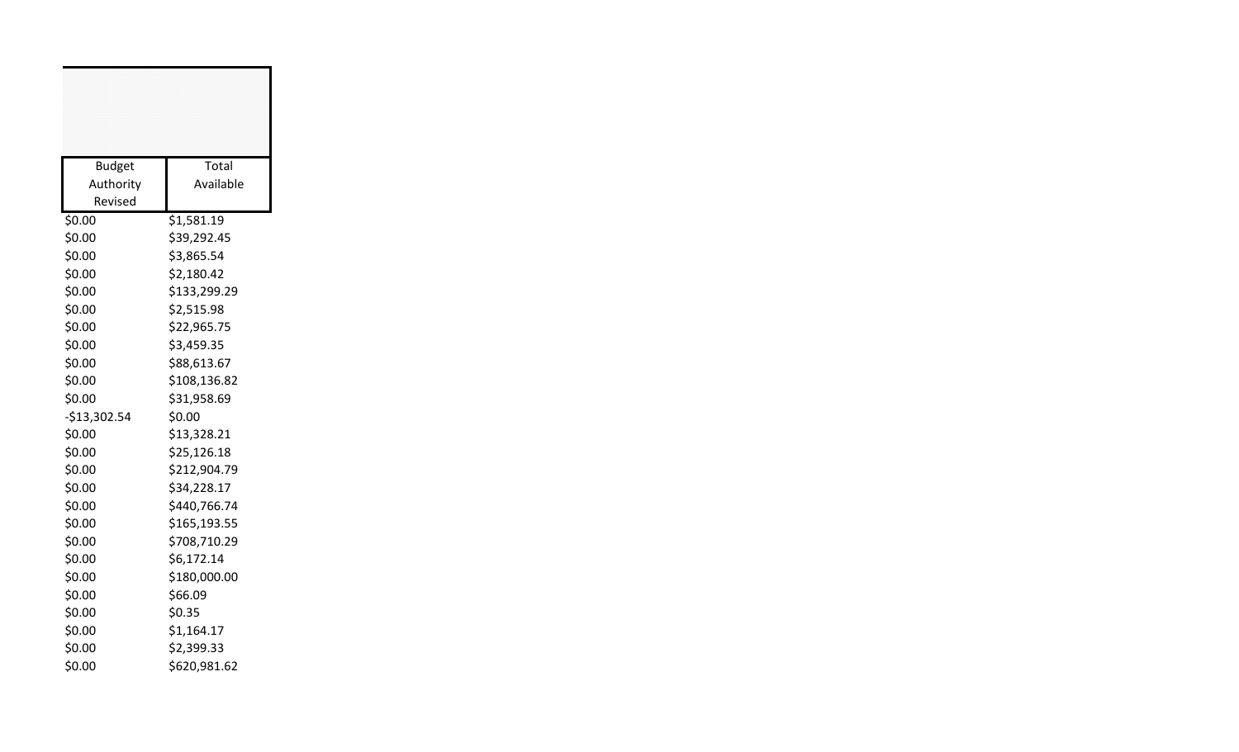| <b>Budget</b> | Total        |
|---------------|--------------|
| Authority     | Available    |
| Revised       |              |
| \$0.00        | \$1,581.19   |
| \$0.00        | \$39,292.45  |
| \$0.00        | \$3,865.54   |
| \$0.00        | \$2,180.42   |
| \$0.00        | \$133,299.29 |
| \$0.00        | \$2,515.98   |
| \$0.00        | \$22,965.75  |
| \$0.00        | \$3,459.35   |
| \$0.00        | \$88,613.67  |
| \$0.00        | \$108,136.82 |
| \$0.00        | \$31,958.69  |
| $-$13,302.54$ | \$0.00       |
| \$0.00        | \$13,328.21  |
| \$0.00        | \$25,126.18  |
| \$0.00        | \$212,904.79 |
| \$0.00        | \$34,228.17  |
| \$0.00        | \$440,766.74 |
| \$0.00        | \$165,193.55 |
| \$0.00        | \$708,710.29 |
| \$0.00        | \$6,172.14   |
| \$0.00        | \$180,000.00 |
| \$0.00        | \$66.09      |
| \$0.00        | \$0.35       |
| \$0.00        | \$1,164.17   |
| \$0.00        | \$2,399.33   |
| \$0.00        | \$620,981.62 |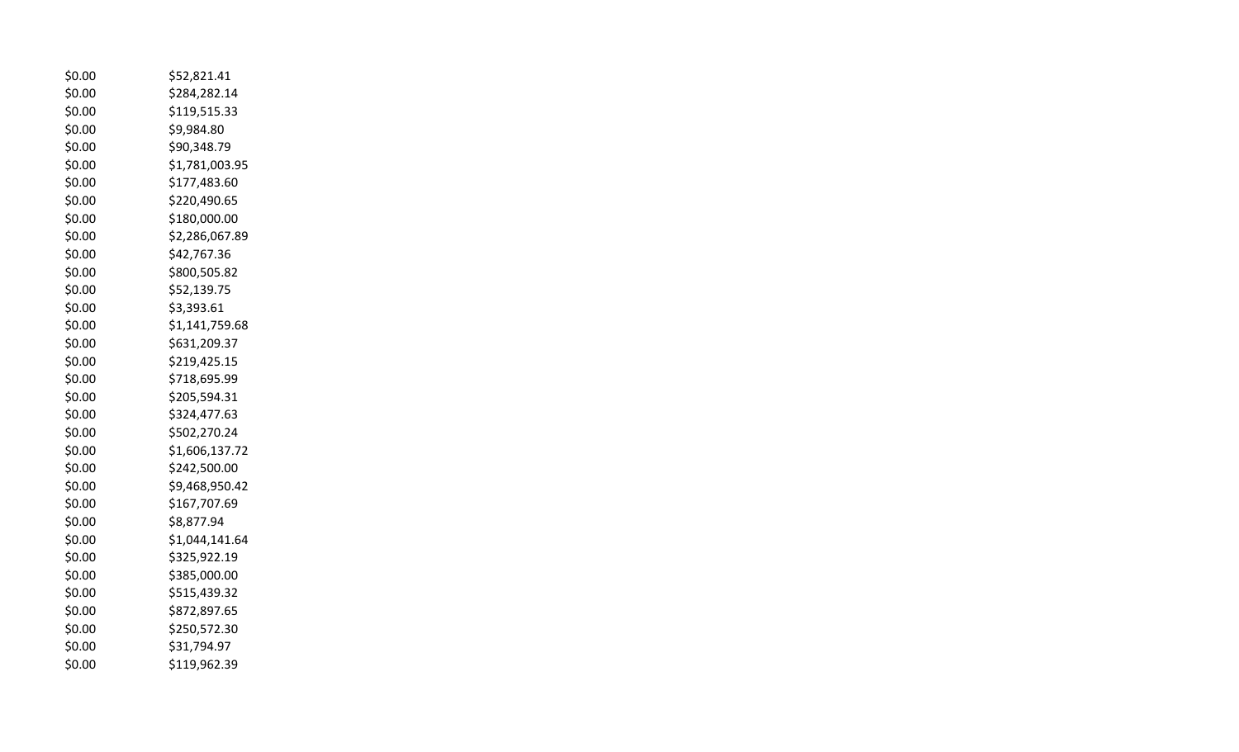| \$0.00 | \$52,821.41    |
|--------|----------------|
| \$0.00 | \$284,282.14   |
| \$0.00 | \$119,515.33   |
| \$0.00 | \$9,984.80     |
| \$0.00 | \$90,348.79    |
| \$0.00 | \$1,781,003.95 |
| \$0.00 | \$177,483.60   |
| \$0.00 | \$220,490.65   |
| \$0.00 | \$180,000.00   |
| \$0.00 | \$2,286,067.89 |
| \$0.00 | \$42,767.36    |
| \$0.00 | \$800,505.82   |
| \$0.00 | \$52,139.75    |
| \$0.00 | \$3,393.61     |
| \$0.00 | \$1,141,759.68 |
| \$0.00 | \$631,209.37   |
| \$0.00 | \$219,425.15   |
| \$0.00 | \$718,695.99   |
| \$0.00 | \$205,594.31   |
| \$0.00 | \$324,477.63   |
| \$0.00 | \$502,270.24   |
| \$0.00 | \$1,606,137.72 |
| \$0.00 | \$242,500.00   |
| \$0.00 | \$9,468,950.42 |
| \$0.00 | \$167,707.69   |
| \$0.00 | \$8,877.94     |
| \$0.00 | \$1,044,141.64 |
| \$0.00 | \$325,922.19   |
| \$0.00 | \$385,000.00   |
| \$0.00 | \$515,439.32   |
| \$0.00 | \$872,897.65   |
| \$0.00 | \$250,572.30   |
| \$0.00 | \$31,794.97    |
| \$0.00 | \$119,962.39   |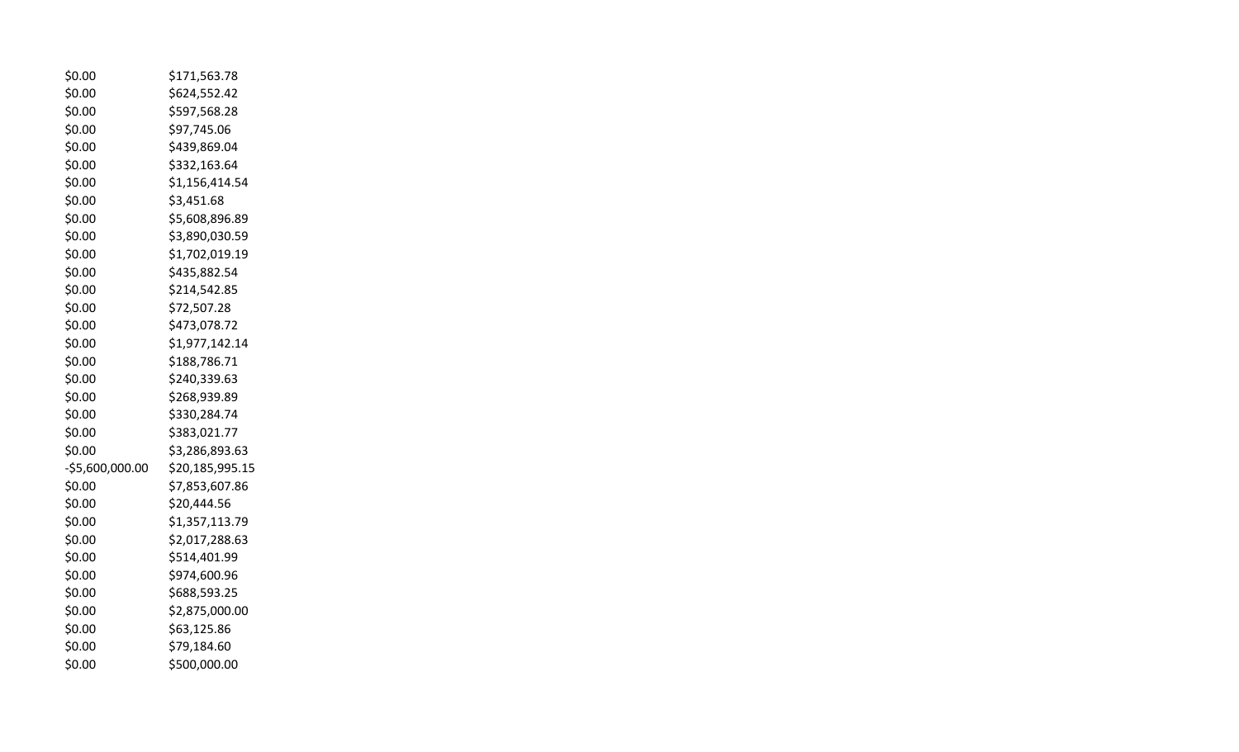| \$0.00           | \$171,563.78    |
|------------------|-----------------|
| \$0.00           | \$624,552.42    |
| \$0.00           | \$597,568.28    |
| \$0.00           | \$97,745.06     |
| \$0.00           | \$439,869.04    |
| \$0.00           | \$332,163.64    |
| \$0.00           | \$1,156,414.54  |
| \$0.00           | \$3,451.68      |
| \$0.00           | \$5,608,896.89  |
| \$0.00           | \$3,890,030.59  |
| \$0.00           | \$1,702,019.19  |
| \$0.00           | \$435,882.54    |
| \$0.00           | \$214,542.85    |
| \$0.00           | \$72,507.28     |
| \$0.00           | \$473,078.72    |
| \$0.00           | \$1,977,142.14  |
| \$0.00           | \$188,786.71    |
| \$0.00           | \$240,339.63    |
| \$0.00           | \$268,939.89    |
| \$0.00           | \$330,284.74    |
| \$0.00           | \$383,021.77    |
| \$0.00           | \$3,286,893.63  |
| $-55,600,000.00$ | \$20,185,995.15 |
| \$0.00           | \$7,853,607.86  |
| \$0.00           | \$20,444.56     |
| \$0.00           | \$1,357,113.79  |
| \$0.00           | \$2,017,288.63  |
| \$0.00           | \$514,401.99    |
| \$0.00           | \$974,600.96    |
| \$0.00           | \$688,593.25    |
| \$0.00           | \$2,875,000.00  |
| \$0.00           | \$63,125.86     |
| \$0.00           | \$79,184.60     |
| \$0.00           | \$500,000.00    |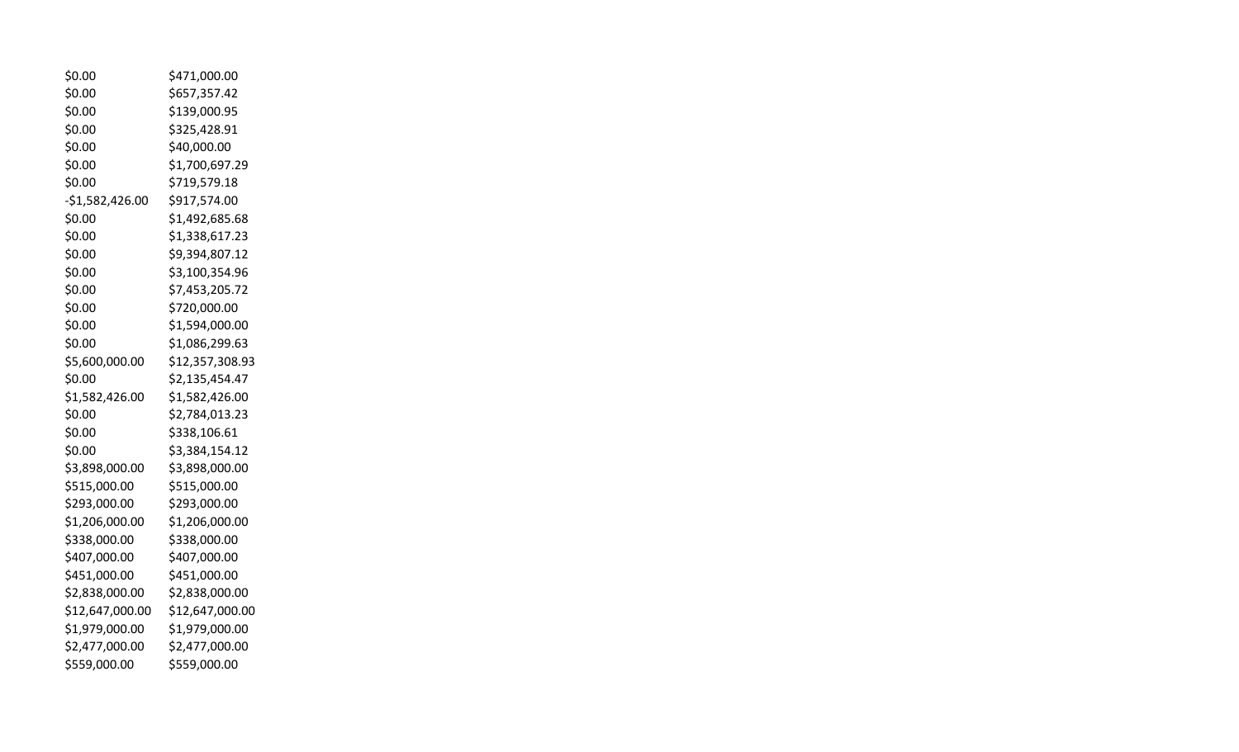| \$0.00           | \$471,000.00    |
|------------------|-----------------|
| \$0.00           | \$657,357.42    |
| \$0.00           | \$139,000.95    |
| \$0.00           | \$325,428.91    |
| \$0.00           | \$40,000.00     |
| \$0.00           | \$1,700,697.29  |
| \$0.00           | \$719,579.18    |
| $-$1,582,426.00$ | \$917,574.00    |
| \$0.00           | \$1,492,685.68  |
| \$0.00           | \$1,338,617.23  |
| \$0.00           | \$9,394,807.12  |
| \$0.00           | \$3,100,354.96  |
| \$0.00           | \$7,453,205.72  |
| \$0.00           | \$720,000.00    |
| \$0.00           | \$1,594,000.00  |
| \$0.00           | \$1,086,299.63  |
| \$5,600,000.00   | \$12,357,308.93 |
| \$0.00           | \$2,135,454.47  |
| \$1,582,426.00   | \$1,582,426.00  |
| \$0.00           | \$2,784,013.23  |
| \$0.00           | \$338,106.61    |
| \$0.00           | \$3,384,154.12  |
| \$3,898,000.00   | \$3,898,000.00  |
| \$515,000.00     | \$515,000.00    |
| \$293,000.00     | \$293,000.00    |
| \$1,206,000.00   | \$1,206,000.00  |
| \$338,000.00     | \$338,000.00    |
| \$407,000.00     | \$407,000.00    |
| \$451,000.00     | \$451,000.00    |
| \$2,838,000.00   | \$2,838,000.00  |
| \$12,647,000.00  | \$12,647,000.00 |
| \$1,979,000.00   | \$1,979,000.00  |
| \$2,477,000.00   | \$2,477,000.00  |
| \$559,000.00     | \$559,000.00    |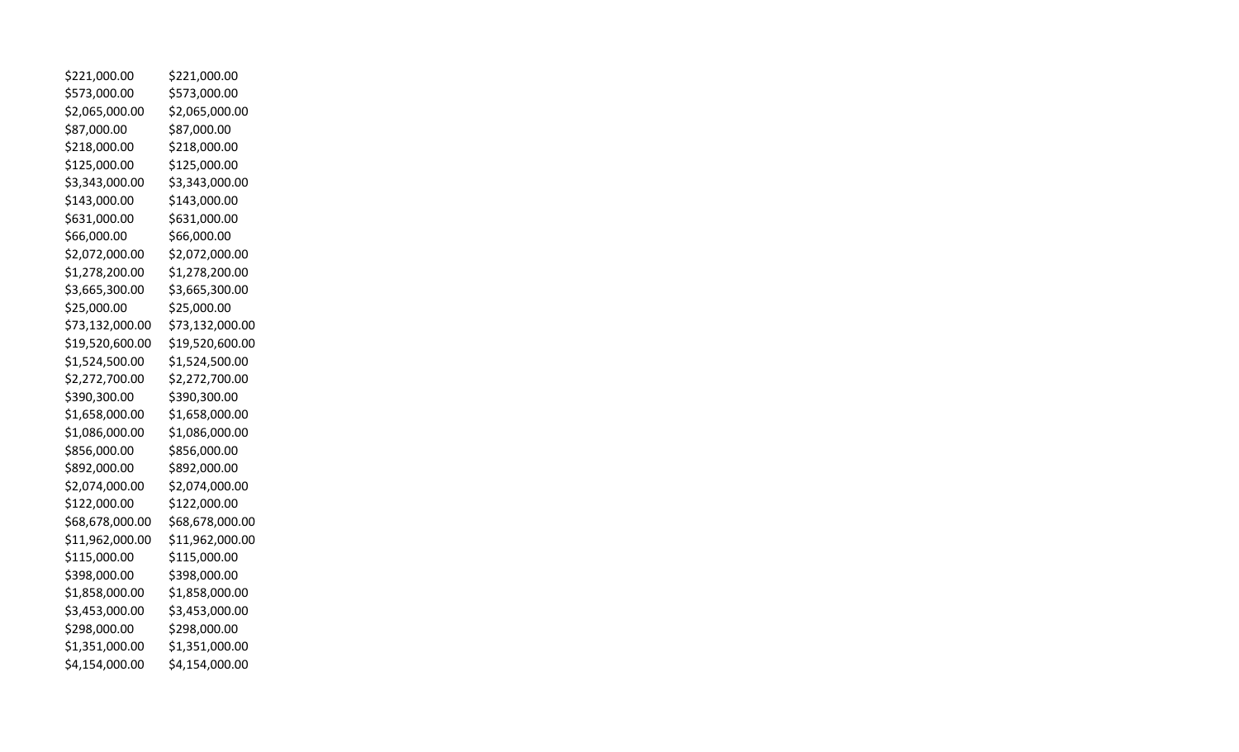| \$221,000.00    | \$221,000.00    |
|-----------------|-----------------|
| \$573,000.00    | \$573,000.00    |
| \$2,065,000.00  | \$2,065,000.00  |
| \$87,000.00     | \$87,000.00     |
| \$218,000.00    | \$218,000.00    |
| \$125,000.00    | \$125,000.00    |
| \$3,343,000.00  | \$3,343,000.00  |
| \$143,000.00    | \$143,000.00    |
| \$631,000.00    | \$631,000.00    |
| \$66,000.00     | \$66,000.00     |
| \$2,072,000.00  | \$2,072,000.00  |
| \$1,278,200.00  | \$1,278,200.00  |
| \$3,665,300.00  | \$3,665,300.00  |
| \$25,000.00     | \$25,000.00     |
| \$73,132,000.00 | \$73,132,000.00 |
| \$19,520,600.00 | \$19,520,600.00 |
| \$1,524,500.00  | \$1,524,500.00  |
| \$2,272,700.00  | \$2,272,700.00  |
| \$390,300.00    | \$390,300.00    |
| \$1,658,000.00  | \$1,658,000.00  |
| \$1,086,000.00  | \$1,086,000.00  |
| \$856,000.00    | \$856,000.00    |
| \$892,000.00    | \$892,000.00    |
| \$2,074,000.00  | \$2,074,000.00  |
| \$122,000.00    | \$122,000.00    |
| \$68,678,000.00 | \$68,678,000.00 |
| \$11,962,000.00 | \$11,962,000.00 |
| \$115,000.00    | \$115,000.00    |
| \$398,000.00    | \$398,000.00    |
| \$1,858,000.00  | \$1,858,000.00  |
| \$3,453,000.00  | \$3,453,000.00  |
| \$298,000.00    | \$298,000.00    |
| \$1,351,000.00  | \$1,351,000.00  |
| \$4,154,000.00  | \$4,154,000.00  |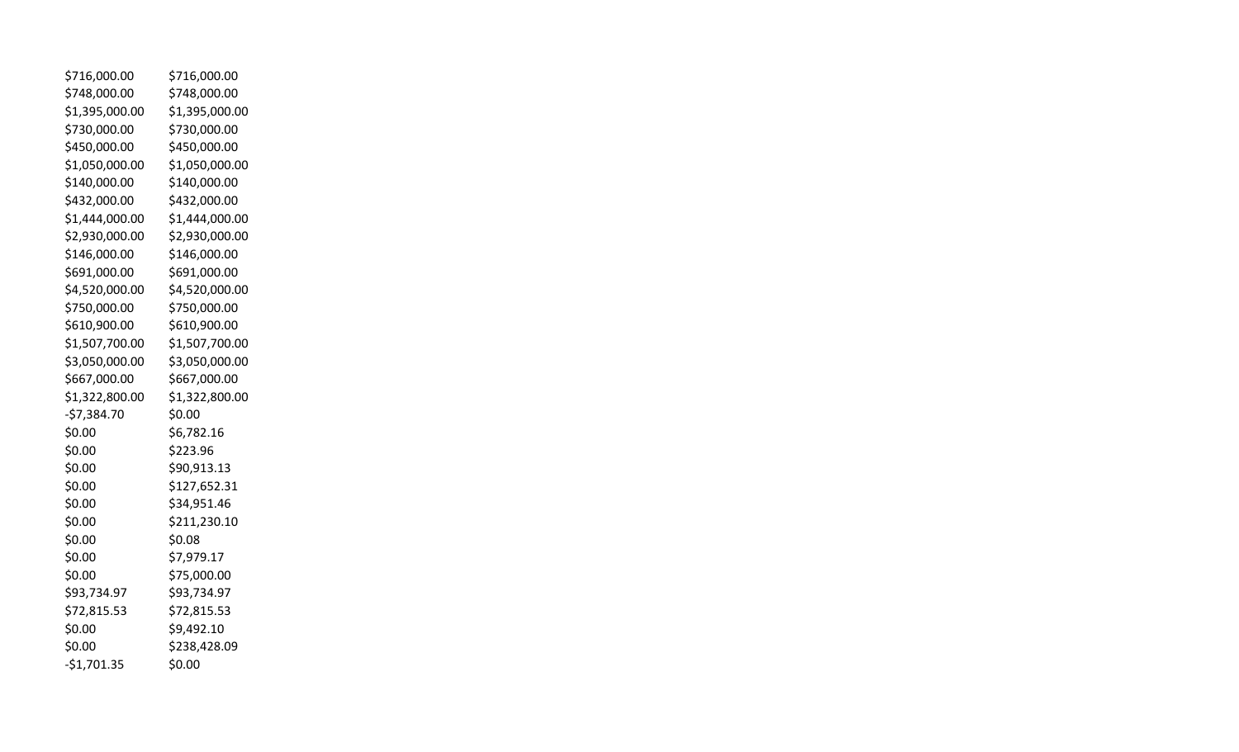| \$716,000.00   | \$716,000.00   |
|----------------|----------------|
| \$748,000.00   | \$748,000.00   |
| \$1,395,000.00 | \$1,395,000.00 |
| \$730,000.00   | \$730,000.00   |
| \$450,000.00   | \$450,000.00   |
| \$1,050,000.00 | \$1,050,000.00 |
| \$140,000.00   | \$140,000.00   |
| \$432,000.00   | \$432,000.00   |
| \$1,444,000.00 | \$1,444,000.00 |
| \$2,930,000.00 | \$2,930,000.00 |
| \$146,000.00   | \$146,000.00   |
| \$691,000.00   | \$691,000.00   |
| \$4,520,000.00 | \$4,520,000.00 |
| \$750,000.00   | \$750,000.00   |
| \$610,900.00   | \$610,900.00   |
| \$1,507,700.00 | \$1,507,700.00 |
| \$3,050,000.00 | \$3,050,000.00 |
| \$667,000.00   | \$667,000.00   |
| \$1,322,800.00 | \$1,322,800.00 |
| $-57,384.70$   | \$0.00         |
| \$0.00         | \$6,782.16     |
| \$0.00         | \$223.96       |
| \$0.00         | \$90,913.13    |
| \$0.00         | \$127,652.31   |
| \$0.00         | \$34,951.46    |
| \$0.00         | \$211,230.10   |
| \$0.00         | \$0.08         |
| \$0.00         | \$7,979.17     |
| \$0.00         | \$75,000.00    |
| \$93,734.97    | \$93,734.97    |
| \$72,815.53    | \$72,815.53    |
| \$0.00         | \$9,492.10     |
| \$0.00         | \$238,428.09   |
| $-$1,701.35$   | \$0.00         |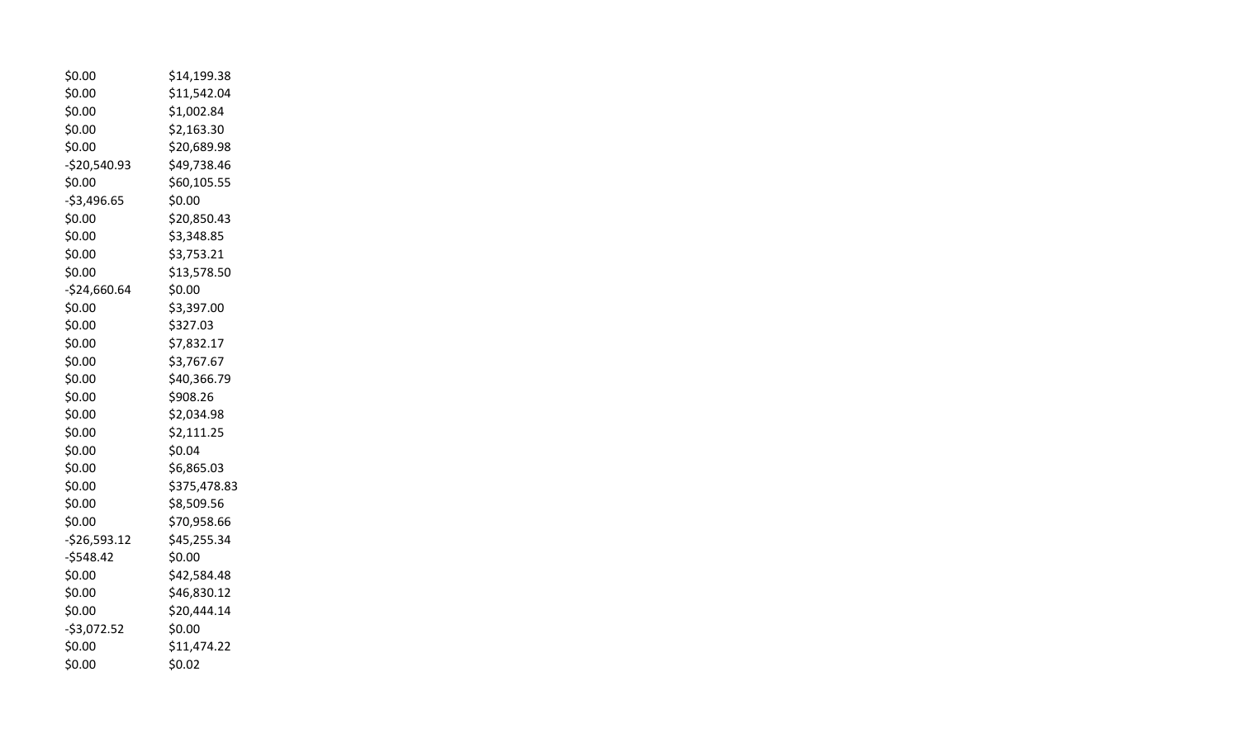| \$0.00        | \$14,199.38  |
|---------------|--------------|
| \$0.00        | \$11,542.04  |
| \$0.00        | \$1,002.84   |
| \$0.00        | \$2,163.30   |
| \$0.00        | \$20,689.98  |
| $-520,540.93$ | \$49,738.46  |
| \$0.00        | \$60,105.55  |
| $-$3,496.65$  | \$0.00       |
| \$0.00        | \$20,850.43  |
| \$0.00        | \$3,348.85   |
| \$0.00        | \$3,753.21   |
| \$0.00        | \$13,578.50  |
| -\$24,660.64  | \$0.00       |
| \$0.00        | \$3,397.00   |
| \$0.00        | \$327.03     |
| \$0.00        | \$7,832.17   |
| \$0.00        | \$3,767.67   |
| \$0.00        | \$40,366.79  |
| \$0.00        | \$908.26     |
| \$0.00        | \$2,034.98   |
| \$0.00        | \$2,111.25   |
| \$0.00        | \$0.04       |
| \$0.00        | \$6,865.03   |
| \$0.00        | \$375,478.83 |
| \$0.00        | \$8,509.56   |
| \$0.00        | \$70,958.66  |
| $-526,593.12$ | \$45,255.34  |
| $-5548.42$    | \$0.00       |
| \$0.00        | \$42,584.48  |
| \$0.00        | \$46,830.12  |
| \$0.00        | \$20,444.14  |
| $-53,072.52$  | \$0.00       |
| \$0.00        | \$11,474.22  |
| \$0.00        | \$0.02       |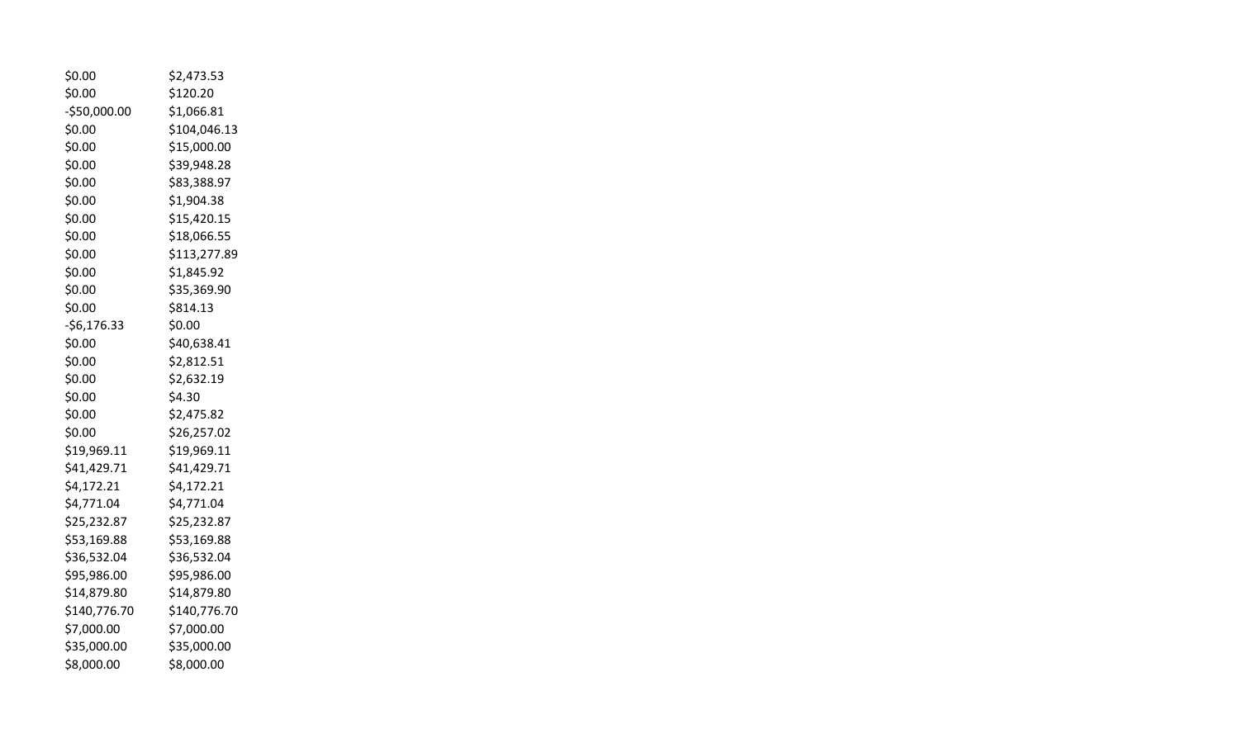| \$0.00        | \$2,473.53   |
|---------------|--------------|
| \$0.00        | \$120.20     |
| $-$50,000.00$ | \$1,066.81   |
| \$0.00        | \$104,046.13 |
| \$0.00        | \$15,000.00  |
| \$0.00        | \$39,948.28  |
| \$0.00        | \$83,388.97  |
| \$0.00        | \$1,904.38   |
| \$0.00        | \$15,420.15  |
| \$0.00        | \$18,066.55  |
| \$0.00        | \$113,277.89 |
| \$0.00        | \$1,845.92   |
| \$0.00        | \$35,369.90  |
| \$0.00        | \$814.13     |
| $-56,176.33$  | \$0.00       |
| \$0.00        | \$40,638.41  |
| \$0.00        | \$2,812.51   |
| \$0.00        | \$2,632.19   |
| \$0.00        | \$4.30       |
| \$0.00        | \$2,475.82   |
| \$0.00        | \$26,257.02  |
| \$19,969.11   | \$19,969.11  |
| \$41,429.71   | \$41,429.71  |
| \$4,172.21    | \$4,172.21   |
| \$4,771.04    | \$4,771.04   |
| \$25,232.87   | \$25,232.87  |
| \$53,169.88   | \$53,169.88  |
| \$36,532.04   | \$36,532.04  |
| \$95,986.00   | \$95,986.00  |
| \$14,879.80   | \$14,879.80  |
| \$140,776.70  | \$140,776.70 |
| \$7,000.00    | \$7,000.00   |
| \$35,000.00   | \$35,000.00  |
| \$8,000.00    | \$8,000.00   |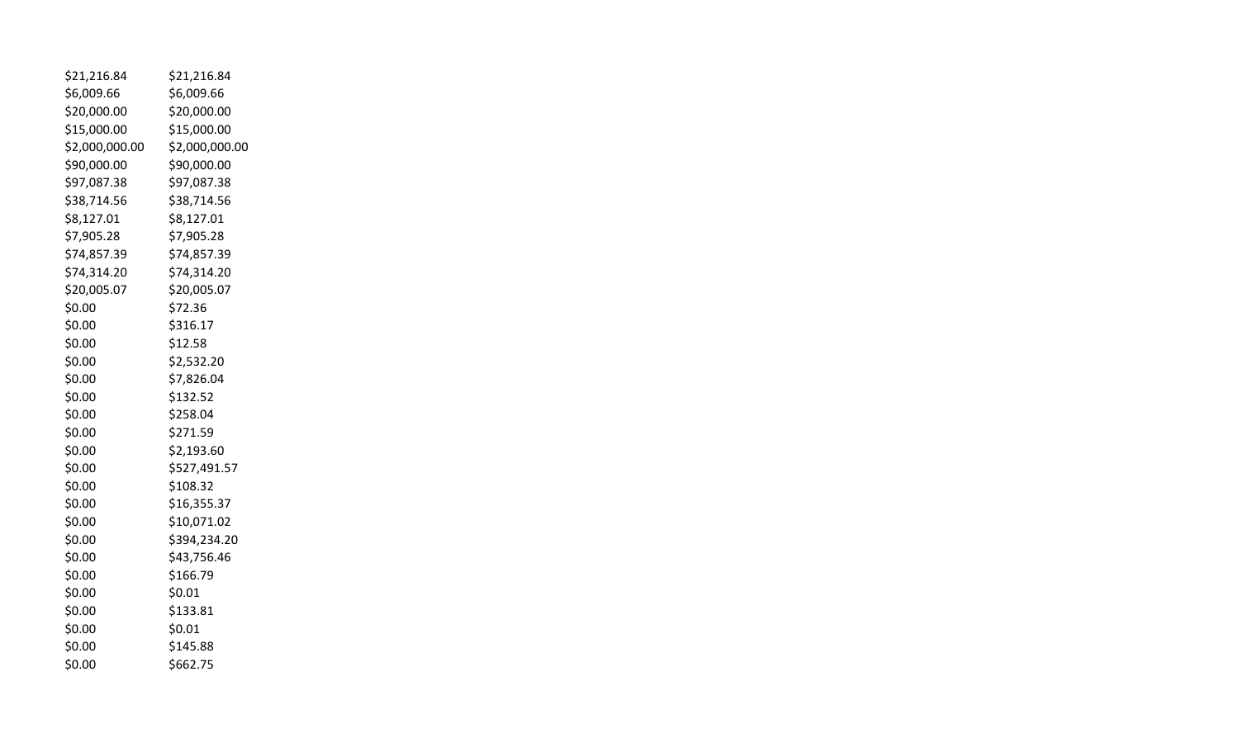| \$21,216.84    | \$21,216.84    |
|----------------|----------------|
| \$6,009.66     | \$6,009.66     |
| \$20,000.00    | \$20,000.00    |
| \$15,000.00    | \$15,000.00    |
| \$2,000,000.00 | \$2,000,000.00 |
| \$90,000.00    | \$90,000.00    |
| \$97,087.38    | \$97,087.38    |
| \$38,714.56    | \$38,714.56    |
| \$8,127.01     | \$8,127.01     |
| \$7,905.28     | \$7,905.28     |
| \$74,857.39    | \$74,857.39    |
| \$74,314.20    | \$74,314.20    |
| \$20,005.07    | \$20,005.07    |
| \$0.00         | \$72.36        |
| \$0.00         | \$316.17       |
| \$0.00         | \$12.58        |
| \$0.00         | \$2,532.20     |
| \$0.00         | \$7,826.04     |
| \$0.00         | \$132.52       |
| \$0.00         | \$258.04       |
| \$0.00         | \$271.59       |
| \$0.00         | \$2,193.60     |
| \$0.00         | \$527,491.57   |
| \$0.00         | \$108.32       |
| \$0.00         | \$16,355.37    |
| \$0.00         | \$10,071.02    |
| \$0.00         | \$394,234.20   |
| \$0.00         | \$43,756.46    |
| \$0.00         | \$166.79       |
| \$0.00         | \$0.01         |
| \$0.00         | \$133.81       |
| \$0.00         | \$0.01         |
| \$0.00         | \$145.88       |
| \$0.00         | \$662.75       |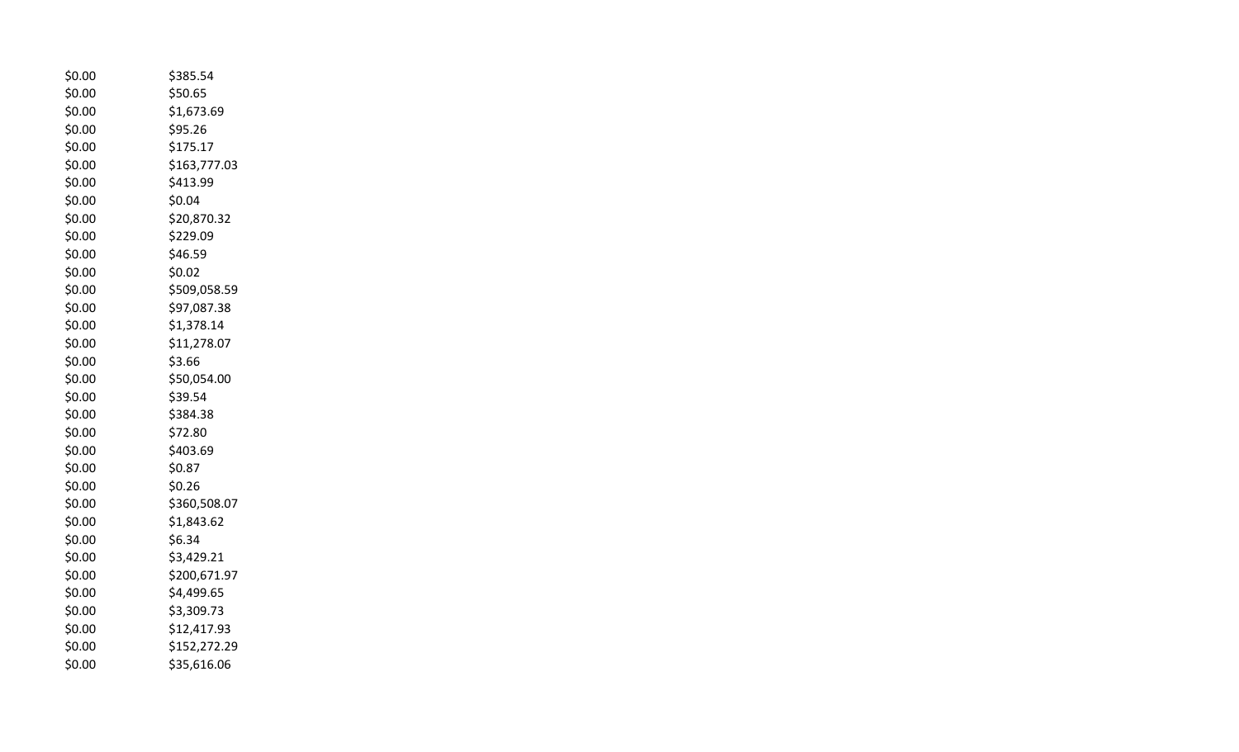| \$0.00 | \$385.54     |  |
|--------|--------------|--|
| \$0.00 | \$50.65      |  |
| \$0.00 | \$1,673.69   |  |
| \$0.00 | \$95.26      |  |
| \$0.00 | \$175.17     |  |
| \$0.00 | \$163,777.03 |  |
| \$0.00 | \$413.99     |  |
| \$0.00 | \$0.04       |  |
| \$0.00 | \$20,870.32  |  |
| \$0.00 | \$229.09     |  |
| \$0.00 | \$46.59      |  |
| \$0.00 | \$0.02       |  |
| \$0.00 | \$509,058.59 |  |
| \$0.00 | \$97,087.38  |  |
| \$0.00 | \$1,378.14   |  |
| \$0.00 | \$11,278.07  |  |
| \$0.00 | \$3.66       |  |
| \$0.00 | \$50,054.00  |  |
| \$0.00 | \$39.54      |  |
| \$0.00 | \$384.38     |  |
| \$0.00 | \$72.80      |  |
| \$0.00 | \$403.69     |  |
| \$0.00 | \$0.87       |  |
| \$0.00 | \$0.26       |  |
| \$0.00 | \$360,508.07 |  |
| \$0.00 | \$1,843.62   |  |
| \$0.00 | \$6.34       |  |
| \$0.00 | \$3,429.21   |  |
| \$0.00 | \$200,671.97 |  |
| \$0.00 | \$4,499.65   |  |
| \$0.00 | \$3,309.73   |  |
| \$0.00 | \$12,417.93  |  |
| \$0.00 | \$152,272.29 |  |
| \$0.00 | \$35,616.06  |  |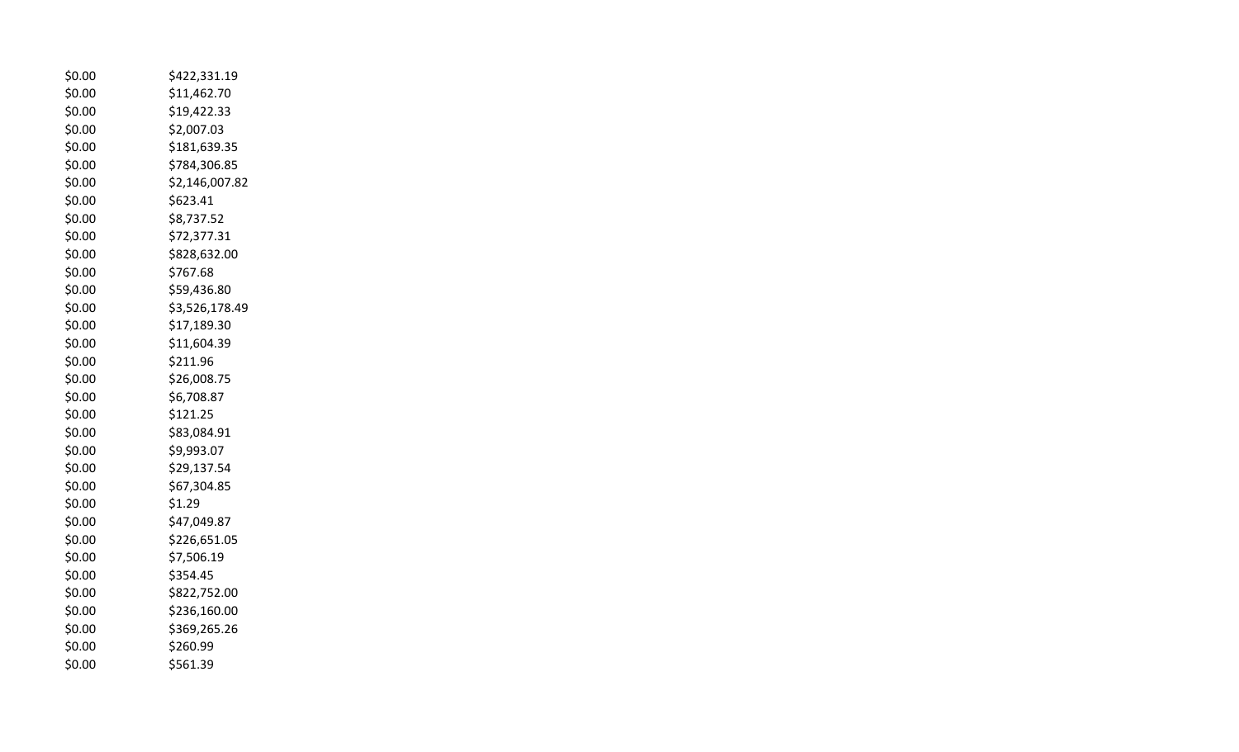| \$0.00 | \$422,331.19   |
|--------|----------------|
| \$0.00 | \$11,462.70    |
| \$0.00 | \$19,422.33    |
| \$0.00 | \$2,007.03     |
| \$0.00 | \$181,639.35   |
| \$0.00 | \$784,306.85   |
| \$0.00 | \$2,146,007.82 |
| \$0.00 | \$623.41       |
| \$0.00 | \$8,737.52     |
| \$0.00 | \$72,377.31    |
| \$0.00 | \$828,632.00   |
| \$0.00 | \$767.68       |
| \$0.00 | \$59,436.80    |
| \$0.00 | \$3,526,178.49 |
| \$0.00 | \$17,189.30    |
| \$0.00 | \$11,604.39    |
| \$0.00 | \$211.96       |
| \$0.00 | \$26,008.75    |
| \$0.00 | \$6,708.87     |
| \$0.00 | \$121.25       |
| \$0.00 | \$83,084.91    |
| \$0.00 | \$9,993.07     |
| \$0.00 | \$29,137.54    |
| \$0.00 | \$67,304.85    |
| \$0.00 | \$1.29         |
| \$0.00 | \$47,049.87    |
| \$0.00 | \$226,651.05   |
| \$0.00 | \$7,506.19     |
| \$0.00 | \$354.45       |
| \$0.00 | \$822,752.00   |
| \$0.00 | \$236,160.00   |
| \$0.00 | \$369,265.26   |
| \$0.00 | \$260.99       |
| \$0.00 | \$561.39       |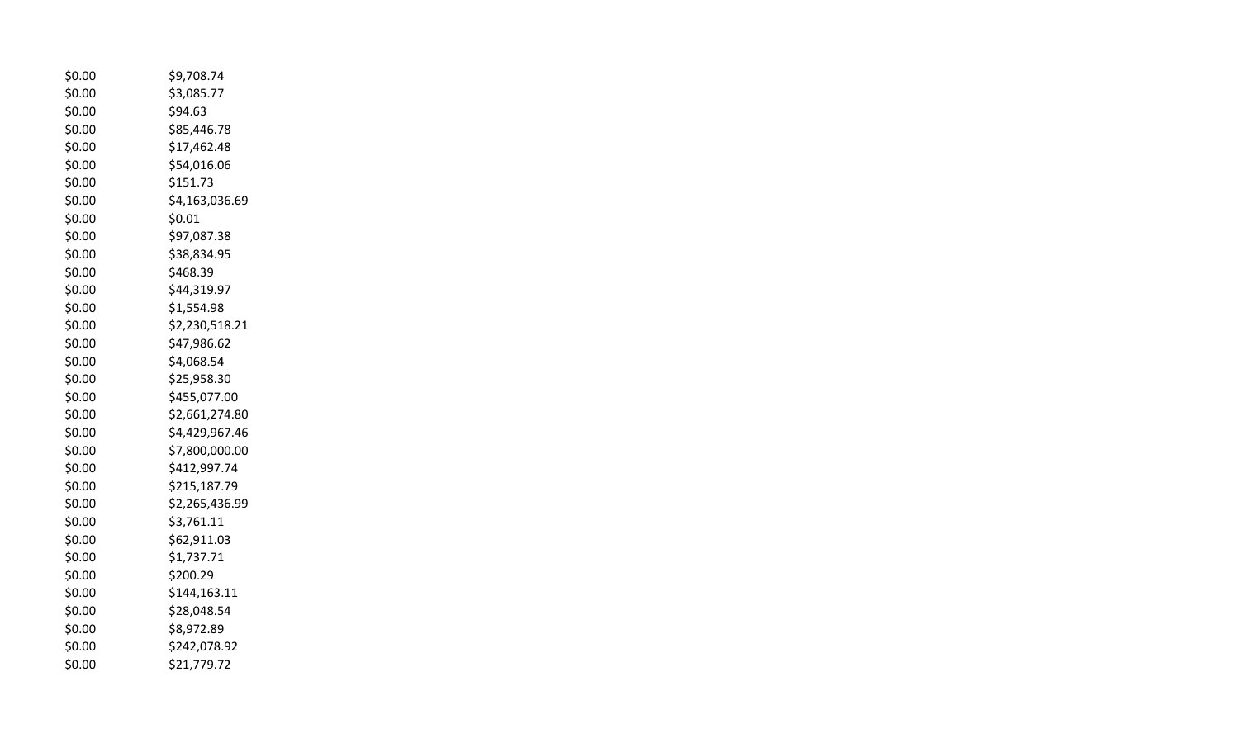| \$0.00 | \$9,708.74     |
|--------|----------------|
| \$0.00 | \$3,085.77     |
| \$0.00 | \$94.63        |
| \$0.00 | \$85,446.78    |
| \$0.00 | \$17,462.48    |
| \$0.00 | \$54,016.06    |
| \$0.00 | \$151.73       |
| \$0.00 | \$4,163,036.69 |
| \$0.00 | \$0.01         |
| \$0.00 | \$97,087.38    |
| \$0.00 | \$38,834.95    |
| \$0.00 | \$468.39       |
| \$0.00 | \$44,319.97    |
| \$0.00 | \$1,554.98     |
| \$0.00 | \$2,230,518.21 |
| \$0.00 | \$47,986.62    |
| \$0.00 | \$4,068.54     |
| \$0.00 | \$25,958.30    |
| \$0.00 | \$455,077.00   |
| \$0.00 | \$2,661,274.80 |
| \$0.00 | \$4,429,967.46 |
| \$0.00 | \$7,800,000.00 |
| \$0.00 | \$412,997.74   |
| \$0.00 | \$215,187.79   |
| \$0.00 | \$2,265,436.99 |
| \$0.00 | \$3,761.11     |
| \$0.00 | \$62,911.03    |
| \$0.00 | \$1,737.71     |
| \$0.00 | \$200.29       |
| \$0.00 | \$144,163.11   |
| \$0.00 | \$28,048.54    |
| \$0.00 | \$8,972.89     |
| \$0.00 | \$242,078.92   |
| \$0.00 | \$21,779.72    |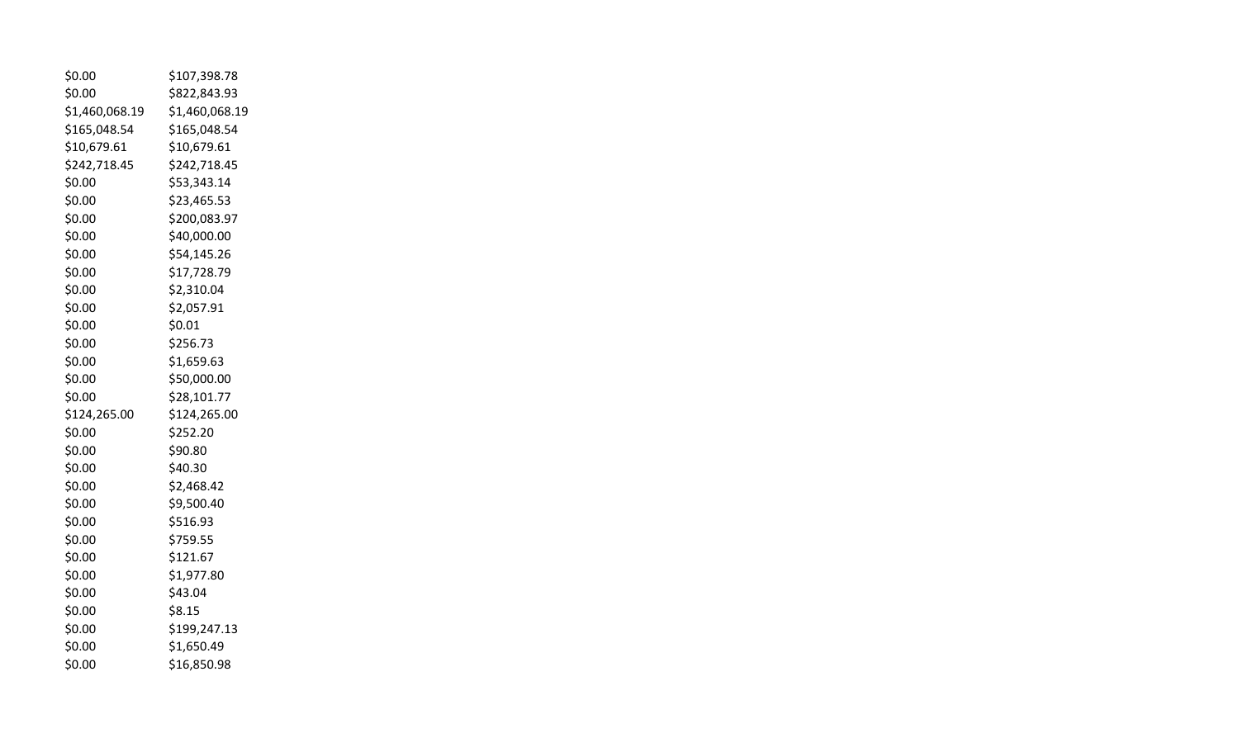| \$0.00         | \$107,398.78   |
|----------------|----------------|
| \$0.00         | \$822,843.93   |
| \$1,460,068.19 | \$1,460,068.19 |
| \$165,048.54   | \$165,048.54   |
| \$10,679.61    | \$10,679.61    |
| \$242,718.45   | \$242,718.45   |
| \$0.00         | \$53,343.14    |
| \$0.00         | \$23,465.53    |
| \$0.00         | \$200,083.97   |
| \$0.00         | \$40,000.00    |
| \$0.00         | \$54,145.26    |
| \$0.00         | \$17,728.79    |
| \$0.00         | \$2,310.04     |
| \$0.00         | \$2,057.91     |
| \$0.00         | \$0.01         |
| \$0.00         | \$256.73       |
| \$0.00         | \$1,659.63     |
| \$0.00         | \$50,000.00    |
| \$0.00         | \$28,101.77    |
| \$124,265.00   | \$124,265.00   |
| \$0.00         | \$252.20       |
| \$0.00         | \$90.80        |
| \$0.00         | \$40.30        |
| \$0.00         | \$2,468.42     |
| \$0.00         | \$9,500.40     |
| \$0.00         | \$516.93       |
| \$0.00         | \$759.55       |
| \$0.00         | \$121.67       |
| \$0.00         | \$1,977.80     |
| \$0.00         | \$43.04        |
| \$0.00         | \$8.15         |
| \$0.00         | \$199,247.13   |
| \$0.00         | \$1,650.49     |
| \$0.00         | \$16,850.98    |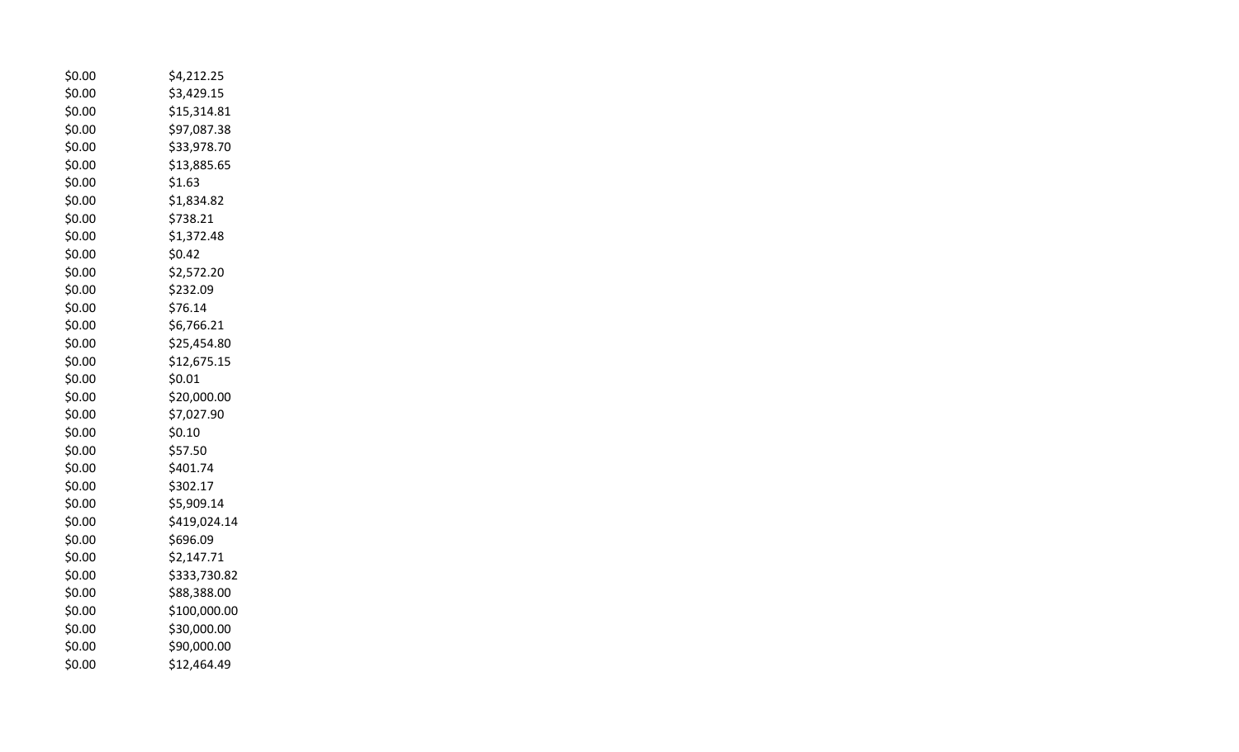| \$0.00 | \$4,212.25   |
|--------|--------------|
| \$0.00 | \$3,429.15   |
| \$0.00 | \$15,314.81  |
| \$0.00 | \$97,087.38  |
| \$0.00 | \$33,978.70  |
| \$0.00 | \$13,885.65  |
| \$0.00 | \$1.63       |
| \$0.00 | \$1,834.82   |
| \$0.00 | \$738.21     |
| \$0.00 | \$1,372.48   |
| \$0.00 | \$0.42       |
| \$0.00 | \$2,572.20   |
| \$0.00 | \$232.09     |
| \$0.00 | \$76.14      |
| \$0.00 | \$6,766.21   |
| \$0.00 | \$25,454.80  |
| \$0.00 | \$12,675.15  |
| \$0.00 | \$0.01       |
| \$0.00 | \$20,000.00  |
| \$0.00 | \$7,027.90   |
| \$0.00 | \$0.10       |
| \$0.00 | \$57.50      |
| \$0.00 | \$401.74     |
| \$0.00 | \$302.17     |
| \$0.00 | \$5,909.14   |
| \$0.00 | \$419,024.14 |
| \$0.00 | \$696.09     |
| \$0.00 | \$2,147.71   |
| \$0.00 | \$333,730.82 |
| \$0.00 | \$88,388.00  |
| \$0.00 | \$100,000.00 |
| \$0.00 | \$30,000.00  |
| \$0.00 | \$90,000.00  |
| \$0.00 | \$12,464.49  |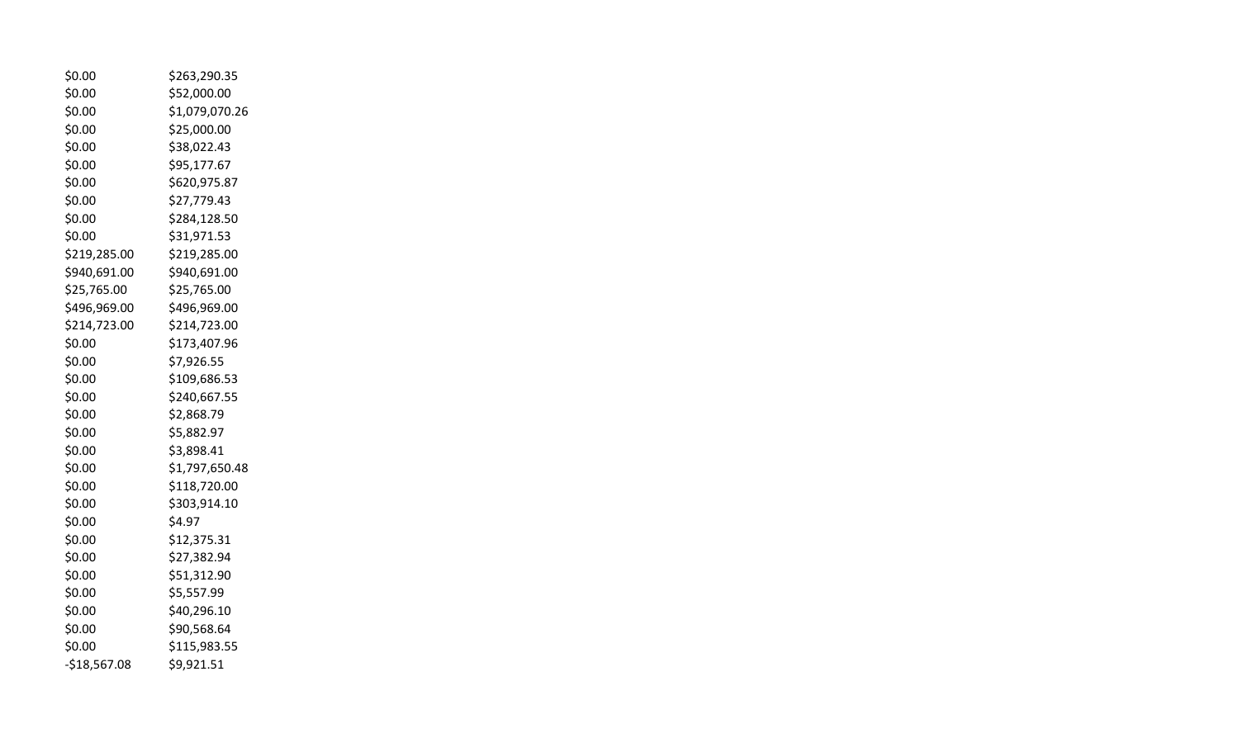| \$0.00        | \$263,290.35   |
|---------------|----------------|
| \$0.00        | \$52,000.00    |
| \$0.00        | \$1,079,070.26 |
| \$0.00        | \$25,000.00    |
| \$0.00        | \$38,022.43    |
| \$0.00        | \$95,177.67    |
| \$0.00        | \$620,975.87   |
| \$0.00        | \$27,779.43    |
| \$0.00        | \$284,128.50   |
| \$0.00        | \$31,971.53    |
| \$219,285.00  | \$219,285.00   |
| \$940,691.00  | \$940,691.00   |
| \$25,765.00   | \$25,765.00    |
| \$496,969.00  | \$496,969.00   |
| \$214,723.00  | \$214,723.00   |
| \$0.00        | \$173,407.96   |
| \$0.00        | \$7,926.55     |
| \$0.00        | \$109,686.53   |
| \$0.00        | \$240,667.55   |
| \$0.00        | \$2,868.79     |
| \$0.00        | \$5,882.97     |
| \$0.00        | \$3,898.41     |
| \$0.00        | \$1,797,650.48 |
| \$0.00        | \$118,720.00   |
| \$0.00        | \$303,914.10   |
| \$0.00        | \$4.97         |
| \$0.00        | \$12,375.31    |
| \$0.00        | \$27,382.94    |
| \$0.00        | \$51,312.90    |
| \$0.00        | \$5,557.99     |
| \$0.00        | \$40,296.10    |
| \$0.00        | \$90,568.64    |
| \$0.00        | \$115,983.55   |
| $-$18,567.08$ | \$9,921.51     |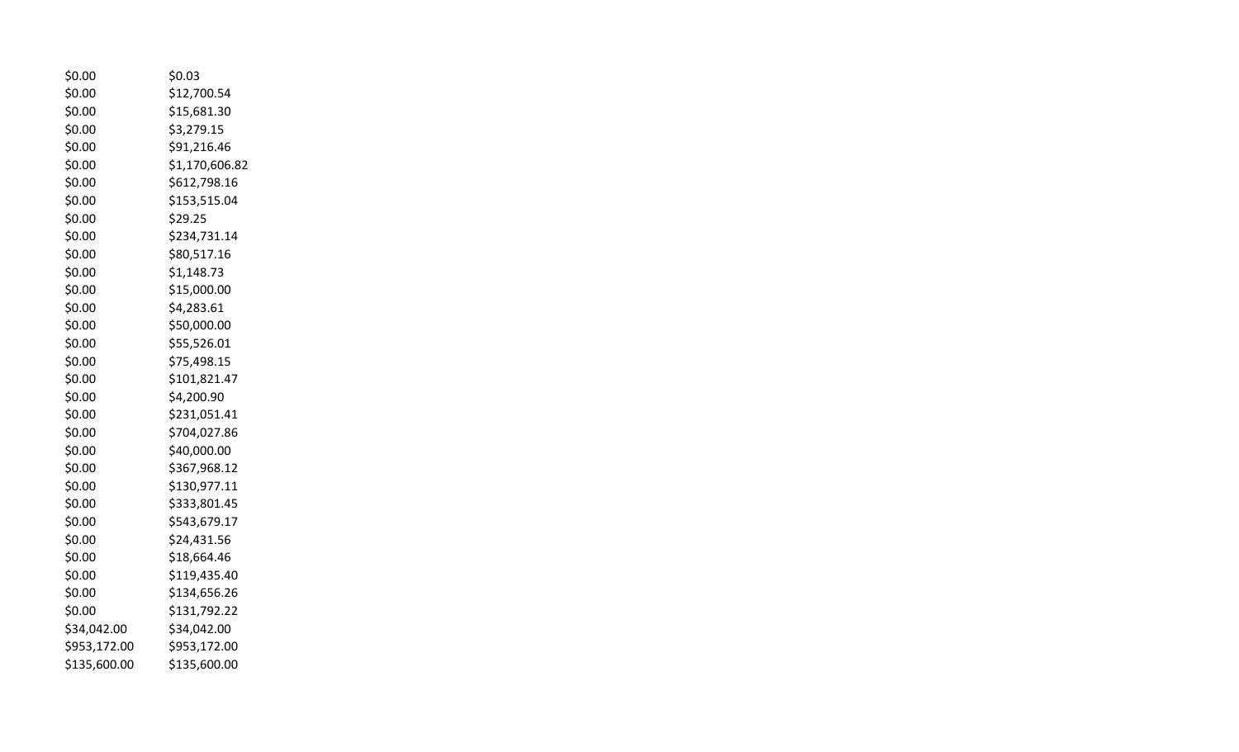| \$0.00       | \$0.03         |
|--------------|----------------|
| \$0.00       | \$12,700.54    |
| \$0.00       | \$15,681.30    |
| \$0.00       | \$3,279.15     |
| \$0.00       | \$91,216.46    |
| \$0.00       | \$1,170,606.82 |
| \$0.00       | \$612,798.16   |
| \$0.00       | \$153,515.04   |
| \$0.00       | \$29.25        |
| \$0.00       | \$234,731.14   |
| \$0.00       | \$80,517.16    |
| \$0.00       | \$1,148.73     |
| \$0.00       | \$15,000.00    |
| \$0.00       | \$4,283.61     |
| \$0.00       | \$50,000.00    |
| \$0.00       | \$55,526.01    |
| \$0.00       | \$75,498.15    |
| \$0.00       | \$101,821.47   |
| \$0.00       | \$4,200.90     |
| \$0.00       | \$231,051.41   |
| \$0.00       | \$704,027.86   |
| \$0.00       | \$40,000.00    |
| \$0.00       | \$367,968.12   |
| \$0.00       | \$130,977.11   |
| \$0.00       | \$333,801.45   |
| \$0.00       | \$543,679.17   |
| \$0.00       | \$24,431.56    |
| \$0.00       | \$18,664.46    |
| \$0.00       | \$119,435.40   |
| \$0.00       | \$134,656.26   |
| \$0.00       | \$131,792.22   |
| \$34,042.00  | \$34,042.00    |
| \$953,172.00 | \$953,172.00   |
| \$135,600.00 | \$135,600.00   |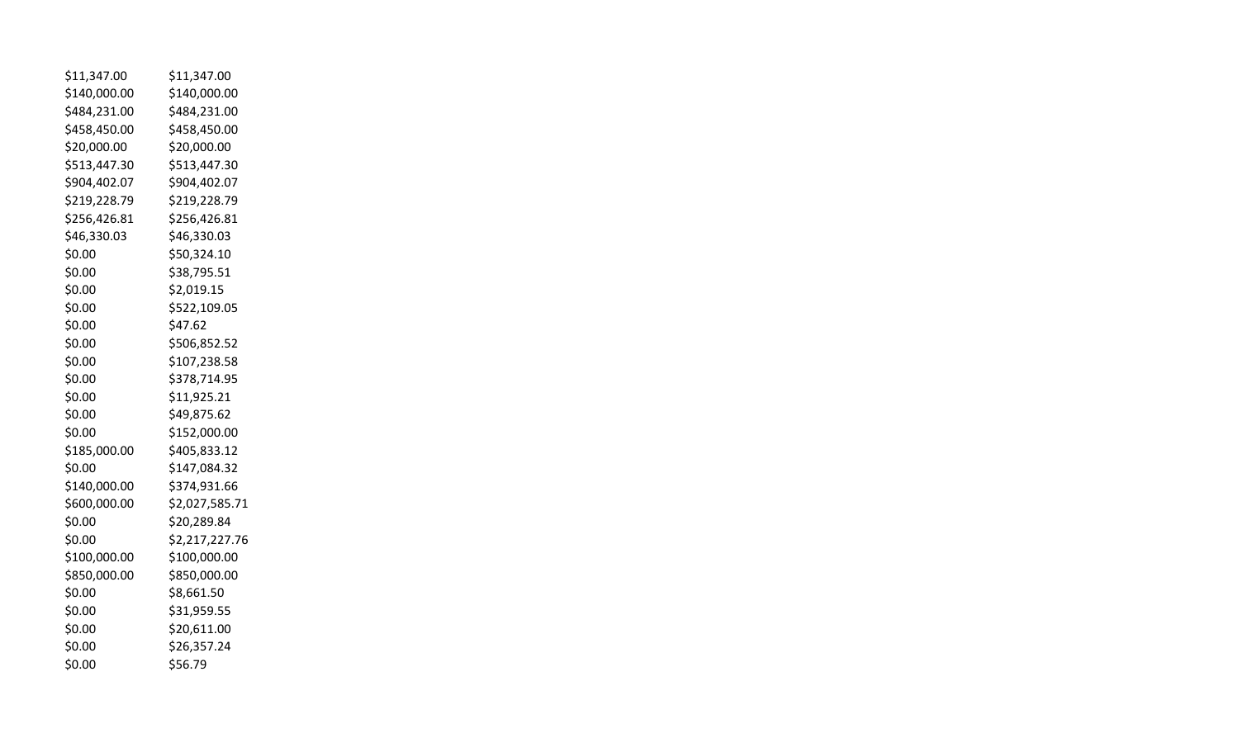| \$11,347.00  | \$11,347.00    |
|--------------|----------------|
| \$140,000.00 | \$140,000.00   |
| \$484,231.00 | \$484,231.00   |
| \$458,450.00 | \$458,450.00   |
| \$20,000.00  | \$20,000.00    |
| \$513,447.30 | \$513,447.30   |
| \$904,402.07 | \$904,402.07   |
| \$219,228.79 | \$219,228.79   |
| \$256,426.81 | \$256,426.81   |
| \$46,330.03  | \$46,330.03    |
| \$0.00       | \$50,324.10    |
| \$0.00       | \$38,795.51    |
| \$0.00       | \$2,019.15     |
| \$0.00       | \$522,109.05   |
| \$0.00       | \$47.62        |
| \$0.00       | \$506,852.52   |
| \$0.00       | \$107,238.58   |
| \$0.00       | \$378,714.95   |
| \$0.00       | \$11,925.21    |
| \$0.00       | \$49,875.62    |
| \$0.00       | \$152,000.00   |
| \$185,000.00 | \$405,833.12   |
| \$0.00       | \$147,084.32   |
| \$140,000.00 | \$374,931.66   |
| \$600,000.00 | \$2,027,585.71 |
| \$0.00       | \$20,289.84    |
| \$0.00       | \$2,217,227.76 |
| \$100,000.00 | \$100,000.00   |
| \$850,000.00 | \$850,000.00   |
| \$0.00       | \$8,661.50     |
| \$0.00       | \$31,959.55    |
| \$0.00       | \$20,611.00    |
| \$0.00       | \$26,357.24    |
| \$0.00       | \$56.79        |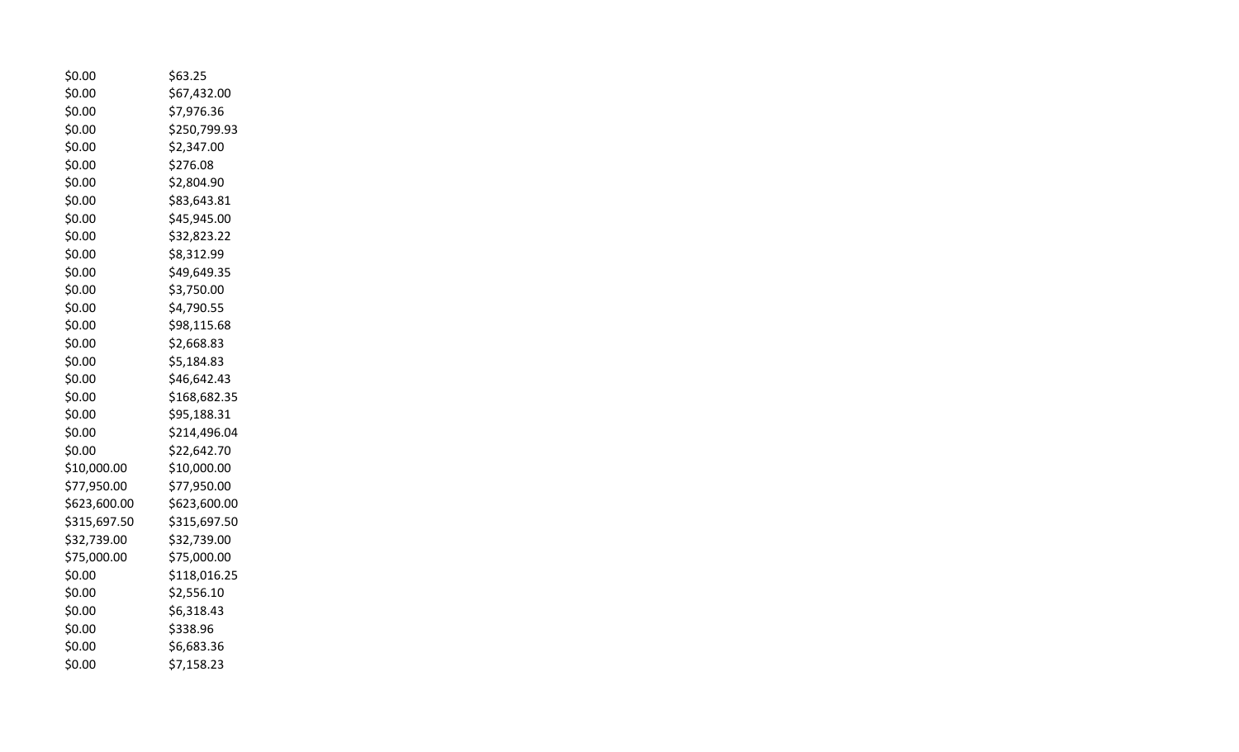| \$0.00       | \$63.25      |
|--------------|--------------|
| \$0.00       | \$67,432.00  |
| \$0.00       | \$7,976.36   |
| \$0.00       | \$250,799.93 |
| \$0.00       | \$2,347.00   |
| \$0.00       | \$276.08     |
| \$0.00       | \$2,804.90   |
| \$0.00       | \$83,643.81  |
| \$0.00       | \$45,945.00  |
| \$0.00       | \$32,823.22  |
| \$0.00       | \$8,312.99   |
| \$0.00       | \$49,649.35  |
| \$0.00       | \$3,750.00   |
| \$0.00       | \$4,790.55   |
| \$0.00       | \$98,115.68  |
| \$0.00       | \$2,668.83   |
| \$0.00       | \$5,184.83   |
| \$0.00       | \$46,642.43  |
| \$0.00       | \$168,682.35 |
| \$0.00       | \$95,188.31  |
| \$0.00       | \$214,496.04 |
| \$0.00       | \$22,642.70  |
| \$10,000.00  | \$10,000.00  |
| \$77,950.00  | \$77,950.00  |
| \$623,600.00 | \$623,600.00 |
| \$315,697.50 | \$315,697.50 |
| \$32,739.00  | \$32,739.00  |
| \$75,000.00  | \$75,000.00  |
| \$0.00       | \$118,016.25 |
| \$0.00       | \$2,556.10   |
| \$0.00       | \$6,318.43   |
| \$0.00       | \$338.96     |
| \$0.00       | \$6,683.36   |
| \$0.00       | \$7,158.23   |